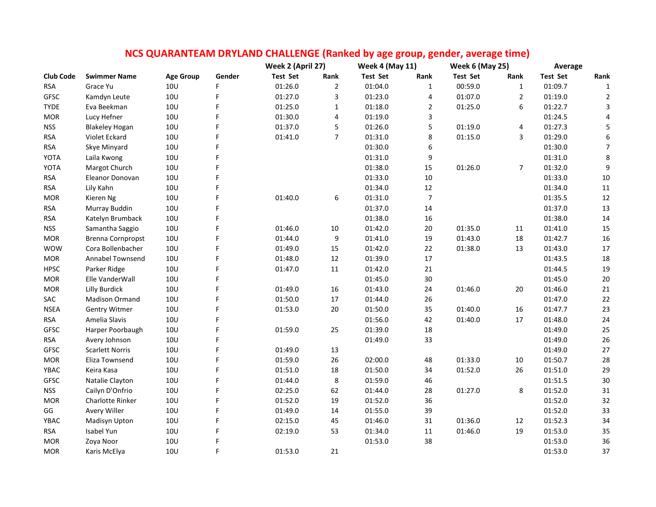|                  |                        |                  |        | NCS QUARANTEAM DRYLAND CHALLENGE (Ranked by age group, gender, average time) |                |                        |                |                        |                |                 |                  |
|------------------|------------------------|------------------|--------|------------------------------------------------------------------------------|----------------|------------------------|----------------|------------------------|----------------|-----------------|------------------|
|                  |                        |                  |        | Week 2 (April 27)                                                            |                | <b>Week 4 (May 11)</b> |                | <b>Week 6 (May 25)</b> |                | Average         |                  |
| <b>Club Code</b> | <b>Swimmer Name</b>    | <b>Age Group</b> | Gender | <b>Test Set</b>                                                              | Rank           | <b>Test Set</b>        | Rank           | <b>Test Set</b>        | Rank           | <b>Test Set</b> | Rank             |
| <b>RSA</b>       | Grace Yu               | 10 <sub>U</sub>  | F      | 01:26.0                                                                      | $\overline{2}$ | 01:04.0                | $\mathbf{1}$   | 00:59.0                | $\mathbf{1}$   | 01:09.7         | $\mathbf{1}$     |
| GFSC             | Kamdyn Leute           | <b>10U</b>       | F      | 01:27.0                                                                      | 3              | 01:23.0                | 4              | 01:07.0                | $\overline{2}$ | 01:19.0         | $\overline{2}$   |
| <b>TYDE</b>      | Eva Beekman            | 10U              |        | 01:25.0                                                                      | $\mathbf{1}$   | 01:18.0                | $\mathbf 2$    | 01:25.0                | 6              | 01:22.7         | $\mathbf{3}$     |
| <b>MOR</b>       | Lucy Hefner            | 10U              |        | 01:30.0                                                                      | 4              | 01:19.0                | 3              |                        |                | 01:24.5         | 4                |
| <b>NSS</b>       | <b>Blakeley Hogan</b>  | 10U              |        | 01:37.0                                                                      | 5              | 01:26.0                | 5              | 01:19.0                | 4              | 01:27.3         | $\mathsf S$      |
| <b>RSA</b>       | Violet Eckard          | 10U              | F      | 01:41.0                                                                      | $\overline{7}$ | 01:31.0                | 8              | 01:15.0                | 3              | 01:29.0         | $\boldsymbol{6}$ |
| <b>RSA</b>       | Skye Minyard           | <b>10U</b>       |        |                                                                              |                | 01:30.0                | 6              |                        |                | 01:30.0         | $\overline{7}$   |
| <b>YOTA</b>      | Laila Kwong            | 10 <sub>U</sub>  |        |                                                                              |                | 01:31.0                | 9              |                        |                | 01:31.0         | 8                |
| YOTA             | Margot Church          | <b>10U</b>       |        |                                                                              |                | 01:38.0                | 15             | 01:26.0                | 7              | 01:32.0         | $\boldsymbol{9}$ |
| <b>RSA</b>       | Eleanor Donovan        | 10U              |        |                                                                              |                | 01:33.0                | 10             |                        |                | 01:33.0         | $10\,$           |
| <b>RSA</b>       | Lily Kahn              | 10 <sub>U</sub>  |        |                                                                              |                | 01:34.0                | 12             |                        |                | 01:34.0         | 11               |
| <b>MOR</b>       | Kieren Ng              | 10U              |        | 01:40.0                                                                      | 6              | 01:31.0                | $\overline{7}$ |                        |                | 01:35.5         | $12\,$           |
| <b>RSA</b>       | Murray Buddin          | 10 <sub>U</sub>  |        |                                                                              |                | 01:37.0                | 14             |                        |                | 01:37.0         | 13               |
| <b>RSA</b>       | Katelyn Brumback       | 10U              |        |                                                                              |                | 01:38.0                | 16             |                        |                | 01:38.0         | $14\,$           |
| <b>NSS</b>       | Samantha Saggio        | 10U              |        | 01:46.0                                                                      | 10             | 01:42.0                | 20             | 01:35.0                | 11             | 01:41.0         | 15               |
| <b>MOR</b>       | Brenna Cornpropst      | 10U              |        | 01:44.0                                                                      | 9              | 01:41.0                | 19             | 01:43.0                | $18\,$         | 01:42.7         | 16               |
| <b>WOW</b>       | Cora Bollenbacher      | 10U              |        | 01:49.0                                                                      | 15             | 01:42.0                | 22             | 01:38.0                | 13             | 01:43.0         | 17               |
| <b>MOR</b>       | Annabel Townsend       | 10U              |        | 01:48.0                                                                      | 12             | 01:39.0                | 17             |                        |                | 01:43.5         | 18               |
| <b>HPSC</b>      | Parker Ridge           | 10U              |        | 01:47.0                                                                      | $11\,$         | 01:42.0                | 21             |                        |                | 01:44.5         | 19               |
| <b>MOR</b>       | Elle VanderWall        | <b>10U</b>       | F      |                                                                              |                | 01:45.0                | 30             |                        |                | 01:45.0         | $20\,$           |
| <b>MOR</b>       | <b>Lilly Burdick</b>   | <b>10U</b>       |        | 01:49.0                                                                      | 16             | 01:43.0                | 24             | 01:46.0                | 20             | 01:46.0         | 21               |
| SAC              | <b>Madison Ormand</b>  | <b>10U</b>       |        | 01:50.0                                                                      | 17             | 01:44.0                | 26             |                        |                | 01:47.0         | $22\,$           |
| <b>NSEA</b>      | <b>Gentry Witmer</b>   | <b>10U</b>       |        | 01:53.0                                                                      | 20             | 01:50.0                | 35             | 01:40.0                | 16             | 01:47.7         | 23               |
| <b>RSA</b>       | Amelia Slavis          | <b>10U</b>       |        |                                                                              |                | 01:56.0                | 42             | 01:40.0                | 17             | 01:48.0         | 24               |
| <b>GFSC</b>      | Harper Poorbaugh       | 10 <sub>U</sub>  |        | 01:59.0                                                                      | 25             | 01:39.0                | 18             |                        |                | 01:49.0         | 25               |
| <b>RSA</b>       | Avery Johnson          | 10U              |        |                                                                              |                | 01:49.0                | 33             |                        |                | 01:49.0         | 26               |
| <b>GFSC</b>      | <b>Scarlett Norris</b> | 10U              |        | 01:49.0                                                                      | 13             |                        |                |                        |                | 01:49.0         | 27               |
| <b>MOR</b>       | Eliza Townsend         | 10U              |        | 01:59.0                                                                      | 26             | 02:00.0                | 48             | 01:33.0                | $10\,$         | 01:50.7         | 28               |
| YBAC             | Keira Kasa             | 10U              |        | 01:51.0                                                                      | 18             | 01:50.0                | 34             | 01:52.0                | 26             | 01:51.0         | 29               |
| GFSC             | Natalie Clayton        | 10U              |        | 01:44.0                                                                      | 8              | 01:59.0                | 46             |                        |                | 01:51.5         | 30               |
| <b>NSS</b>       | Cailyn D'Onfrio        | 10U              |        | 02:25.0                                                                      | 62             | 01:44.0                | 28             | 01:27.0                | 8              | 01:52.0         | $31\,$           |
| <b>MOR</b>       | Charlotte Rinker       | <b>10U</b>       |        | 01:52.0                                                                      | 19             | 01:52.0                | 36             |                        |                | 01:52.0         | 32               |
| GG               | Avery Willer           | 10U              |        | 01:49.0                                                                      | 14             | 01:55.0                | 39             |                        |                | 01:52.0         | 33               |
| YBAC             | Madisyn Upton          | 10 <sub>U</sub>  | F      | 02:15.0                                                                      | 45             | 01:46.0                | 31             | 01:36.0                | 12             | 01:52.3         | 34               |
| <b>RSA</b>       | Isabel Yun             | 10 <sub>U</sub>  |        | 02:19.0                                                                      | 53             | 01:34.0                | 11             | 01:46.0                | 19             | 01:53.0         | 35               |
| <b>MOR</b>       | Zoya Noor              | 10U              |        |                                                                              |                | 01:53.0                | 38             |                        |                | 01:53.0         | 36               |
| <b>MOR</b>       | Karis McElya           | <b>10U</b>       | F      | 01:53.0                                                                      | 21             |                        |                |                        |                | 01:53.0         | 37               |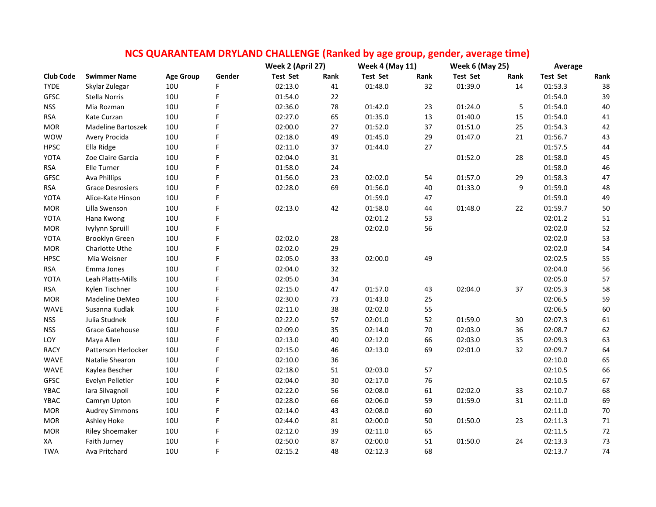|                  |                         |                  |        | NCS QUARANTEAM DRYLAND CHALLENGE (Ranked by age group, gender, average time) |      |                        |      |                        |      |                 |        |
|------------------|-------------------------|------------------|--------|------------------------------------------------------------------------------|------|------------------------|------|------------------------|------|-----------------|--------|
|                  |                         |                  |        | Week 2 (April 27)                                                            |      | <b>Week 4 (May 11)</b> |      | <b>Week 6 (May 25)</b> |      | Average         |        |
| <b>Club Code</b> | <b>Swimmer Name</b>     | <b>Age Group</b> | Gender | <b>Test Set</b>                                                              | Rank | <b>Test Set</b>        | Rank | <b>Test Set</b>        | Rank | <b>Test Set</b> | Rank   |
| <b>TYDE</b>      | Skylar Zulegar          | 10 <sub>U</sub>  | F      | 02:13.0                                                                      | 41   | 01:48.0                | 32   | 01:39.0                | 14   | 01:53.3         | 38     |
| <b>GFSC</b>      | Stella Norris           | 10U              | F      | 01:54.0                                                                      | 22   |                        |      |                        |      | 01:54.0         | 39     |
| <b>NSS</b>       | Mia Rozman              | <b>10U</b>       | F      | 02:36.0                                                                      | 78   | 01:42.0                | 23   | 01:24.0                | 5    | 01:54.0         | 40     |
| <b>RSA</b>       | Kate Curzan             | <b>10U</b>       | F      | 02:27.0                                                                      | 65   | 01:35.0                | 13   | 01:40.0                | 15   | 01:54.0         | $41\,$ |
| <b>MOR</b>       | Madeline Bartoszek      | <b>10U</b>       | F      | 02:00.0                                                                      | 27   | 01:52.0                | 37   | 01:51.0                | 25   | 01:54.3         | 42     |
| <b>WOW</b>       | Avery Procida           | <b>10U</b>       | F      | 02:18.0                                                                      | 49   | 01:45.0                | 29   | 01:47.0                | 21   | 01:56.7         | 43     |
| <b>HPSC</b>      | Ella Ridge              | <b>10U</b>       | F      | 02:11.0                                                                      | 37   | 01:44.0                | 27   |                        |      | 01:57.5         | 44     |
| YOTA             | Zoe Claire Garcia       | <b>10U</b>       | F      | 02:04.0                                                                      | 31   |                        |      | 01:52.0                | 28   | 01:58.0         | 45     |
| <b>RSA</b>       | <b>Elle Turner</b>      | <b>10U</b>       | F      | 01:58.0                                                                      | 24   |                        |      |                        |      | 01:58.0         | 46     |
| <b>GFSC</b>      | Ava Phillips            | <b>10U</b>       | F      | 01:56.0                                                                      | 23   | 02:02.0                | 54   | 01:57.0                | 29   | 01:58.3         | 47     |
| <b>RSA</b>       | <b>Grace Desrosiers</b> | 10U              | F      | 02:28.0                                                                      | 69   | 01:56.0                | 40   | 01:33.0                | 9    | 01:59.0         | 48     |
| YOTA             | Alice-Kate Hinson       | <b>10U</b>       | F      |                                                                              |      | 01:59.0                | 47   |                        |      | 01:59.0         | 49     |
| <b>MOR</b>       | Lilla Swenson           | 10U              | Ë      | 02:13.0                                                                      | 42   | 01:58.0                | 44   | 01:48.0                | 22   | 01:59.7         | 50     |
| YOTA             | Hana Kwong              | <b>10U</b>       | F      |                                                                              |      | 02:01.2                | 53   |                        |      | 02:01.2         | 51     |
| <b>MOR</b>       | Ivylynn Spruill         | <b>10U</b>       | F      |                                                                              |      | 02:02.0                | 56   |                        |      | 02:02.0         | 52     |
| YOTA             | Brooklyn Green          | <b>10U</b>       | F      | 02:02.0                                                                      | 28   |                        |      |                        |      | 02:02.0         | 53     |
| <b>MOR</b>       | Charlotte Uthe          | <b>10U</b>       | F      | 02:02.0                                                                      | 29   |                        |      |                        |      | 02:02.0         | 54     |
| <b>HPSC</b>      | Mia Weisner             | <b>10U</b>       | F      | 02:05.0                                                                      | 33   | 02:00.0                | 49   |                        |      | 02:02.5         | 55     |
| <b>RSA</b>       | Emma Jones              | <b>10U</b>       | F      | 02:04.0                                                                      | 32   |                        |      |                        |      | 02:04.0         | 56     |
| YOTA             | Leah Platts-Mills       | <b>10U</b>       | F      | 02:05.0                                                                      | 34   |                        |      |                        |      | 02:05.0         | 57     |
| <b>RSA</b>       | Kylen Tischner          | <b>10U</b>       | F      | 02:15.0                                                                      | 47   | 01:57.0                | 43   | 02:04.0                | 37   | 02:05.3         | 58     |
| <b>MOR</b>       | Madeline DeMeo          | <b>10U</b>       | F      | 02:30.0                                                                      | 73   | 01:43.0                | 25   |                        |      | 02:06.5         | 59     |
| <b>WAVE</b>      | Susanna Kudlak          | <b>10U</b>       | F      | 02:11.0                                                                      | 38   | 02:02.0                | 55   |                        |      | 02:06.5         | 60     |
| <b>NSS</b>       | Julia Studnek           | <b>10U</b>       | F      | 02:22.0                                                                      | 57   | 02:01.0                | 52   | 01:59.0                | 30   | 02:07.3         | 61     |
| <b>NSS</b>       | <b>Grace Gatehouse</b>  | 10U              | F      | 02:09.0                                                                      | 35   | 02:14.0                | 70   | 02:03.0                | 36   | 02:08.7         | 62     |
| LOY              | Maya Allen              | <b>10U</b>       | F      | 02:13.0                                                                      | 40   | 02:12.0                | 66   | 02:03.0                | 35   | 02:09.3         | 63     |
| <b>RACY</b>      | Patterson Herlocker     | <b>10U</b>       | Ë      | 02:15.0                                                                      | 46   | 02:13.0                | 69   | 02:01.0                | 32   | 02:09.7         | 64     |
| <b>WAVE</b>      | Natalie Shearon         | <b>10U</b>       | F      | 02:10.0                                                                      | 36   |                        |      |                        |      | 02:10.0         | 65     |
| <b>WAVE</b>      | Kaylea Bescher          | <b>10U</b>       | F      | 02:18.0                                                                      | 51   | 02:03.0                | 57   |                        |      | 02:10.5         | 66     |
| <b>GFSC</b>      | Evelyn Pelletier        | <b>10U</b>       | F      | 02:04.0                                                                      | 30   | 02:17.0                | 76   |                        |      | 02:10.5         | 67     |
| YBAC             | Iara Silvagnoli         | <b>10U</b>       | F      | 02:22.0                                                                      | 56   | 02:08.0                | 61   | 02:02.0                | 33   | 02:10.7         | 68     |
| YBAC             | Camryn Upton            | <b>10U</b>       | F      | 02:28.0                                                                      | 66   | 02:06.0                | 59   | 01:59.0                | 31   | 02:11.0         | 69     |
| <b>MOR</b>       | <b>Audrey Simmons</b>   | <b>10U</b>       | F      | 02:14.0                                                                      | 43   | 02:08.0                | 60   |                        |      | 02:11.0         | $70\,$ |
| <b>MOR</b>       | Ashley Hoke             | 10U              | F      | 02:44.0                                                                      | 81   | 02:00.0                | 50   | 01:50.0                | 23   | 02:11.3         | $71\,$ |
| <b>MOR</b>       | <b>Riley Shoemaker</b>  | <b>10U</b>       | F      | 02:12.0                                                                      | 39   | 02:11.0                | 65   |                        |      | 02:11.5         | 72     |
| XA               | Faith Jurney            | <b>10U</b>       | F      | 02:50.0                                                                      | 87   | 02:00.0                | 51   | 01:50.0                | 24   | 02:13.3         | 73     |
| <b>TWA</b>       | Ava Pritchard           | 10U              | F      | 02:15.2                                                                      | 48   | 02:12.3                | 68   |                        |      | 02:13.7         | 74     |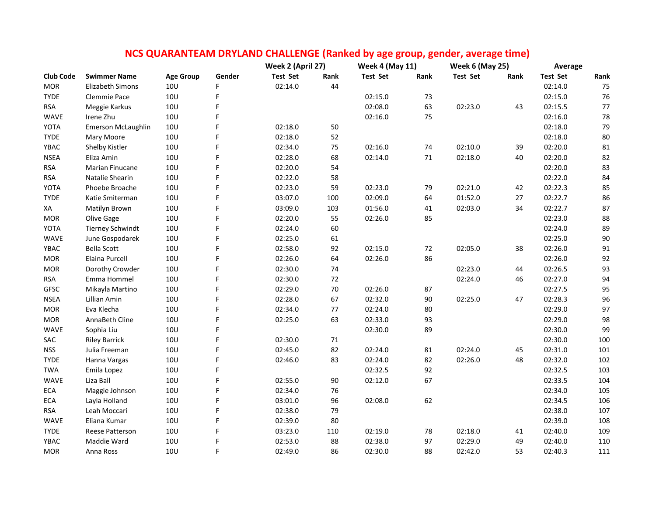|                  |                           |                  |        |                                      |         | <b>Week 4 (May 11)</b> |      | <b>Week 6 (May 25)</b> |      | Average         |        |
|------------------|---------------------------|------------------|--------|--------------------------------------|---------|------------------------|------|------------------------|------|-----------------|--------|
| <b>Club Code</b> | <b>Swimmer Name</b>       | <b>Age Group</b> | Gender | Week 2 (April 27)<br><b>Test Set</b> | Rank    | <b>Test Set</b>        | Rank | <b>Test Set</b>        | Rank | <b>Test Set</b> | Rank   |
| <b>MOR</b>       | <b>Elizabeth Simons</b>   | 10U              | F      | 02:14.0                              | 44      |                        |      |                        |      | 02:14.0         | 75     |
| <b>TYDE</b>      | Clemmie Pace              | <b>10U</b>       | F      |                                      |         | 02:15.0                | 73   |                        |      | 02:15.0         | 76     |
| <b>RSA</b>       | Meggie Karkus             | 10U              | F      |                                      |         | 02:08.0                | 63   | 02:23.0                | 43   | 02:15.5         | 77     |
| WAVE             | Irene Zhu                 | 10U              |        |                                      |         | 02:16.0                | 75   |                        |      | 02:16.0         | 78     |
| YOTA             | <b>Emerson McLaughlin</b> | 10U              |        | 02:18.0                              | 50      |                        |      |                        |      | 02:18.0         | 79     |
| <b>TYDE</b>      | Mary Moore                | 10U              | F      | 02:18.0                              | 52      |                        |      |                        |      | 02:18.0         | $80\,$ |
| YBAC             | Shelby Kistler            | 10U              |        | 02:34.0                              | 75      | 02:16.0                | 74   | 02:10.0                | 39   | 02:20.0         | 81     |
| <b>NSEA</b>      | Eliza Amin                | 10 <sub>U</sub>  | F      | 02:28.0                              | 68      | 02:14.0                | 71   | 02:18.0                | 40   | 02:20.0         | 82     |
| <b>RSA</b>       | Marian Finucane           | 10U              |        | 02:20.0                              | 54      |                        |      |                        |      | 02:20.0         | 83     |
| <b>RSA</b>       | Natalie Shearin           | <b>10U</b>       |        | 02:22.0                              | 58      |                        |      |                        |      | 02:22.0         | 84     |
| YOTA             | Phoebe Broache            | <b>10U</b>       | F      | 02:23.0                              | 59      | 02:23.0                | 79   | 02:21.0                | 42   | 02:22.3         | 85     |
| <b>TYDE</b>      | Katie Smiterman           | 10U              | F      | 03:07.0                              | 100     | 02:09.0                | 64   | 01:52.0                | 27   | 02:22.7         | 86     |
| XA               | Matilyn Brown             | 10U              | F      | 03:09.0                              | 103     | 01:56.0                | 41   | 02:03.0                | 34   | 02:22.7         | 87     |
| <b>MOR</b>       | Olive Gage                | 10U              | F      | 02:20.0                              | 55      | 02:26.0                | 85   |                        |      | 02:23.0         | 88     |
| YOTA             | <b>Tierney Schwindt</b>   | 10U              |        | 02:24.0                              | 60      |                        |      |                        |      | 02:24.0         | 89     |
| <b>WAVE</b>      | June Gospodarek           | 10U              | F      | 02:25.0                              | 61      |                        |      |                        |      | 02:25.0         | $90\,$ |
| YBAC             | <b>Bella Scott</b>        | 10U              | F      | 02:58.0                              | 92      | 02:15.0                | 72   | 02:05.0                | 38   | 02:26.0         | 91     |
| <b>MOR</b>       | Elaina Purcell            | 10U              |        | 02:26.0                              | 64      | 02:26.0                | 86   |                        |      | 02:26.0         | 92     |
| <b>MOR</b>       | Dorothy Crowder           | <b>10U</b>       |        | 02:30.0                              | 74      |                        |      | 02:23.0                | 44   | 02:26.5         | 93     |
| <b>RSA</b>       | Emma Hommel               | 10U              |        | 02:30.0                              | 72      |                        |      | 02:24.0                | 46   | 02:27.0         | 94     |
| <b>GFSC</b>      | Mikayla Martino           | <b>10U</b>       |        | 02:29.0                              | 70      | 02:26.0                | 87   |                        |      | 02:27.5         | 95     |
| <b>NSEA</b>      | Lillian Amin              | 10U              |        | 02:28.0                              | 67      | 02:32.0                | 90   | 02:25.0                | 47   | 02:28.3         | 96     |
| <b>MOR</b>       | Eva Klecha                | 10U              |        | 02:34.0                              | $77 \,$ | 02:24.0                | 80   |                        |      | 02:29.0         | 97     |
| <b>MOR</b>       | AnnaBeth Cline            | 10U              |        | 02:25.0                              | 63      | 02:33.0                | 93   |                        |      | 02:29.0         | 98     |
| <b>WAVE</b>      | Sophia Liu                | 10U              |        |                                      |         | 02:30.0                | 89   |                        |      | 02:30.0         | 99     |
| SAC              | <b>Riley Barrick</b>      | 10U              |        | 02:30.0                              | 71      |                        |      |                        |      | 02:30.0         | 100    |
| <b>NSS</b>       | Julia Freeman             | 10U              |        | 02:45.0                              | 82      | 02:24.0                | 81   | 02:24.0                | 45   | 02:31.0         | 101    |
| <b>TYDE</b>      | Hanna Vargas              | 10U              |        | 02:46.0                              | 83      | 02:24.0                | 82   | 02:26.0                | 48   | 02:32.0         | 102    |
| <b>TWA</b>       | Emila Lopez               | 10U              | F      |                                      |         | 02:32.5                | 92   |                        |      | 02:32.5         | 103    |
| <b>WAVE</b>      | Liza Ball                 | <b>10U</b>       | F      | 02:55.0                              | 90      | 02:12.0                | 67   |                        |      | 02:33.5         | 104    |
| ECA              | Maggie Johnson            | <b>10U</b>       |        | 02:34.0                              | 76      |                        |      |                        |      | 02:34.0         | 105    |
| ECA              | Layla Holland             | 10U              |        | 03:01.0                              | 96      | 02:08.0                | 62   |                        |      | 02:34.5         | 106    |
| <b>RSA</b>       | Leah Moccari              | 10U              | F      | 02:38.0                              | 79      |                        |      |                        |      | 02:38.0         | 107    |
| WAVE             | Eliana Kumar              | 10U              | F      | 02:39.0                              | 80      |                        |      |                        |      | 02:39.0         | 108    |
| <b>TYDE</b>      | Reese Patterson           | 10U              |        | 03:23.0                              | 110     | 02:19.0                | 78   | 02:18.0                | 41   | 02:40.0         | 109    |
| YBAC             | Maddie Ward               | 10U              |        | 02:53.0                              | 88      | 02:38.0                | 97   | 02:29.0                | 49   | 02:40.0         | 110    |
| <b>MOR</b>       | Anna Ross                 | <b>10U</b>       | F      | 02:49.0                              | 86      | 02:30.0                | 88   | 02:42.0                | 53   | 02:40.3         | 111    |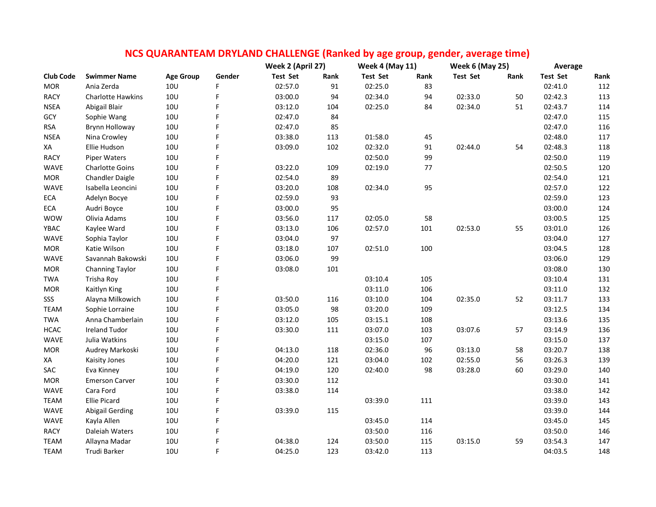|                  |                          |                  |        | NCS QUARANTEAM DRYLAND CHALLENGE (Ranked by age group, gender, average time) |      |                        |         |                        |      |          |      |
|------------------|--------------------------|------------------|--------|------------------------------------------------------------------------------|------|------------------------|---------|------------------------|------|----------|------|
|                  |                          |                  |        | Week 2 (April 27)                                                            |      | <b>Week 4 (May 11)</b> |         | <b>Week 6 (May 25)</b> |      | Average  |      |
| <b>Club Code</b> | <b>Swimmer Name</b>      | <b>Age Group</b> | Gender | <b>Test Set</b>                                                              | Rank | <b>Test Set</b>        | Rank    | <b>Test Set</b>        | Rank | Test Set | Rank |
| <b>MOR</b>       | Ania Zerda               | 10U              | F      | 02:57.0                                                                      | 91   | 02:25.0                | 83      |                        |      | 02:41.0  | 112  |
| <b>RACY</b>      | <b>Charlotte Hawkins</b> | <b>10U</b>       | F      | 03:00.0                                                                      | 94   | 02:34.0                | 94      | 02:33.0                | 50   | 02:42.3  | 113  |
| <b>NSEA</b>      | Abigail Blair            | <b>10U</b>       | F      | 03:12.0                                                                      | 104  | 02:25.0                | 84      | 02:34.0                | 51   | 02:43.7  | 114  |
| GCY              | Sophie Wang              | 10U              | F      | 02:47.0                                                                      | 84   |                        |         |                        |      | 02:47.0  | 115  |
| <b>RSA</b>       | Brynn Holloway           | <b>10U</b>       | F      | 02:47.0                                                                      | 85   |                        |         |                        |      | 02:47.0  | 116  |
| <b>NSEA</b>      | Nina Crowley             | <b>10U</b>       | F      | 03:38.0                                                                      | 113  | 01:58.0                | 45      |                        |      | 02:48.0  | 117  |
| XA               | Ellie Hudson             | <b>10U</b>       | F      | 03:09.0                                                                      | 102  | 02:32.0                | 91      | 02:44.0                | 54   | 02:48.3  | 118  |
| <b>RACY</b>      | Piper Waters             | <b>10U</b>       | F      |                                                                              |      | 02:50.0                | 99      |                        |      | 02:50.0  | 119  |
| WAVE             | <b>Charlotte Goins</b>   | 10U              | F      | 03:22.0                                                                      | 109  | 02:19.0                | $77 \,$ |                        |      | 02:50.5  | 120  |
| <b>MOR</b>       | <b>Chandler Daigle</b>   | <b>10U</b>       | F      | 02:54.0                                                                      | 89   |                        |         |                        |      | 02:54.0  | 121  |
| <b>WAVE</b>      | Isabella Leoncini        | 10 <sub>U</sub>  | F      | 03:20.0                                                                      | 108  | 02:34.0                | 95      |                        |      | 02:57.0  | 122  |
| ECA              | Adelyn Bocye             | <b>10U</b>       | F      | 02:59.0                                                                      | 93   |                        |         |                        |      | 02:59.0  | 123  |
| ECA              | Audri Boyce              | <b>10U</b>       | F      | 03:00.0                                                                      | 95   |                        |         |                        |      | 03:00.0  | 124  |
| <b>WOW</b>       | Olivia Adams             | <b>10U</b>       | F      | 03:56.0                                                                      | 117  | 02:05.0                | 58      |                        |      | 03:00.5  | 125  |
| YBAC             | Kaylee Ward              | 10U              | F      | 03:13.0                                                                      | 106  | 02:57.0                | 101     | 02:53.0                | 55   | 03:01.0  | 126  |
| WAVE             | Sophia Taylor            | 10U              |        | 03:04.0                                                                      | 97   |                        |         |                        |      | 03:04.0  | 127  |
| <b>MOR</b>       | Katie Wilson             | <b>10U</b>       | F      | 03:18.0                                                                      | 107  | 02:51.0                | 100     |                        |      | 03:04.5  | 128  |
| <b>WAVE</b>      | Savannah Bakowski        | 10 <sub>U</sub>  | F      | 03:06.0                                                                      | 99   |                        |         |                        |      | 03:06.0  | 129  |
| <b>MOR</b>       | <b>Channing Taylor</b>   | <b>10U</b>       | F      | 03:08.0                                                                      | 101  |                        |         |                        |      | 03:08.0  | 130  |
| <b>TWA</b>       | Trisha Roy               | 10U              | F      |                                                                              |      | 03:10.4                | 105     |                        |      | 03:10.4  | 131  |
| <b>MOR</b>       | Kaitlyn King             | <b>10U</b>       | F      |                                                                              |      | 03:11.0                | 106     |                        |      | 03:11.0  | 132  |
| SSS              | Alayna Milkowich         | <b>10U</b>       | F      | 03:50.0                                                                      | 116  | 03:10.0                | 104     | 02:35.0                | 52   | 03:11.7  | 133  |
| <b>TEAM</b>      | Sophie Lorraine          | <b>10U</b>       | F      | 03:05.0                                                                      | 98   | 03:20.0                | 109     |                        |      | 03:12.5  | 134  |
| <b>TWA</b>       | Anna Chamberlain         | <b>10U</b>       | F      | 03:12.0                                                                      | 105  | 03:15.1                | 108     |                        |      | 03:13.6  | 135  |
| <b>HCAC</b>      | Ireland Tudor            | 10U              | F      | 03:30.0                                                                      | 111  | 03:07.0                | 103     | 03:07.6                | 57   | 03:14.9  | 136  |
| WAVE             | Julia Watkins            | <b>10U</b>       | F      |                                                                              |      | 03:15.0                | 107     |                        |      | 03:15.0  | 137  |
| <b>MOR</b>       | Audrey Markoski          | <b>10U</b>       | F      | 04:13.0                                                                      | 118  | 02:36.0                | 96      | 03:13.0                | 58   | 03:20.7  | 138  |
| XA               | Kaisity Jones            | <b>10U</b>       | F      | 04:20.0                                                                      | 121  | 03:04.0                | 102     | 02:55.0                | 56   | 03:26.3  | 139  |
| SAC              | Eva Kinney               | <b>10U</b>       | F      | 04:19.0                                                                      | 120  | 02:40.0                | 98      | 03:28.0                | 60   | 03:29.0  | 140  |
| <b>MOR</b>       | <b>Emerson Carver</b>    | <b>10U</b>       |        | 03:30.0                                                                      | 112  |                        |         |                        |      | 03:30.0  | 141  |
| WAVE             | Cara Ford                | <b>10U</b>       | F      | 03:38.0                                                                      | 114  |                        |         |                        |      | 03:38.0  | 142  |
| <b>TEAM</b>      | <b>Ellie Picard</b>      | <b>10U</b>       | F      |                                                                              |      | 03:39.0                | 111     |                        |      | 03:39.0  | 143  |
| <b>WAVE</b>      | <b>Abigail Gerding</b>   | <b>10U</b>       | F      | 03:39.0                                                                      | 115  |                        |         |                        |      | 03:39.0  | 144  |
| WAVE             | Kayla Allen              | 10U              | F      |                                                                              |      | 03:45.0                | 114     |                        |      | 03:45.0  | 145  |
| <b>RACY</b>      | Daleiah Waters           | <b>10U</b>       | F      |                                                                              |      | 03:50.0                | 116     |                        |      | 03:50.0  | 146  |
| <b>TEAM</b>      | Allayna Madar            | <b>10U</b>       | F      | 04:38.0                                                                      | 124  | 03:50.0                | 115     | 03:15.0                | 59   | 03:54.3  | 147  |
| <b>TEAM</b>      | Trudi Barker             | 10U              | F      | 04:25.0                                                                      | 123  | 03:42.0                | 113     |                        |      | 04:03.5  | 148  |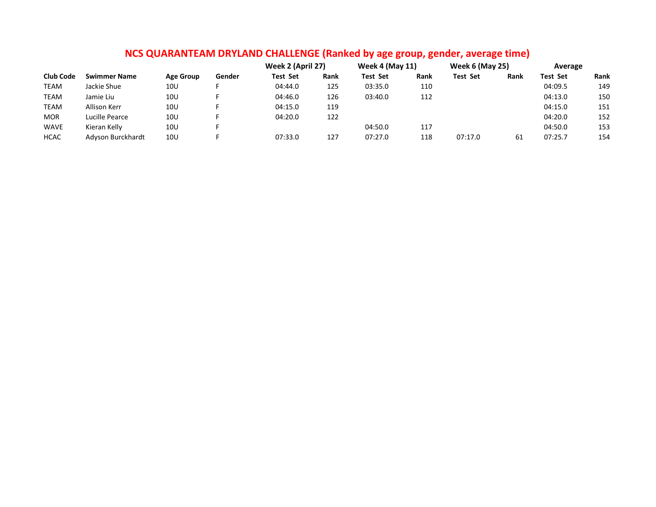|                  |                     |                  |        | Week 2 (April 27) |      | <b>Week 4 (May 11)</b> |      | <b>Week 6 (May 25)</b> |      | Average         |      |
|------------------|---------------------|------------------|--------|-------------------|------|------------------------|------|------------------------|------|-----------------|------|
| <b>Club Code</b> | <b>Swimmer Name</b> | <b>Age Group</b> | Gender | <b>Test Set</b>   | Rank | <b>Test Set</b>        | Rank | <b>Test Set</b>        | Rank | <b>Test Set</b> | Rank |
| <b>TEAM</b>      | Jackie Shue         | 10U              |        | 04:44.0           | 125  | 03:35.0                | 110  |                        |      | 04:09.5         | 149  |
| <b>TEAM</b>      | Jamie Liu           | 10U              |        | 04:46.0           | 126  | 03:40.0                | 112  |                        |      | 04:13.0         | 150  |
| <b>TEAM</b>      | Allison Kerr        | 10U              |        | 04:15.0           | 119  |                        |      |                        |      | 04:15.0         | 151  |
| <b>MOR</b>       | Lucille Pearce      | 10U              |        | 04:20.0           | 122  |                        |      |                        |      | 04:20.0         | 152  |
| <b>WAVE</b>      | Kieran Kelly        | 10U              |        |                   |      | 04:50.0                | 117  |                        |      | 04:50.0         | 153  |
| <b>HCAC</b>      | Adyson Burckhardt   | 10U              |        | 07:33.0           | 127  | 07:27.0                | 118  | 07:17.0                | -61  | 07:25.7         | 154  |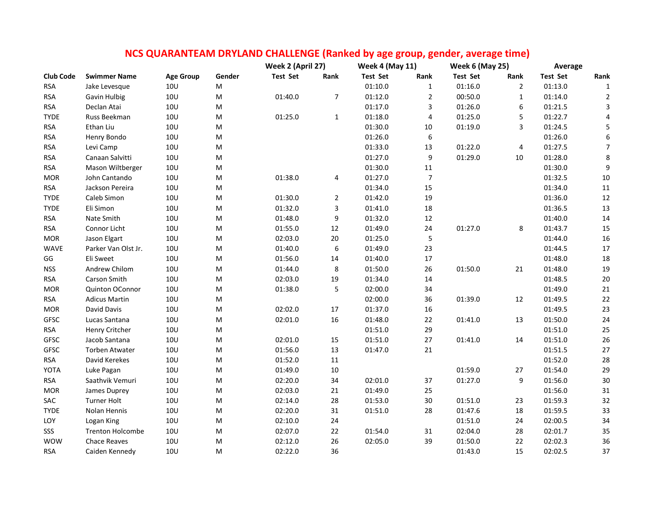|                  |                         |                  |        | Week 2 (April 27) |                | <b>Week 4 (May 11)</b> |                | <b>Week 6 (May 25)</b> |                | Average         |                  |
|------------------|-------------------------|------------------|--------|-------------------|----------------|------------------------|----------------|------------------------|----------------|-----------------|------------------|
| <b>Club Code</b> | <b>Swimmer Name</b>     | <b>Age Group</b> | Gender | <b>Test Set</b>   | Rank           | <b>Test Set</b>        | Rank           | <b>Test Set</b>        | Rank           | <b>Test Set</b> | Rank             |
| <b>RSA</b>       | Jake Levesque           | 10 <sub>U</sub>  | M      |                   |                | 01:10.0                | $\mathbf{1}$   | 01:16.0                | $\overline{2}$ | 01:13.0         | $\mathbf 1$      |
| <b>RSA</b>       | Gavin Hulbig            | 10U              | M      | 01:40.0           | 7              | 01:12.0                | 2              | 00:50.0                | $\mathbf{1}$   | 01:14.0         | $\overline{2}$   |
| <b>RSA</b>       | Declan Atai             | 10U              | M      |                   |                | 01:17.0                | 3              | 01:26.0                | 6              | 01:21.5         | 3                |
| <b>TYDE</b>      | Russ Beekman            | <b>10U</b>       | M      | 01:25.0           | $\mathbf 1$    | 01:18.0                | 4              | 01:25.0                | 5              | 01:22.7         | 4                |
| <b>RSA</b>       | Ethan Liu               | 10 <sub>U</sub>  | M      |                   |                | 01:30.0                | 10             | 01:19.0                | 3              | 01:24.5         | 5                |
| <b>RSA</b>       | Henry Bondo             | 10U              | M      |                   |                | 01:26.0                | 6              |                        |                | 01:26.0         | 6                |
| <b>RSA</b>       | Levi Camp               | <b>10U</b>       | М      |                   |                | 01:33.0                | 13             | 01:22.0                | $\overline{4}$ | 01:27.5         | $\overline{7}$   |
| <b>RSA</b>       | Canaan Salvitti         | 10U              | M      |                   |                | 01:27.0                | 9              | 01:29.0                | 10             | 01:28.0         | 8                |
| <b>RSA</b>       | Mason Wiltberger        | 10U              | М      |                   |                | 01:30.0                | 11             |                        |                | 01:30.0         | $\boldsymbol{9}$ |
| <b>MOR</b>       | John Cantando           | <b>10U</b>       | M      | 01:38.0           | 4              | 01:27.0                | $\overline{7}$ |                        |                | 01:32.5         | $10\,$           |
| <b>RSA</b>       | Jackson Pereira         | <b>10U</b>       | M      |                   |                | 01:34.0                | 15             |                        |                | 01:34.0         | $11\,$           |
| <b>TYDE</b>      | Caleb Simon             | 10U              | М      | 01:30.0           | $\overline{2}$ | 01:42.0                | 19             |                        |                | 01:36.0         | 12               |
| <b>TYDE</b>      | Eli Simon               | <b>10U</b>       | M      | 01:32.0           | 3              | 01:41.0                | 18             |                        |                | 01:36.5         | 13               |
| <b>RSA</b>       | Nate Smith              | 10U              | M      | 01:48.0           | 9              | 01:32.0                | 12             |                        |                | 01:40.0         | 14               |
| <b>RSA</b>       | Connor Licht            | <b>10U</b>       | M      | 01:55.0           | 12             | 01:49.0                | 24             | 01:27.0                | 8              | 01:43.7         | 15               |
| <b>MOR</b>       | Jason Elgart            | <b>10U</b>       | M      | 02:03.0           | 20             | 01:25.0                | 5              |                        |                | 01:44.0         | 16               |
| <b>WAVE</b>      | Parker Van Olst Jr.     | 10U              | М      | 01:40.0           | 6              | 01:49.0                | 23             |                        |                | 01:44.5         | $17\,$           |
| GG               | Eli Sweet               | <b>10U</b>       | M      | 01:56.0           | 14             | 01:40.0                | 17             |                        |                | 01:48.0         | 18               |
| <b>NSS</b>       | Andrew Chilom           | 10U              | M      | 01:44.0           | 8              | 01:50.0                | 26             | 01:50.0                | 21             | 01:48.0         | 19               |
| <b>RSA</b>       | Carson Smith            | <b>10U</b>       | М      | 02:03.0           | 19             | 01:34.0                | 14             |                        |                | 01:48.5         | $20\,$           |
| <b>MOR</b>       | Quinton OConnor         | <b>10U</b>       | М      | 01:38.0           | 5              | 02:00.0                | 34             |                        |                | 01:49.0         | $21\,$           |
| <b>RSA</b>       | <b>Adicus Martin</b>    | 10U              | М      |                   |                | 02:00.0                | 36             | 01:39.0                | 12             | 01:49.5         | 22               |
| <b>MOR</b>       | David Davis             | 10U              | M      | 02:02.0           | 17             | 01:37.0                | 16             |                        |                | 01:49.5         | 23               |
| <b>GFSC</b>      | Lucas Santana           | <b>10U</b>       | M      | 02:01.0           | 16             | 01:48.0                | 22             | 01:41.0                | 13             | 01:50.0         | 24               |
| <b>RSA</b>       | Henry Critcher          | <b>10U</b>       | M      |                   |                | 01:51.0                | 29             |                        |                | 01:51.0         | 25               |
| <b>GFSC</b>      | Jacob Santana           | 10U              | М      | 02:01.0           | 15             | 01:51.0                | 27             | 01:41.0                | 14             | 01:51.0         | 26               |
| GFSC             | <b>Torben Atwater</b>   | <b>10U</b>       | M      | 01:56.0           | 13             | 01:47.0                | 21             |                        |                | 01:51.5         | $27\,$           |
| <b>RSA</b>       | David Kerekes           | <b>10U</b>       | M      | 01:52.0           | 11             |                        |                |                        |                | 01:52.0         | 28               |
| YOTA             | Luke Pagan              | 10U              | M      | 01:49.0           | 10             |                        |                | 01:59.0                | 27             | 01:54.0         | 29               |
| <b>RSA</b>       | Saathvik Vemuri         | <b>10U</b>       | M      | 02:20.0           | 34             | 02:01.0                | 37             | 01:27.0                | 9              | 01:56.0         | $30\,$           |
| <b>MOR</b>       | James Duprey            | <b>10U</b>       | M      | 02:03.0           | 21             | 01:49.0                | 25             |                        |                | 01:56.0         | $31\,$           |
| SAC              | <b>Turner Holt</b>      | 10U              | M      | 02:14.0           | 28             | 01:53.0                | 30             | 01:51.0                | 23             | 01:59.3         | 32               |
| <b>TYDE</b>      | Nolan Hennis            | 10U              | M      | 02:20.0           | 31             | 01:51.0                | 28             | 01:47.6                | 18             | 01:59.5         | 33               |
| LOY              | Logan King              | <b>10U</b>       | M      | 02:10.0           | 24             |                        |                | 01:51.0                | 24             | 02:00.5         | 34               |
| SSS              | <b>Trenton Holcombe</b> | 10U              | M      | 02:07.0           | 22             | 01:54.0                | 31             | 02:04.0                | 28             | 02:01.7         | 35               |

WOW Chace Reaves 10U M 02:12.0 26 02:05.0 39 01:50.0 22 02:02.3 36 RSA Caiden Kennedy 10U M 02:22.0 36 01:43.0 15 02:02.5 37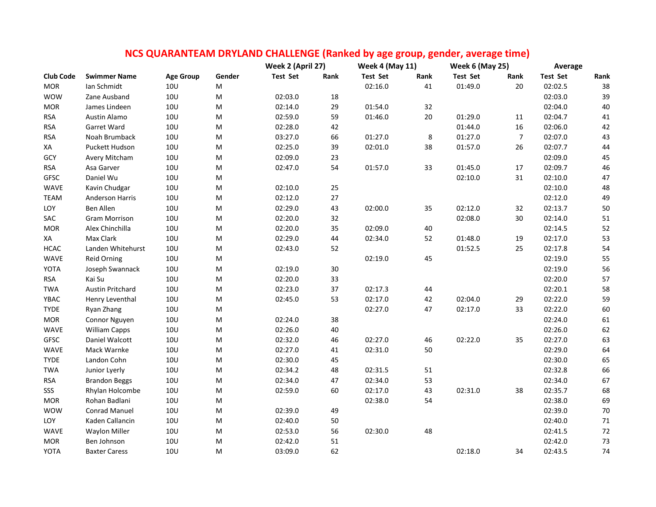|                  |                         |                  |           | NCS QUARANTEAM DRYLAND CHALLENGE (Ranked by age group, gender, average time) |        |                        |      |                        |                |                 |        |
|------------------|-------------------------|------------------|-----------|------------------------------------------------------------------------------|--------|------------------------|------|------------------------|----------------|-----------------|--------|
|                  |                         |                  |           | Week 2 (April 27)                                                            |        | <b>Week 4 (May 11)</b> |      | <b>Week 6 (May 25)</b> |                | Average         |        |
| <b>Club Code</b> | <b>Swimmer Name</b>     | <b>Age Group</b> | Gender    | <b>Test Set</b>                                                              | Rank   | <b>Test Set</b>        | Rank | <b>Test Set</b>        | Rank           | <b>Test Set</b> | Rank   |
| <b>MOR</b>       | Ian Schmidt             | 10 <sub>U</sub>  | M         |                                                                              |        | 02:16.0                | 41   | 01:49.0                | 20             | 02:02.5         | 38     |
| <b>WOW</b>       | Zane Ausband            | <b>10U</b>       | M         | 02:03.0                                                                      | 18     |                        |      |                        |                | 02:03.0         | 39     |
| <b>MOR</b>       | James Lindeen           | 10U              | М         | 02:14.0                                                                      | 29     | 01:54.0                | 32   |                        |                | 02:04.0         | 40     |
| <b>RSA</b>       | Austin Alamo            | 10U              | М         | 02:59.0                                                                      | 59     | 01:46.0                | 20   | 01:29.0                | 11             | 02:04.7         | $41\,$ |
| <b>RSA</b>       | Garret Ward             | 10U              | M         | 02:28.0                                                                      | 42     |                        |      | 01:44.0                | 16             | 02:06.0         | 42     |
| <b>RSA</b>       | Noah Brumback           | 10 <sub>U</sub>  | ${\sf M}$ | 03:27.0                                                                      | 66     | 01:27.0                | 8    | 01:27.0                | $\overline{7}$ | 02:07.0         | 43     |
| XA               | Puckett Hudson          | <b>10U</b>       | M         | 02:25.0                                                                      | 39     | 02:01.0                | 38   | 01:57.0                | 26             | 02:07.7         | 44     |
| GCY              | Avery Mitcham           | 10 <sub>U</sub>  | M         | 02:09.0                                                                      | 23     |                        |      |                        |                | 02:09.0         | 45     |
| <b>RSA</b>       | Asa Garver              | 10U              | ${\sf M}$ | 02:47.0                                                                      | 54     | 01:57.0                | 33   | 01:45.0                | 17             | 02:09.7         | 46     |
| GFSC             | Daniel Wu               | 10U              | M         |                                                                              |        |                        |      | 02:10.0                | 31             | 02:10.0         | 47     |
| <b>WAVE</b>      | Kavin Chudgar           | 10 <sub>U</sub>  | M         | 02:10.0                                                                      | 25     |                        |      |                        |                | 02:10.0         | 48     |
| <b>TEAM</b>      | <b>Anderson Harris</b>  | <b>10U</b>       | M         | 02:12.0                                                                      | 27     |                        |      |                        |                | 02:12.0         | 49     |
| LOY              | <b>Ben Allen</b>        | <b>10U</b>       | M         | 02:29.0                                                                      | 43     | 02:00.0                | 35   | 02:12.0                | 32             | 02:13.7         | 50     |
| SAC              | <b>Gram Morrison</b>    | <b>10U</b>       | М         | 02:20.0                                                                      | 32     |                        |      | 02:08.0                | 30             | 02:14.0         | 51     |
| <b>MOR</b>       | Alex Chinchilla         | <b>10U</b>       | M         | 02:20.0                                                                      | 35     | 02:09.0                | 40   |                        |                | 02:14.5         | 52     |
| XA               | Max Clark               | 10U              | M         | 02:29.0                                                                      | 44     | 02:34.0                | 52   | 01:48.0                | 19             | 02:17.0         | 53     |
| <b>HCAC</b>      | Landen Whitehurst       | <b>10U</b>       | ${\sf M}$ | 02:43.0                                                                      | 52     |                        |      | 01:52.5                | 25             | 02:17.8         | 54     |
| WAVE             | Reid Orning             | 10U              | ${\sf M}$ |                                                                              |        | 02:19.0                | 45   |                        |                | 02:19.0         | 55     |
| YOTA             | Joseph Swannack         | 10U              | ${\sf M}$ | 02:19.0                                                                      | $30\,$ |                        |      |                        |                | 02:19.0         | 56     |
| <b>RSA</b>       | Kai Su                  | <b>10U</b>       | ${\sf M}$ | 02:20.0                                                                      | 33     |                        |      |                        |                | 02:20.0         | 57     |
| <b>TWA</b>       | <b>Austin Pritchard</b> | 10U              | M         | 02:23.0                                                                      | 37     | 02:17.3                | 44   |                        |                | 02:20.1         | 58     |
| YBAC             | Henry Leventhal         | 10U              | ${\sf M}$ | 02:45.0                                                                      | 53     | 02:17.0                | 42   | 02:04.0                | 29             | 02:22.0         | 59     |
| <b>TYDE</b>      | Ryan Zhang              | 10U              | ${\sf M}$ |                                                                              |        | 02:27.0                | 47   | 02:17.0                | 33             | 02:22.0         | 60     |
| <b>MOR</b>       | Connor Nguyen           | 10U              | M         | 02:24.0                                                                      | 38     |                        |      |                        |                | 02:24.0         | 61     |
| <b>WAVE</b>      | <b>William Capps</b>    | <b>10U</b>       | M         | 02:26.0                                                                      | 40     |                        |      |                        |                | 02:26.0         | 62     |
| <b>GFSC</b>      | Daniel Walcott          | 10U              | ${\sf M}$ | 02:32.0                                                                      | 46     | 02:27.0                | 46   | 02:22.0                | 35             | 02:27.0         | 63     |
| <b>WAVE</b>      | Mack Warnke             | <b>10U</b>       | M         | 02:27.0                                                                      | 41     | 02:31.0                | 50   |                        |                | 02:29.0         | 64     |
| <b>TYDE</b>      | Landon Cohn             | <b>10U</b>       | M         | 02:30.0                                                                      | 45     |                        |      |                        |                | 02:30.0         | 65     |
| <b>TWA</b>       | Junior Lyerly           | <b>10U</b>       | M         | 02:34.2                                                                      | 48     | 02:31.5                | 51   |                        |                | 02:32.8         | 66     |
| <b>RSA</b>       | <b>Brandon Beggs</b>    | 10U              | M         | 02:34.0                                                                      | 47     | 02:34.0                | 53   |                        |                | 02:34.0         | 67     |
| SSS              | Rhylan Holcombe         | 10 <sub>U</sub>  | M         | 02:59.0                                                                      | 60     | 02:17.0                | 43   | 02:31.0                | 38             | 02:35.7         | 68     |
| <b>MOR</b>       | Rohan Badlani           | <b>10U</b>       | M         |                                                                              |        | 02:38.0                | 54   |                        |                | 02:38.0         | 69     |
| <b>WOW</b>       | <b>Conrad Manuel</b>    | 10U              | M         | 02:39.0                                                                      | 49     |                        |      |                        |                | 02:39.0         | $70\,$ |
| LOY              | Kaden Callancin         | 10U              | M         | 02:40.0                                                                      | 50     |                        |      |                        |                | 02:40.0         | 71     |
| <b>WAVE</b>      | <b>Waylon Miller</b>    | <b>10U</b>       | M         | 02:53.0                                                                      | 56     | 02:30.0                | 48   |                        |                | 02:41.5         | $72\,$ |
| <b>MOR</b>       | Ben Johnson             | 10U              | M         | 02:42.0                                                                      | 51     |                        |      |                        |                | 02:42.0         | 73     |
| YOTA             | <b>Baxter Caress</b>    | <b>10U</b>       | M         | 03:09.0                                                                      | 62     |                        |      | 02:18.0                | 34             | 02:43.5         | 74     |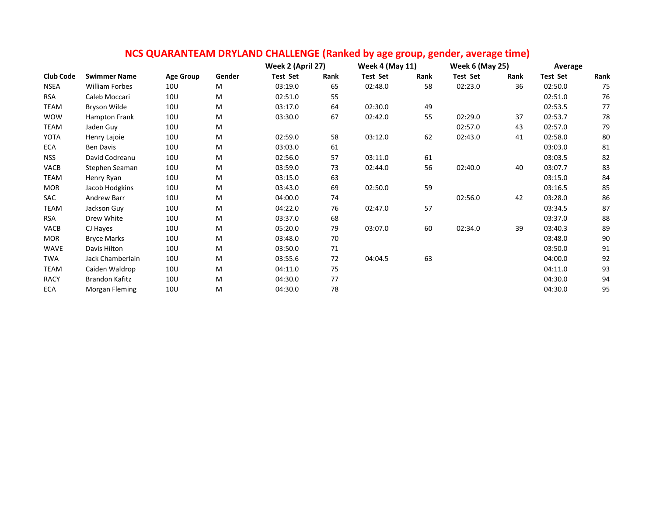|                  |                       |                  |        |                 | Week 2 (April 27) |                 | <b>Week 4 (May 11)</b> |                 | <b>Week 6 (May 25)</b> |                 | Average |  |
|------------------|-----------------------|------------------|--------|-----------------|-------------------|-----------------|------------------------|-----------------|------------------------|-----------------|---------|--|
| <b>Club Code</b> | <b>Swimmer Name</b>   | <b>Age Group</b> | Gender | <b>Test Set</b> | Rank              | <b>Test Set</b> | Rank                   | <b>Test Set</b> | Rank                   | <b>Test Set</b> | Rank    |  |
| <b>NSEA</b>      | William Forbes        | 10 <sub>U</sub>  | M      | 03:19.0         | 65                | 02:48.0         | 58                     | 02:23.0         | 36                     | 02:50.0         | 75      |  |
| <b>RSA</b>       | Caleb Moccari         | 10 <sub>U</sub>  | M      | 02:51.0         | 55                |                 |                        |                 |                        | 02:51.0         | 76      |  |
| TEAM             | Bryson Wilde          | 10 <sub>U</sub>  | Μ      | 03:17.0         | 64                | 02:30.0         | 49                     |                 |                        | 02:53.5         | 77      |  |
| <b>WOW</b>       | Hampton Frank         | 10 <sub>U</sub>  | м      | 03:30.0         | 67                | 02:42.0         | 55                     | 02:29.0         | 37                     | 02:53.7         | 78      |  |
| TEAM             | Jaden Guy             | 10 <sub>U</sub>  | M      |                 |                   |                 |                        | 02:57.0         | 43                     | 02:57.0         | 79      |  |
| YOTA             | Henry Lajoie          | 10U              | M      | 02:59.0         | 58                | 03:12.0         | 62                     | 02:43.0         | 41                     | 02:58.0         | 80      |  |
| <b>ECA</b>       | <b>Ben Davis</b>      | 10 <sub>U</sub>  | M      | 03:03.0         | 61                |                 |                        |                 |                        | 03:03.0         | 81      |  |
| <b>NSS</b>       | David Codreanu        | 10U              | М      | 02:56.0         | 57                | 03:11.0         | 61                     |                 |                        | 03:03.5         | 82      |  |
| VACB             | Stephen Seaman        | 10 <sub>U</sub>  | M      | 03:59.0         | 73                | 02:44.0         | 56                     | 02:40.0         | 40                     | 03:07.7         | 83      |  |
| <b>TEAM</b>      | Henry Ryan            | 10U              | M      | 03:15.0         | 63                |                 |                        |                 |                        | 03:15.0         | 84      |  |
| <b>MOR</b>       | Jacob Hodgkins        | 10 <sub>U</sub>  | M      | 03:43.0         | 69                | 02:50.0         | 59                     |                 |                        | 03:16.5         | 85      |  |
| SAC              | Andrew Barr           | 10 <sub>U</sub>  | Μ      | 04:00.0         | 74                |                 |                        | 02:56.0         | 42                     | 03:28.0         | 86      |  |
| <b>TEAM</b>      | Jackson Guy           | 10 <sub>U</sub>  | M      | 04:22.0         | 76                | 02:47.0         | 57                     |                 |                        | 03:34.5         | 87      |  |
| <b>RSA</b>       | Drew White            | 10 <sub>U</sub>  | M      | 03:37.0         | 68                |                 |                        |                 |                        | 03:37.0         | 88      |  |
| VACB             | CJ Hayes              | 10 <sub>U</sub>  | M      | 05:20.0         | 79                | 03:07.0         | 60                     | 02:34.0         | 39                     | 03:40.3         | 89      |  |
| <b>MOR</b>       | <b>Bryce Marks</b>    | 10 <sub>U</sub>  | M      | 03:48.0         | 70                |                 |                        |                 |                        | 03:48.0         | 90      |  |
| <b>WAVE</b>      | Davis Hilton          | 10 <sub>U</sub>  | M      | 03:50.0         | 71                |                 |                        |                 |                        | 03:50.0         | 91      |  |
| <b>TWA</b>       | Jack Chamberlain      | 10 <sub>U</sub>  | M      | 03:55.6         | 72                | 04:04.5         | 63                     |                 |                        | 04:00.0         | 92      |  |
| <b>TEAM</b>      | Caiden Waldrop        | 10 <sub>U</sub>  | М      | 04:11.0         | 75                |                 |                        |                 |                        | 04:11.0         | 93      |  |
| <b>RACY</b>      | <b>Brandon Kafitz</b> | 10 <sub>U</sub>  | M      | 04:30.0         | 77                |                 |                        |                 |                        | 04:30.0         | 94      |  |
| <b>ECA</b>       | Morgan Fleming        | 10 <sub>U</sub>  | M      | 04:30.0         | 78                |                 |                        |                 |                        | 04:30.0         | 95      |  |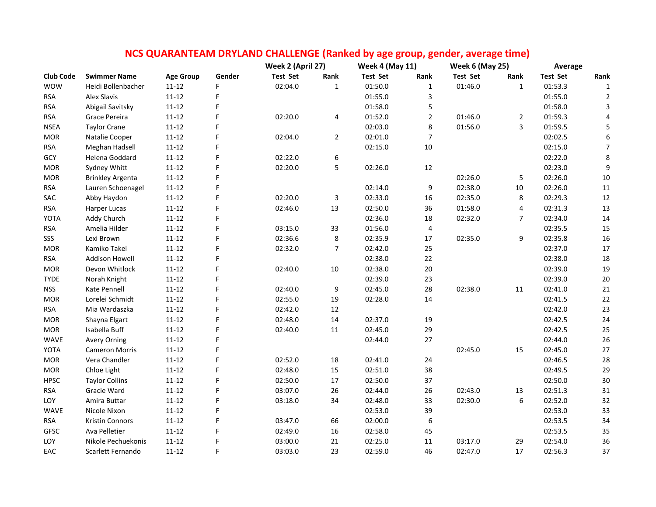|                  |                         |                  |        | NCS QUARANTEAM DRYLAND CHALLENGE (Ranked by age group, gender, average time) |                |                        |                  |                        |                |                 |                  |
|------------------|-------------------------|------------------|--------|------------------------------------------------------------------------------|----------------|------------------------|------------------|------------------------|----------------|-----------------|------------------|
|                  |                         |                  |        | Week 2 (April 27)                                                            |                | <b>Week 4 (May 11)</b> |                  | <b>Week 6 (May 25)</b> |                | Average         |                  |
| <b>Club Code</b> | <b>Swimmer Name</b>     | <b>Age Group</b> | Gender | <b>Test Set</b>                                                              | Rank           | <b>Test Set</b>        | Rank             | <b>Test Set</b>        | Rank           | <b>Test Set</b> | Rank             |
| <b>WOW</b>       | Heidi Bollenbacher      | $11 - 12$        | F      | 02:04.0                                                                      | $\mathbf{1}$   | 01:50.0                | $\mathbf{1}$     | 01:46.0                | $\mathbf{1}$   | 01:53.3         | $\mathbf{1}$     |
| <b>RSA</b>       | Alex Slavis             | $11 - 12$        | F      |                                                                              |                | 01:55.0                | 3                |                        |                | 01:55.0         | $\overline{2}$   |
| <b>RSA</b>       | Abigail Savitsky        | $11 - 12$        | F      |                                                                              |                | 01:58.0                | 5                |                        |                | 01:58.0         | 3                |
| <b>RSA</b>       | Grace Pereira           | $11 - 12$        | F      | 02:20.0                                                                      | 4              | 01:52.0                | $\overline{2}$   | 01:46.0                | $\overline{2}$ | 01:59.3         | 4                |
| <b>NSEA</b>      | <b>Taylor Crane</b>     | $11 - 12$        | F      |                                                                              |                | 02:03.0                | 8                | 01:56.0                | 3              | 01:59.5         | 5                |
| <b>MOR</b>       | Natalie Cooper          | $11 - 12$        | F      | 02:04.0                                                                      | $\overline{2}$ | 02:01.0                | $\overline{7}$   |                        |                | 02:02.5         | $\boldsymbol{6}$ |
| <b>RSA</b>       | Meghan Hadsell          | $11 - 12$        | F      |                                                                              |                | 02:15.0                | 10               |                        |                | 02:15.0         | $\overline{7}$   |
| GCY              | Helena Goddard          | $11 - 12$        | F      | 02:22.0                                                                      | 6              |                        |                  |                        |                | 02:22.0         | $\,8\,$          |
| <b>MOR</b>       | Sydney Whitt            | $11 - 12$        | F      | 02:20.0                                                                      | 5              | 02:26.0                | 12               |                        |                | 02:23.0         | $\boldsymbol{9}$ |
| <b>MOR</b>       | <b>Brinkley Argenta</b> | $11 - 12$        | F      |                                                                              |                |                        |                  | 02:26.0                | 5              | 02:26.0         | $10\,$           |
| <b>RSA</b>       | Lauren Schoenagel       | $11 - 12$        |        |                                                                              |                | 02:14.0                | 9                | 02:38.0                | 10             | 02:26.0         | 11               |
| SAC              | Abby Haydon             | $11 - 12$        | F      | 02:20.0                                                                      | 3              | 02:33.0                | 16               | 02:35.0                | 8              | 02:29.3         | $12\,$           |
| <b>RSA</b>       | Harper Lucas            | $11 - 12$        | F      | 02:46.0                                                                      | 13             | 02:50.0                | 36               | 01:58.0                | 4              | 02:31.3         | 13               |
| YOTA             | Addy Church             | $11 - 12$        |        |                                                                              |                | 02:36.0                | 18               | 02:32.0                | $\overline{7}$ | 02:34.0         | $14\,$           |
| <b>RSA</b>       | Amelia Hilder           | $11 - 12$        | F      | 03:15.0                                                                      | 33             | 01:56.0                | 4                |                        |                | 02:35.5         | 15               |
| SSS              | Lexi Brown              | $11 - 12$        | F      | 02:36.6                                                                      | 8              | 02:35.9                | 17               | 02:35.0                | 9              | 02:35.8         | 16               |
| <b>MOR</b>       | Kamiko Takei            | $11 - 12$        | F      | 02:32.0                                                                      | $\overline{7}$ | 02:42.0                | 25               |                        |                | 02:37.0         | 17               |
| <b>RSA</b>       | Addison Howell          | $11 - 12$        | F      |                                                                              |                | 02:38.0                | 22               |                        |                | 02:38.0         | $18\,$           |
| <b>MOR</b>       | Devon Whitlock          | $11 - 12$        | F      | 02:40.0                                                                      | 10             | 02:38.0                | 20               |                        |                | 02:39.0         | 19               |
| <b>TYDE</b>      | Norah Knight            | $11 - 12$        | F      |                                                                              |                | 02:39.0                | 23               |                        |                | 02:39.0         | $20\,$           |
| <b>NSS</b>       | Kate Pennell            | $11 - 12$        | F      | 02:40.0                                                                      | 9              | 02:45.0                | 28               | 02:38.0                | 11             | 02:41.0         | 21               |
| <b>MOR</b>       | Lorelei Schmidt         | $11 - 12$        | F      | 02:55.0                                                                      | 19             | 02:28.0                | 14               |                        |                | 02:41.5         | 22               |
| <b>RSA</b>       | Mia Wardaszka           | $11 - 12$        | F      | 02:42.0                                                                      | 12             |                        |                  |                        |                | 02:42.0         | 23               |
| <b>MOR</b>       | Shayna Elgart           | $11 - 12$        | F      | 02:48.0                                                                      | 14             | 02:37.0                | 19               |                        |                | 02:42.5         | 24               |
| <b>MOR</b>       | Isabella Buff           | $11 - 12$        | F      | 02:40.0                                                                      | $11\,$         | 02:45.0                | 29               |                        |                | 02:42.5         | 25               |
| WAVE             | <b>Avery Orning</b>     | $11 - 12$        | F      |                                                                              |                | 02:44.0                | 27               |                        |                | 02:44.0         | 26               |
| YOTA             | <b>Cameron Morris</b>   | $11 - 12$        | F      |                                                                              |                |                        |                  | 02:45.0                | 15             | 02:45.0         | $27\,$           |
| <b>MOR</b>       | Vera Chandler           | $11 - 12$        |        | 02:52.0                                                                      | 18             | 02:41.0                | 24               |                        |                | 02:46.5         | 28               |
| <b>MOR</b>       | Chloe Light             | $11 - 12$        | F      | 02:48.0                                                                      | 15             | 02:51.0                | 38               |                        |                | 02:49.5         | 29               |
| <b>HPSC</b>      | <b>Taylor Collins</b>   | $11 - 12$        | F      | 02:50.0                                                                      | 17             | 02:50.0                | 37               |                        |                | 02:50.0         | 30               |
| <b>RSA</b>       | Gracie Ward             | $11 - 12$        | F      | 03:07.0                                                                      | 26             | 02:44.0                | 26               | 02:43.0                | 13             | 02:51.3         | 31               |
| LOY              | Amira Buttar            | $11 - 12$        |        | 03:18.0                                                                      | 34             | 02:48.0                | 33               | 02:30.0                | 6              | 02:52.0         | 32               |
| <b>WAVE</b>      | Nicole Nixon            | $11 - 12$        | F      |                                                                              |                | 02:53.0                | 39               |                        |                | 02:53.0         | 33               |
| <b>RSA</b>       | Kristin Connors         | $11 - 12$        | F      | 03:47.0                                                                      | 66             | 02:00.0                | $\boldsymbol{6}$ |                        |                | 02:53.5         | 34               |
| GFSC             | Ava Pelletier           | $11 - 12$        | F      | 02:49.0                                                                      | 16             | 02:58.0                | 45               |                        |                | 02:53.5         | 35               |
| LOY              | Nikole Pechuekonis      | $11 - 12$        | F      | 03:00.0                                                                      | 21             | 02:25.0                | 11               | 03:17.0                | 29             | 02:54.0         | 36               |
| EAC              | Scarlett Fernando       | $11 - 12$        | F      | 03:03.0                                                                      | 23             | 02:59.0                | 46               | 02:47.0                | 17             | 02:56.3         | 37               |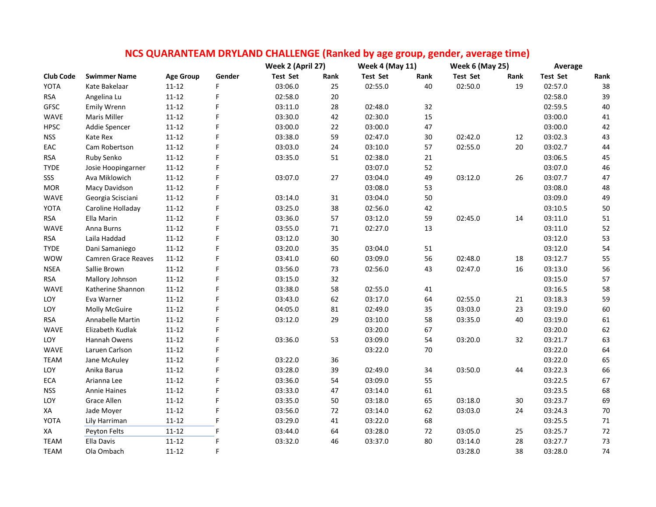|                  |                            |                  |        | NCS QUARANTEAM DRYLAND CHALLENGE (Ranked by age group, gender, average time) |      |                        |      |                        |      |                 |        |
|------------------|----------------------------|------------------|--------|------------------------------------------------------------------------------|------|------------------------|------|------------------------|------|-----------------|--------|
|                  |                            |                  |        | Week 2 (April 27)                                                            |      | <b>Week 4 (May 11)</b> |      | <b>Week 6 (May 25)</b> |      | Average         |        |
| <b>Club Code</b> | <b>Swimmer Name</b>        | <b>Age Group</b> | Gender | <b>Test Set</b>                                                              | Rank | <b>Test Set</b>        | Rank | <b>Test Set</b>        | Rank | <b>Test Set</b> | Rank   |
| YOTA             | Kate Bakelaar              | $11 - 12$        | F      | 03:06.0                                                                      | 25   | 02:55.0                | 40   | 02:50.0                | 19   | 02:57.0         | 38     |
| <b>RSA</b>       | Angelina Lu                | $11 - 12$        | F      | 02:58.0                                                                      | 20   |                        |      |                        |      | 02:58.0         | 39     |
| <b>GFSC</b>      | <b>Emily Wrenn</b>         | $11 - 12$        | F      | 03:11.0                                                                      | 28   | 02:48.0                | 32   |                        |      | 02:59.5         | 40     |
| WAVE             | Maris Miller               | $11 - 12$        | F      | 03:30.0                                                                      | 42   | 02:30.0                | 15   |                        |      | 03:00.0         | $41\,$ |
| <b>HPSC</b>      | Addie Spencer              | $11 - 12$        | F      | 03:00.0                                                                      | 22   | 03:00.0                | 47   |                        |      | 03:00.0         | 42     |
| <b>NSS</b>       | Kate Rex                   | $11 - 12$        | F      | 03:38.0                                                                      | 59   | 02:47.0                | 30   | 02:42.0                | 12   | 03:02.3         | 43     |
| EAC              | Cam Robertson              | $11 - 12$        | F      | 03:03.0                                                                      | 24   | 03:10.0                | 57   | 02:55.0                | 20   | 03:02.7         | 44     |
| <b>RSA</b>       | Ruby Senko                 | $11 - 12$        | F      | 03:35.0                                                                      | 51   | 02:38.0                | 21   |                        |      | 03:06.5         | 45     |
| <b>TYDE</b>      | Josie Hoopingarner         | $11 - 12$        | F      |                                                                              |      | 03:07.0                | 52   |                        |      | 03:07.0         | 46     |
| SSS              | Ava Miklowich              | $11 - 12$        | F      | 03:07.0                                                                      | 27   | 03:04.0                | 49   | 03:12.0                | 26   | 03:07.7         | 47     |
| <b>MOR</b>       | Macy Davidson              | $11 - 12$        | F      |                                                                              |      | 03:08.0                | 53   |                        |      | 03:08.0         | 48     |
| WAVE             | Georgia Scisciani          | $11 - 12$        | F      | 03:14.0                                                                      | 31   | 03:04.0                | 50   |                        |      | 03:09.0         | 49     |
| YOTA             | Caroline Holladay          | $11 - 12$        | F      | 03:25.0                                                                      | 38   | 02:56.0                | 42   |                        |      | 03:10.5         | 50     |
| <b>RSA</b>       | Ella Marin                 | $11 - 12$        | F      | 03:36.0                                                                      | 57   | 03:12.0                | 59   | 02:45.0                | 14   | 03:11.0         | 51     |
| <b>WAVE</b>      | Anna Burns                 | $11 - 12$        | F      | 03:55.0                                                                      | 71   | 02:27.0                | 13   |                        |      | 03:11.0         | 52     |
| <b>RSA</b>       | Laila Haddad               | $11 - 12$        | F      | 03:12.0                                                                      | 30   |                        |      |                        |      | 03:12.0         | 53     |
| <b>TYDE</b>      | Dani Samaniego             | $11 - 12$        | F      | 03:20.0                                                                      | 35   | 03:04.0                | 51   |                        |      | 03:12.0         | 54     |
| <b>WOW</b>       | <b>Camren Grace Reaves</b> | $11 - 12$        | F      | 03:41.0                                                                      | 60   | 03:09.0                | 56   | 02:48.0                | 18   | 03:12.7         | 55     |
| <b>NSEA</b>      | Sallie Brown               | $11 - 12$        | F      | 03:56.0                                                                      | 73   | 02:56.0                | 43   | 02:47.0                | 16   | 03:13.0         | 56     |
| <b>RSA</b>       | Mallory Johnson            | $11 - 12$        | F      | 03:15.0                                                                      | 32   |                        |      |                        |      | 03:15.0         | 57     |
| WAVE             | Katherine Shannon          | $11 - 12$        | F      | 03:38.0                                                                      | 58   | 02:55.0                | 41   |                        |      | 03:16.5         | 58     |
| LOY              | Eva Warner                 | $11 - 12$        | F      | 03:43.0                                                                      | 62   | 03:17.0                | 64   | 02:55.0                | 21   | 03:18.3         | 59     |
| LOY              | Molly McGuire              | $11 - 12$        | F      | 04:05.0                                                                      | 81   | 02:49.0                | 35   | 03:03.0                | 23   | 03:19.0         | 60     |
| <b>RSA</b>       | Annabelle Martin           | $11 - 12$        | F      | 03:12.0                                                                      | 29   | 03:10.0                | 58   | 03:35.0                | 40   | 03:19.0         | 61     |
| WAVE             | Elizabeth Kudlak           | $11 - 12$        | F      |                                                                              |      | 03:20.0                | 67   |                        |      | 03:20.0         | 62     |
| <b>LOY</b>       | Hannah Owens               | $11 - 12$        | F      | 03:36.0                                                                      | 53   | 03:09.0                | 54   | 03:20.0                | 32   | 03:21.7         | 63     |
| <b>WAVE</b>      | Laruen Carlson             | $11 - 12$        | F      |                                                                              |      | 03:22.0                | 70   |                        |      | 03:22.0         | 64     |
| <b>TEAM</b>      | Jane McAuley               | $11 - 12$        | F      | 03:22.0                                                                      | 36   |                        |      |                        |      | 03:22.0         | 65     |
| LOY              | Anika Barua                | $11 - 12$        | F      | 03:28.0                                                                      | 39   | 02:49.0                | 34   | 03:50.0                | 44   | 03:22.3         | 66     |
| ECA              | Arianna Lee                | $11 - 12$        | Ë      | 03:36.0                                                                      | 54   | 03:09.0                | 55   |                        |      | 03:22.5         | 67     |
| <b>NSS</b>       | <b>Annie Haines</b>        | $11 - 12$        | F      | 03:33.0                                                                      | 47   | 03:14.0                | 61   |                        |      | 03:23.5         | 68     |
| LOY              | Grace Allen                | $11 - 12$        | F      | 03:35.0                                                                      | 50   | 03:18.0                | 65   | 03:18.0                | 30   | 03:23.7         | 69     |
| XA               | Jade Moyer                 | $11 - 12$        | F      | 03:56.0                                                                      | 72   | 03:14.0                | 62   | 03:03.0                | 24   | 03:24.3         | $70\,$ |
| YOTA             | Lily Harriman              | $11 - 12$        | F      | 03:29.0                                                                      | 41   | 03:22.0                | 68   |                        |      | 03:25.5         | $71\,$ |
| XA               | Peyton Felts               | $11 - 12$        | F      | 03:44.0                                                                      | 64   | 03:28.0                | 72   | 03:05.0                | 25   | 03:25.7         | $72\,$ |
| <b>TEAM</b>      | Ella Davis                 | $11 - 12$        | F      | 03:32.0                                                                      | 46   | 03:37.0                | 80   | 03:14.0                | 28   | 03:27.7         | 73     |
| <b>TEAM</b>      | Ola Ombach                 | $11 - 12$        | F      |                                                                              |      |                        |      | 03:28.0                | 38   | 03:28.0         | 74     |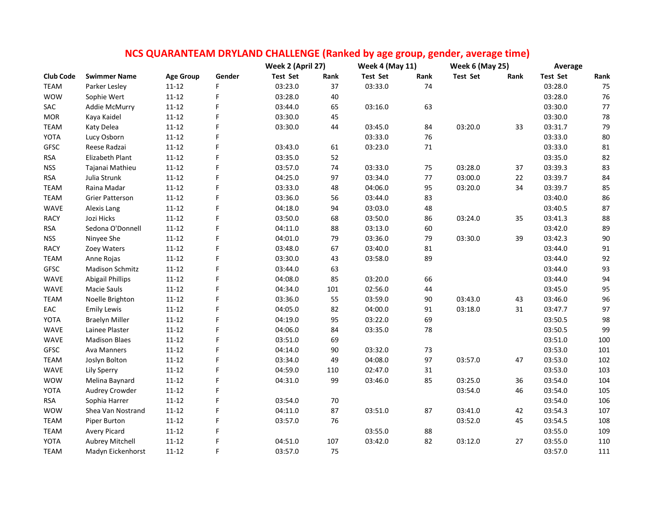|                  |                         |                  |        | Week 2 (April 27) |        | <b>Week 4 (May 11)</b> |      | <b>Week 6 (May 25)</b> |      | Average         |        |
|------------------|-------------------------|------------------|--------|-------------------|--------|------------------------|------|------------------------|------|-----------------|--------|
| <b>Club Code</b> | <b>Swimmer Name</b>     | <b>Age Group</b> | Gender | <b>Test Set</b>   | Rank   | <b>Test Set</b>        | Rank | <b>Test Set</b>        | Rank | <b>Test Set</b> | Rank   |
| <b>TEAM</b>      | Parker Lesley           | $11 - 12$        | F      | 03:23.0           | 37     | 03:33.0                | 74   |                        |      | 03:28.0         | 75     |
| <b>WOW</b>       | Sophie Wert             | $11 - 12$        | F      | 03:28.0           | 40     |                        |      |                        |      | 03:28.0         | 76     |
| SAC              | Addie McMurry           | $11 - 12$        | F      | 03:44.0           | 65     | 03:16.0                | 63   |                        |      | 03:30.0         | 77     |
| <b>MOR</b>       | Kaya Kaidel             | $11 - 12$        | F      | 03:30.0           | 45     |                        |      |                        |      | 03:30.0         | 78     |
| <b>TEAM</b>      | Katy Delea              | $11 - 12$        | F      | 03:30.0           | 44     | 03:45.0                | 84   | 03:20.0                | 33   | 03:31.7         | 79     |
| YOTA             | Lucy Osborn             | $11 - 12$        | F      |                   |        | 03:33.0                | 76   |                        |      | 03:33.0         | $80\,$ |
| <b>GFSC</b>      | Reese Radzai            | $11 - 12$        | F      | 03:43.0           | 61     | 03:23.0                | 71   |                        |      | 03:33.0         | 81     |
| <b>RSA</b>       | Elizabeth Plant         | $11 - 12$        | F      | 03:35.0           | 52     |                        |      |                        |      | 03:35.0         | 82     |
| <b>NSS</b>       | Tajanai Mathieu         | $11 - 12$        | F      | 03:57.0           | 74     | 03:33.0                | 75   | 03:28.0                | 37   | 03:39.3         | 83     |
| <b>RSA</b>       | Julia Strunk            | $11 - 12$        | F      | 04:25.0           | 97     | 03:34.0                | 77   | 03:00.0                | 22   | 03:39.7         | 84     |
| <b>TEAM</b>      | Raina Madar             | $11 - 12$        | F      | 03:33.0           | 48     | 04:06.0                | 95   | 03:20.0                | 34   | 03:39.7         | 85     |
| <b>TEAM</b>      | <b>Grier Patterson</b>  | $11 - 12$        | F      | 03:36.0           | 56     | 03:44.0                | 83   |                        |      | 03:40.0         | 86     |
| WAVE             | Alexis Lang             | $11 - 12$        | F      | 04:18.0           | 94     | 03:03.0                | 48   |                        |      | 03:40.5         | 87     |
| <b>RACY</b>      | Jozi Hicks              | $11 - 12$        | F      | 03:50.0           | 68     | 03:50.0                | 86   | 03:24.0                | 35   | 03:41.3         | 88     |
| <b>RSA</b>       | Sedona O'Donnell        | $11 - 12$        | F      | 04:11.0           | 88     | 03:13.0                | 60   |                        |      | 03:42.0         | 89     |
| <b>NSS</b>       | Ninyee She              | $11 - 12$        | F      | 04:01.0           | 79     | 03:36.0                | 79   | 03:30.0                | 39   | 03:42.3         | $90\,$ |
| <b>RACY</b>      | Zoey Waters             | $11 - 12$        | F      | 03:48.0           | 67     | 03:40.0                | 81   |                        |      | 03:44.0         | 91     |
| <b>TEAM</b>      | Anne Rojas              | $11 - 12$        | F      | 03:30.0           | 43     | 03:58.0                | 89   |                        |      | 03:44.0         | 92     |
| GFSC             | <b>Madison Schmitz</b>  | $11 - 12$        | F      | 03:44.0           | 63     |                        |      |                        |      | 03:44.0         | 93     |
| WAVE             | <b>Abigail Phillips</b> | $11 - 12$        | F      | 04:08.0           | 85     | 03:20.0                | 66   |                        |      | 03:44.0         | 94     |
| WAVE             | Macie Sauls             | $11 - 12$        | F      | 04:34.0           | 101    | 02:56.0                | 44   |                        |      | 03:45.0         | 95     |
| <b>TEAM</b>      | Noelle Brighton         | $11 - 12$        | F      | 03:36.0           | 55     | 03:59.0                | 90   | 03:43.0                | 43   | 03:46.0         | 96     |
| EAC              | <b>Emily Lewis</b>      | $11 - 12$        | F      | 04:05.0           | 82     | 04:00.0                | 91   | 03:18.0                | 31   | 03:47.7         | 97     |
| YOTA             | <b>Braelyn Miller</b>   | $11 - 12$        | F      | 04:19.0           | 95     | 03:22.0                | 69   |                        |      | 03:50.5         | 98     |
| WAVE             | Lainee Plaster          | $11 - 12$        | F      | 04:06.0           | 84     | 03:35.0                | 78   |                        |      | 03:50.5         | 99     |
| WAVE             | <b>Madison Blaes</b>    | $11 - 12$        | F      | 03:51.0           | 69     |                        |      |                        |      | 03:51.0         | 100    |
| <b>GFSC</b>      | Ava Manners             | $11 - 12$        | F      | 04:14.0           | 90     | 03:32.0                | 73   |                        |      | 03:53.0         | 101    |
| <b>TEAM</b>      | Joslyn Bolton           | $11 - 12$        | F      | 03:34.0           | 49     | 04:08.0                | 97   | 03:57.0                | 47   | 03:53.0         | 102    |
| WAVE             | Lily Sperry             | $11 - 12$        | F      | 04:59.0           | 110    | 02:47.0                | 31   |                        |      | 03:53.0         | 103    |
| <b>WOW</b>       | Melina Baynard          | $11 - 12$        | F      | 04:31.0           | 99     | 03:46.0                | 85   | 03:25.0                | 36   | 03:54.0         | 104    |
| YOTA             | Audrey Crowder          | $11 - 12$        | F      |                   |        |                        |      | 03:54.0                | 46   | 03:54.0         | 105    |
| <b>RSA</b>       | Sophia Harrer           | $11 - 12$        | F      | 03:54.0           | $70\,$ |                        |      |                        |      | 03:54.0         | 106    |
| <b>WOW</b>       | Shea Van Nostrand       | $11 - 12$        | F      | 04:11.0           | 87     | 03:51.0                | 87   | 03:41.0                | 42   | 03:54.3         | 107    |
| <b>TEAM</b>      | Piper Burton            | $11 - 12$        | F      | 03:57.0           | 76     |                        |      | 03:52.0                | 45   | 03:54.5         | 108    |
| <b>TEAM</b>      | <b>Avery Picard</b>     | $11 - 12$        | F      |                   |        | 03:55.0                | 88   |                        |      | 03:55.0         | 109    |
| YOTA             | Aubrey Mitchell         | $11 - 12$        | F      | 04:51.0           | 107    | 03:42.0                | 82   | 03:12.0                | 27   | 03:55.0         | 110    |
| <b>TEAM</b>      | Madyn Eickenhorst       | $11 - 12$        | F.     | 03:57.0           | 75     |                        |      |                        |      | 03:57.0         | 111    |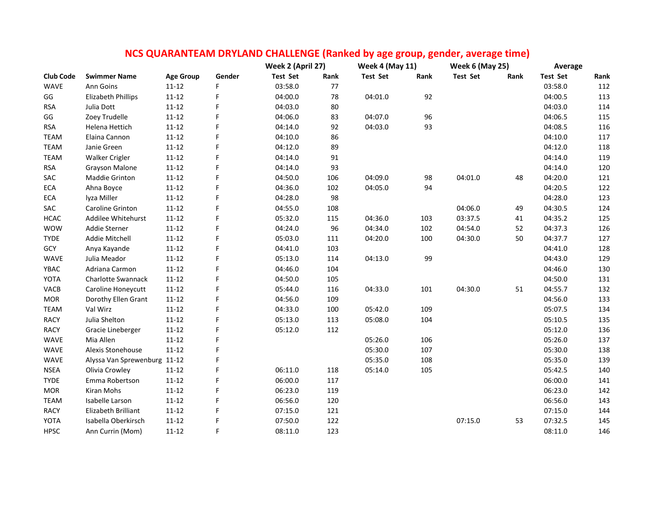|                  |                              |                  |        | Week 2 (April 27) |      | <b>Week 4 (May 11)</b> |      | <b>Week 6 (May 25)</b> |      | Average         |      |
|------------------|------------------------------|------------------|--------|-------------------|------|------------------------|------|------------------------|------|-----------------|------|
| <b>Club Code</b> | <b>Swimmer Name</b>          | <b>Age Group</b> | Gender | <b>Test Set</b>   | Rank | <b>Test Set</b>        | Rank | <b>Test Set</b>        | Rank | <b>Test Set</b> | Rank |
| <b>WAVE</b>      | Ann Goins                    | $11 - 12$        | F      | 03:58.0           | 77   |                        |      |                        |      | 03:58.0         | 112  |
| GG               | <b>Elizabeth Phillips</b>    | $11 - 12$        | F      | 04:00.0           | 78   | 04:01.0                | 92   |                        |      | 04:00.5         | 113  |
| <b>RSA</b>       | Julia Dott                   | $11 - 12$        | F      | 04:03.0           | 80   |                        |      |                        |      | 04:03.0         | 114  |
| GG               | Zoey Trudelle                | $11 - 12$        | F      | 04:06.0           | 83   | 04:07.0                | 96   |                        |      | 04:06.5         | 115  |
| <b>RSA</b>       | Helena Hettich               | $11 - 12$        | F      | 04:14.0           | 92   | 04:03.0                | 93   |                        |      | 04:08.5         | 116  |
| <b>TEAM</b>      | Elaina Cannon                | $11 - 12$        | F      | 04:10.0           | 86   |                        |      |                        |      | 04:10.0         | 117  |
| <b>TEAM</b>      | Janie Green                  | $11 - 12$        | F      | 04:12.0           | 89   |                        |      |                        |      | 04:12.0         | 118  |
| <b>TEAM</b>      | Walker Crigler               | $11 - 12$        | F      | 04:14.0           | 91   |                        |      |                        |      | 04:14.0         | 119  |
| <b>RSA</b>       | Grayson Malone               | $11 - 12$        | F      | 04:14.0           | 93   |                        |      |                        |      | 04:14.0         | 120  |
| SAC              | Maddie Grinton               | $11 - 12$        | F      | 04:50.0           | 106  | 04:09.0                | 98   | 04:01.0                | 48   | 04:20.0         | 121  |
| ECA              | Ahna Boyce                   | $11 - 12$        | F      | 04:36.0           | 102  | 04:05.0                | 94   |                        |      | 04:20.5         | 122  |
| ECA              | lyza Miller                  | $11 - 12$        | F      | 04:28.0           | 98   |                        |      |                        |      | 04:28.0         | 123  |
| SAC              | Caroline Grinton             | $11 - 12$        | F      | 04:55.0           | 108  |                        |      | 04:06.0                | 49   | 04:30.5         | 124  |
| <b>HCAC</b>      | Addilee Whitehurst           | $11 - 12$        | F      | 05:32.0           | 115  | 04:36.0                | 103  | 03:37.5                | 41   | 04:35.2         | 125  |
| <b>WOW</b>       | Addie Sterner                | $11 - 12$        | F      | 04:24.0           | 96   | 04:34.0                | 102  | 04:54.0                | 52   | 04:37.3         | 126  |
| <b>TYDE</b>      | Addie Mitchell               | $11 - 12$        | F      | 05:03.0           | 111  | 04:20.0                | 100  | 04:30.0                | 50   | 04:37.7         | 127  |
| GCY              | Anya Kayande                 | $11 - 12$        | F      | 04:41.0           | 103  |                        |      |                        |      | 04:41.0         | 128  |
| WAVE             | Julia Meador                 | $11 - 12$        | F      | 05:13.0           | 114  | 04:13.0                | 99   |                        |      | 04:43.0         | 129  |
| YBAC             | Adriana Carmon               | $11 - 12$        | F      | 04:46.0           | 104  |                        |      |                        |      | 04:46.0         | 130  |
| YOTA             | Charlotte Swannack           | $11 - 12$        | F      | 04:50.0           | 105  |                        |      |                        |      | 04:50.0         | 131  |
| VACB             | Caroline Honeycutt           | $11 - 12$        | F      | 05:44.0           | 116  | 04:33.0                | 101  | 04:30.0                | 51   | 04:55.7         | 132  |
| <b>MOR</b>       | Dorothy Ellen Grant          | $11 - 12$        | F      | 04:56.0           | 109  |                        |      |                        |      | 04:56.0         | 133  |
| <b>TEAM</b>      | Val Wirz                     | $11 - 12$        | F      | 04:33.0           | 100  | 05:42.0                | 109  |                        |      | 05:07.5         | 134  |
| <b>RACY</b>      | Julia Shelton                | $11 - 12$        | F      | 05:13.0           | 113  | 05:08.0                | 104  |                        |      | 05:10.5         | 135  |
| <b>RACY</b>      | Gracie Lineberger            | $11 - 12$        | F      | 05:12.0           | 112  |                        |      |                        |      | 05:12.0         | 136  |
| WAVE             | Mia Allen                    | $11 - 12$        | F      |                   |      | 05:26.0                | 106  |                        |      | 05:26.0         | 137  |
| WAVE             | Alexis Stonehouse            | $11 - 12$        | F      |                   |      | 05:30.0                | 107  |                        |      | 05:30.0         | 138  |
| WAVE             | Alyssa Van Sprewenburg 11-12 |                  | F      |                   |      | 05:35.0                | 108  |                        |      | 05:35.0         | 139  |
| <b>NSEA</b>      | Olivia Crowley               | $11 - 12$        | F      | 06:11.0           | 118  | 05:14.0                | 105  |                        |      | 05:42.5         | 140  |
| <b>TYDE</b>      | Emma Robertson               | $11 - 12$        | F      | 06:00.0           | 117  |                        |      |                        |      | 06:00.0         | 141  |
| <b>MOR</b>       | Kiran Mohs                   | $11 - 12$        | F      | 06:23.0           | 119  |                        |      |                        |      | 06:23.0         | 142  |
| <b>TEAM</b>      | Isabelle Larson              | $11 - 12$        | F      | 06:56.0           | 120  |                        |      |                        |      | 06:56.0         | 143  |
| <b>RACY</b>      | Elizabeth Brilliant          | $11 - 12$        | F      | 07:15.0           | 121  |                        |      |                        |      | 07:15.0         | 144  |
| YOTA             | Isabella Oberkirsch          | $11 - 12$        | F      | 07:50.0           | 122  |                        |      | 07:15.0                | 53   | 07:32.5         | 145  |
| <b>HPSC</b>      | Ann Currin (Mom)             | $11 - 12$        | F      | 08:11.0           | 123  |                        |      |                        |      | 08:11.0         | 146  |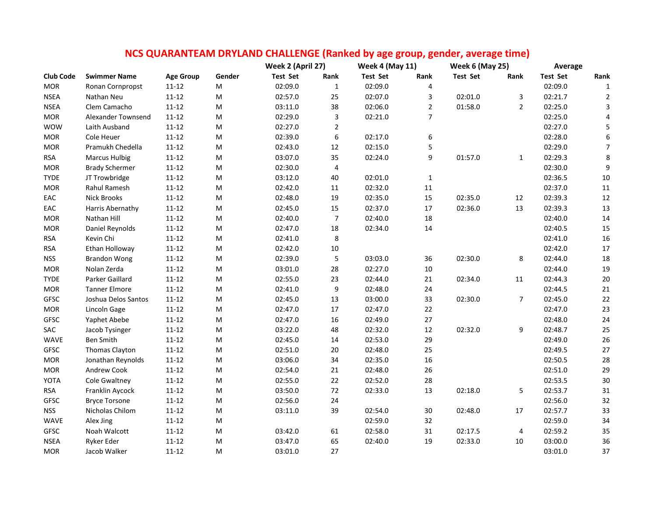|                  |                       |                  | Week 2 (April 27) |                 | <b>Week 4 (May 11)</b>  |                 | <b>Week 6 (May 25)</b>  |                 | Average        |                 |                  |
|------------------|-----------------------|------------------|-------------------|-----------------|-------------------------|-----------------|-------------------------|-----------------|----------------|-----------------|------------------|
| <b>Club Code</b> | <b>Swimmer Name</b>   | <b>Age Group</b> | Gender            | <b>Test Set</b> | Rank                    | <b>Test Set</b> | Rank                    | <b>Test Set</b> | Rank           | <b>Test Set</b> | Rank             |
| <b>MOR</b>       | Ronan Cornpropst      | $11 - 12$        | M                 | 02:09.0         | $\mathbf 1$             | 02:09.0         | $\overline{\mathbf{4}}$ |                 |                | 02:09.0         | $\mathbf{1}$     |
| <b>NSEA</b>      | Nathan Neu            | $11 - 12$        | ${\sf M}$         | 02:57.0         | 25                      | 02:07.0         | 3                       | 02:01.0         | 3              | 02:21.7         | $\overline{2}$   |
| <b>NSEA</b>      | Clem Camacho          | $11 - 12$        | M                 | 03:11.0         | 38                      | 02:06.0         | $\overline{2}$          | 01:58.0         | $\overline{2}$ | 02:25.0         | $\mathbf{3}$     |
| <b>MOR</b>       | Alexander Townsend    | $11 - 12$        | ${\sf M}$         | 02:29.0         | 3                       | 02:21.0         | $\overline{7}$          |                 |                | 02:25.0         | 4                |
| <b>WOW</b>       | Laith Ausband         | $11 - 12$        | ${\sf M}$         | 02:27.0         | $\overline{2}$          |                 |                         |                 |                | 02:27.0         | $\mathsf S$      |
| <b>MOR</b>       | Cole Heuer            | $11 - 12$        | M                 | 02:39.0         | 6                       | 02:17.0         | 6                       |                 |                | 02:28.0         | $\boldsymbol{6}$ |
| $\sf{MOR}$       | Pramukh Chedella      | $11 - 12$        | ${\sf M}$         | 02:43.0         | 12                      | 02:15.0         | 5                       |                 |                | 02:29.0         | $\overline{7}$   |
| <b>RSA</b>       | <b>Marcus Hulbig</b>  | $11 - 12$        | ${\sf M}$         | 03:07.0         | 35                      | 02:24.0         | 9                       | 01:57.0         | $\mathbf{1}$   | 02:29.3         | $\,$ 8 $\,$      |
| $\sf{MOR}$       | <b>Brady Schermer</b> | $11 - 12$        | M                 | 02:30.0         | $\overline{\mathbf{4}}$ |                 |                         |                 |                | 02:30.0         | $\boldsymbol{9}$ |
| <b>TYDE</b>      | JT Trowbridge         | $11 - 12$        | ${\sf M}$         | 03:12.0         | 40                      | 02:01.0         | $\mathbf 1$             |                 |                | 02:36.5         | $10\,$           |
| <b>MOR</b>       | Rahul Ramesh          | $11 - 12$        | ${\sf M}$         | 02:42.0         | 11                      | 02:32.0         | ${\bf 11}$              |                 |                | 02:37.0         | $11\,$           |
| EAC              | <b>Nick Brooks</b>    | $11 - 12$        | ${\sf M}$         | 02:48.0         | 19                      | 02:35.0         | 15                      | 02:35.0         | 12             | 02:39.3         | $12\,$           |
| EAC              | Harris Abernathy      | $11 - 12$        | ${\sf M}$         | 02:45.0         | 15                      | 02:37.0         | $17\,$                  | 02:36.0         | 13             | 02:39.3         | 13               |
| $\sf{MOR}$       | Nathan Hill           | $11 - 12$        | ${\sf M}$         | 02:40.0         | $\boldsymbol{7}$        | 02:40.0         | 18                      |                 |                | 02:40.0         | $14\,$           |
| <b>MOR</b>       | Daniel Reynolds       | $11 - 12$        | ${\sf M}$         | 02:47.0         | $18\,$                  | 02:34.0         | 14                      |                 |                | 02:40.5         | 15               |
| <b>RSA</b>       | Kevin Chi             | $11 - 12$        | ${\sf M}$         | 02:41.0         | 8                       |                 |                         |                 |                | 02:41.0         | 16               |
| <b>RSA</b>       | Ethan Holloway        | $11 - 12$        | M                 | 02:42.0         | $10\,$                  |                 |                         |                 |                | 02:42.0         | $17\,$           |
| <b>NSS</b>       | <b>Brandon Wong</b>   | $11 - 12$        | ${\sf M}$         | 02:39.0         | 5                       | 03:03.0         | 36                      | 02:30.0         | 8              | 02:44.0         | 18               |
| <b>MOR</b>       | Nolan Zerda           | $11 - 12$        | M                 | 03:01.0         | 28                      | 02:27.0         | $10\,$                  |                 |                | 02:44.0         | 19               |
| <b>TYDE</b>      | Parker Gaillard       | $11 - 12$        | ${\sf M}$         | 02:55.0         | 23                      | 02:44.0         | 21                      | 02:34.0         | 11             | 02:44.3         | 20               |
| $\sf{MOR}$       | <b>Tanner Elmore</b>  | $11 - 12$        | ${\sf M}$         | 02:41.0         | 9                       | 02:48.0         | 24                      |                 |                | 02:44.5         | 21               |
| GFSC             | Joshua Delos Santos   | $11 - 12$        | ${\sf M}$         | 02:45.0         | 13                      | 03:00.0         | 33                      | 02:30.0         | 7              | 02:45.0         | 22               |
| $\sf{MOR}$       | Lincoln Gage          | $11 - 12$        | ${\sf M}$         | 02:47.0         | 17                      | 02:47.0         | $22\,$                  |                 |                | 02:47.0         | 23               |
| <b>GFSC</b>      | Yaphet Abebe          | $11 - 12$        | M                 | 02:47.0         | 16                      | 02:49.0         | 27                      |                 |                | 02:48.0         | 24               |
| SAC              | Jacob Tysinger        | $11 - 12$        | M                 | 03:22.0         | 48                      | 02:32.0         | $12\,$                  | 02:32.0         | 9              | 02:48.7         | 25               |
| WAVE             | Ben Smith             | $11 - 12$        | M                 | 02:45.0         | 14                      | 02:53.0         | 29                      |                 |                | 02:49.0         | 26               |
| <b>GFSC</b>      | Thomas Clayton        | $11 - 12$        | M                 | 02:51.0         | 20                      | 02:48.0         | 25                      |                 |                | 02:49.5         | 27               |
| <b>MOR</b>       | Jonathan Reynolds     | 11-12            | M                 | 03:06.0         | 34                      | 02:35.0         | $16\,$                  |                 |                | 02:50.5         | 28               |
| <b>MOR</b>       | Andrew Cook           | $11 - 12$        | M                 | 02:54.0         | 21                      | 02:48.0         | 26                      |                 |                | 02:51.0         | 29               |
| YOTA             | Cole Gwaltney         | $11 - 12$        | M                 | 02:55.0         | 22                      | 02:52.0         | 28                      |                 |                | 02:53.5         | $30\,$           |
| <b>RSA</b>       | Franklin Aycock       | 11-12            | M                 | 03:50.0         | 72                      | 02:33.0         | 13                      | 02:18.0         | 5              | 02:53.7         | 31               |
| GFSC             | <b>Bryce Torsone</b>  | $11 - 12$        | M                 | 02:56.0         | 24                      |                 |                         |                 |                | 02:56.0         | 32               |
| <b>NSS</b>       | Nicholas Chilom       | $11 - 12$        | ${\sf M}$         | 03:11.0         | 39                      | 02:54.0         | 30                      | 02:48.0         | 17             | 02:57.7         | 33               |
| WAVE             | Alex Jing             | $11 - 12$        | M                 |                 |                         | 02:59.0         | 32                      |                 |                | 02:59.0         | 34               |
| <b>GFSC</b>      | Noah Walcott          | $11 - 12$        | M                 | 03:42.0         | 61                      | 02:58.0         | 31                      | 02:17.5         | 4              | 02:59.2         | 35               |
| <b>NSEA</b>      | Ryker Eder            | $11 - 12$        | M                 | 03:47.0         | 65                      | 02:40.0         | 19                      | 02:33.0         | $10\,$         | 03:00.0         | 36               |
| <b>MOR</b>       | Jacob Walker          | $11 - 12$        | M                 | 03:01.0         | 27                      |                 |                         |                 |                | 03:01.0         | 37               |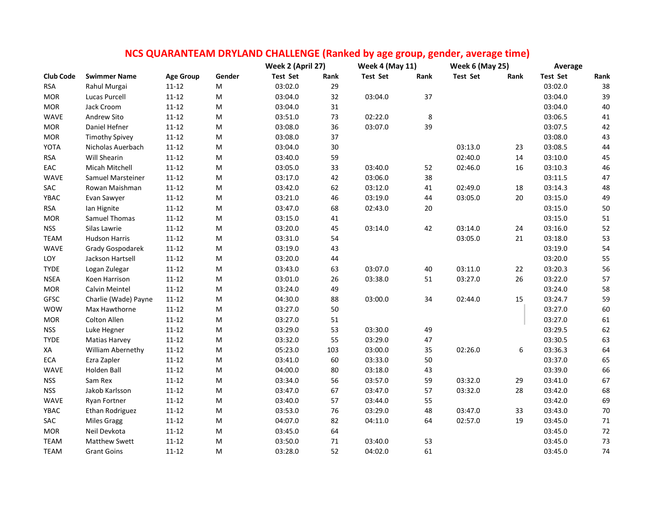|                  |                       |                  |           |                   | NCS QUARANTEAM DRYLAND CHALLENGE (Ranked by age group, gender, average time) |                        |      |                        |      |                 |        |
|------------------|-----------------------|------------------|-----------|-------------------|------------------------------------------------------------------------------|------------------------|------|------------------------|------|-----------------|--------|
|                  |                       |                  |           | Week 2 (April 27) |                                                                              | <b>Week 4 (May 11)</b> |      | <b>Week 6 (May 25)</b> |      | Average         |        |
| <b>Club Code</b> | <b>Swimmer Name</b>   | <b>Age Group</b> | Gender    | <b>Test Set</b>   | Rank                                                                         | Test Set               | Rank | <b>Test Set</b>        | Rank | <b>Test Set</b> | Rank   |
| <b>RSA</b>       | Rahul Murgai          | $11 - 12$        | M         | 03:02.0           | 29                                                                           |                        |      |                        |      | 03:02.0         | 38     |
| <b>MOR</b>       | Lucas Purcell         | $11 - 12$        | ${\sf M}$ | 03:04.0           | 32                                                                           | 03:04.0                | 37   |                        |      | 03:04.0         | 39     |
| <b>MOR</b>       | Jack Croom            | $11 - 12$        | M         | 03:04.0           | $31\,$                                                                       |                        |      |                        |      | 03:04.0         | 40     |
| WAVE             | Andrew Sito           | $11 - 12$        | M         | 03:51.0           | 73                                                                           | 02:22.0                | 8    |                        |      | 03:06.5         | 41     |
| <b>MOR</b>       | Daniel Hefner         | $11 - 12$        | M         | 03:08.0           | 36                                                                           | 03:07.0                | 39   |                        |      | 03:07.5         | 42     |
| <b>MOR</b>       | <b>Timothy Spivey</b> | $11 - 12$        | M         | 03:08.0           | 37                                                                           |                        |      |                        |      | 03:08.0         | 43     |
| YOTA             | Nicholas Auerbach     | $11 - 12$        | M         | 03:04.0           | 30                                                                           |                        |      | 03:13.0                | 23   | 03:08.5         | 44     |
| <b>RSA</b>       | Will Shearin          | $11 - 12$        | M         | 03:40.0           | 59                                                                           |                        |      | 02:40.0                | 14   | 03:10.0         | 45     |
| EAC              | Micah Mitchell        | $11 - 12$        | ${\sf M}$ | 03:05.0           | 33                                                                           | 03:40.0                | 52   | 02:46.0                | 16   | 03:10.3         | 46     |
| WAVE             | Samuel Marsteiner     | $11 - 12$        | ${\sf M}$ | 03:17.0           | 42                                                                           | 03:06.0                | 38   |                        |      | 03:11.5         | 47     |
| SAC              | Rowan Maishman        | $11 - 12$        | M         | 03:42.0           | 62                                                                           | 03:12.0                | 41   | 02:49.0                | 18   | 03:14.3         | 48     |
| YBAC             | Evan Sawyer           | $11 - 12$        | M         | 03:21.0           | 46                                                                           | 03:19.0                | 44   | 03:05.0                | 20   | 03:15.0         | 49     |
| <b>RSA</b>       | Ian Hignite           | $11 - 12$        | M         | 03:47.0           | 68                                                                           | 02:43.0                | 20   |                        |      | 03:15.0         | 50     |
| <b>MOR</b>       | Samuel Thomas         | $11 - 12$        | M         | 03:15.0           | 41                                                                           |                        |      |                        |      | 03:15.0         | 51     |
| <b>NSS</b>       | Silas Lawrie          | $11 - 12$        | M         | 03:20.0           | 45                                                                           | 03:14.0                | 42   | 03:14.0                | 24   | 03:16.0         | 52     |
| <b>TEAM</b>      | <b>Hudson Harris</b>  | $11 - 12$        | M         | 03:31.0           | 54                                                                           |                        |      | 03:05.0                | 21   | 03:18.0         | 53     |
| WAVE             | Grady Gospodarek      | $11 - 12$        | ${\sf M}$ | 03:19.0           | 43                                                                           |                        |      |                        |      | 03:19.0         | 54     |
| LOY              | Jackson Hartsell      | $11 - 12$        | M         | 03:20.0           | 44                                                                           |                        |      |                        |      | 03:20.0         | 55     |
| <b>TYDE</b>      | Logan Zulegar         | $11 - 12$        | ${\sf M}$ | 03:43.0           | 63                                                                           | 03:07.0                | 40   | 03:11.0                | 22   | 03:20.3         | 56     |
| <b>NSEA</b>      | Koen Harrison         | $11 - 12$        | M         | 03:01.0           | 26                                                                           | 03:38.0                | 51   | 03:27.0                | 26   | 03:22.0         | 57     |
| <b>MOR</b>       | Calvin Meintel        | $11 - 12$        | M         | 03:24.0           | 49                                                                           |                        |      |                        |      | 03:24.0         | 58     |
| <b>GFSC</b>      | Charlie (Wade) Payne  | $11 - 12$        | M         | 04:30.0           | 88                                                                           | 03:00.0                | 34   | 02:44.0                | 15   | 03:24.7         | 59     |
| <b>WOW</b>       | Max Hawthorne         | $11 - 12$        | M         | 03:27.0           | 50                                                                           |                        |      |                        |      | 03:27.0         | 60     |
| <b>MOR</b>       | Colton Allen          | $11 - 12$        | M         | 03:27.0           | 51                                                                           |                        |      |                        |      | 03:27.0         | 61     |
| <b>NSS</b>       | Luke Hegner           | $11 - 12$        | ${\sf M}$ | 03:29.0           | 53                                                                           | 03:30.0                | 49   |                        |      | 03:29.5         | 62     |
| <b>TYDE</b>      | <b>Matias Harvey</b>  | $11 - 12$        | ${\sf M}$ | 03:32.0           | 55                                                                           | 03:29.0                | 47   |                        |      | 03:30.5         | 63     |
| XA               | William Abernethy     | $11 - 12$        | ${\sf M}$ | 05:23.0           | 103                                                                          | 03:00.0                | 35   | 02:26.0                | 6    | 03:36.3         | 64     |
| ECA              | Ezra Zapler           | $11 - 12$        | M         | 03:41.0           | 60                                                                           | 03:33.0                | 50   |                        |      | 03:37.0         | 65     |
| <b>WAVE</b>      | Holden Ball           | $11 - 12$        | M         | 04:00.0           | 80                                                                           | 03:18.0                | 43   |                        |      | 03:39.0         | 66     |
| <b>NSS</b>       | Sam Rex               | $11 - 12$        | M         | 03:34.0           | 56                                                                           | 03:57.0                | 59   | 03:32.0                | 29   | 03:41.0         | 67     |
| <b>NSS</b>       | Jakob Karlsson        | $11 - 12$        | M         | 03:47.0           | 67                                                                           | 03:47.0                | 57   | 03:32.0                | 28   | 03:42.0         | 68     |
| WAVE             | Ryan Fortner          | $11 - 12$        | M         | 03:40.0           | 57                                                                           | 03:44.0                | 55   |                        |      | 03:42.0         | 69     |
| YBAC             | Ethan Rodriguez       | $11 - 12$        | M         | 03:53.0           | 76                                                                           | 03:29.0                | 48   | 03:47.0                | 33   | 03:43.0         | $70\,$ |
| SAC              | <b>Miles Gragg</b>    | $11 - 12$        | ${\sf M}$ | 04:07.0           | 82                                                                           | 04:11.0                | 64   | 02:57.0                | 19   | 03:45.0         | $71\,$ |
| <b>MOR</b>       | Neil Devkota          | $11 - 12$        | М         | 03:45.0           | 64                                                                           |                        |      |                        |      | 03:45.0         | $72\,$ |
| <b>TEAM</b>      | Matthew Swett         | $11 - 12$        | M         | 03:50.0           | 71                                                                           | 03:40.0                | 53   |                        |      | 03:45.0         | 73     |
| <b>TEAM</b>      | <b>Grant Goins</b>    | $11 - 12$        | М         | 03:28.0           | 52                                                                           | 04:02.0                | 61   |                        |      | 03:45.0         | 74     |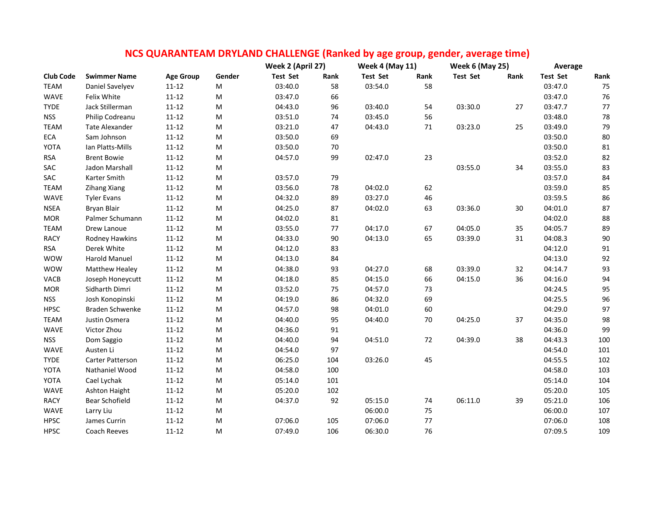|                  |                       |                  |                                                                                                            | Week 2 (April 27) |      | <b>Week 4 (May 11)</b> |        | <b>Week 6 (May 25)</b> |      | Average         |            |
|------------------|-----------------------|------------------|------------------------------------------------------------------------------------------------------------|-------------------|------|------------------------|--------|------------------------|------|-----------------|------------|
| <b>Club Code</b> | <b>Swimmer Name</b>   | <b>Age Group</b> | Gender                                                                                                     | <b>Test Set</b>   | Rank | Test Set               | Rank   | <b>Test Set</b>        | Rank | <b>Test Set</b> | Rank       |
| <b>TEAM</b>      | Daniel Savelyev       | $11 - 12$        | M                                                                                                          | 03:40.0           | 58   | 03:54.0                | 58     |                        |      | 03:47.0         | 75         |
| <b>WAVE</b>      | Felix White           | $11 - 12$        | M                                                                                                          | 03:47.0           | 66   |                        |        |                        |      | 03:47.0         | 76         |
| <b>TYDE</b>      | Jack Stillerman       | $11 - 12$        | M                                                                                                          | 04:43.0           | 96   | 03:40.0                | 54     | 03:30.0                | 27   | 03:47.7         | $77 \,$    |
| <b>NSS</b>       | Philip Codreanu       | $11 - 12$        | M                                                                                                          | 03:51.0           | 74   | 03:45.0                | 56     |                        |      | 03:48.0         | 78         |
| <b>TEAM</b>      | <b>Tate Alexander</b> | $11 - 12$        | M                                                                                                          | 03:21.0           | 47   | 04:43.0                | 71     | 03:23.0                | 25   | 03:49.0         | 79         |
| ECA              | Sam Johnson           | $11 - 12$        | M                                                                                                          | 03:50.0           | 69   |                        |        |                        |      | 03:50.0         | $80\,$     |
| YOTA             | Ian Platts-Mills      | $11 - 12$        | M                                                                                                          | 03:50.0           | 70   |                        |        |                        |      | 03:50.0         | ${\bf 81}$ |
| <b>RSA</b>       | <b>Brent Bowie</b>    | $11 - 12$        | M                                                                                                          | 04:57.0           | 99   | 02:47.0                | 23     |                        |      | 03:52.0         | 82         |
| SAC              | Jadon Marshall        | $11 - 12$        | M                                                                                                          |                   |      |                        |        | 03:55.0                | 34   | 03:55.0         | 83         |
| SAC              | Karter Smith          | $11 - 12$        | M                                                                                                          | 03:57.0           | 79   |                        |        |                        |      | 03:57.0         | 84         |
| <b>TEAM</b>      | Zihang Xiang          | $11 - 12$        | M                                                                                                          | 03:56.0           | 78   | 04:02.0                | 62     |                        |      | 03:59.0         | 85         |
| <b>WAVE</b>      | <b>Tyler Evans</b>    | $11 - 12$        | $\mathsf{M}% _{T}=\mathsf{M}_{T}\!\left( a,b\right) ,\ \mathsf{M}_{T}=\mathsf{M}_{T}\!\left( a,b\right) ,$ | 04:32.0           | 89   | 03:27.0                | 46     |                        |      | 03:59.5         | 86         |
| <b>NSEA</b>      | <b>Bryan Blair</b>    | $11 - 12$        | $\mathsf{M}% _{T}=\mathsf{M}_{T}\!\left( a,b\right) ,\ \mathsf{M}_{T}=\mathsf{M}_{T}\!\left( a,b\right) ,$ | 04:25.0           | 87   | 04:02.0                | 63     | 03:36.0                | 30   | 04:01.0         | 87         |
| <b>MOR</b>       | Palmer Schumann       | $11 - 12$        | M                                                                                                          | 04:02.0           | 81   |                        |        |                        |      | 04:02.0         | 88         |
| <b>TEAM</b>      | Drew Lanoue           | $11 - 12$        | M                                                                                                          | 03:55.0           | 77   | 04:17.0                | 67     | 04:05.0                | 35   | 04:05.7         | 89         |
| RACY             | Rodney Hawkins        | $11 - 12$        | M                                                                                                          | 04:33.0           | 90   | 04:13.0                | 65     | 03:39.0                | 31   | 04:08.3         | $90\,$     |
| <b>RSA</b>       | Derek White           | $11 - 12$        | $\mathsf{M}% _{T}=\mathsf{M}_{T}\!\left( a,b\right) ,\ \mathsf{M}_{T}=\mathsf{M}_{T}\!\left( a,b\right) ,$ | 04:12.0           | 83   |                        |        |                        |      | 04:12.0         | 91         |
| <b>WOW</b>       | Harold Manuel         | $11 - 12$        | M                                                                                                          | 04:13.0           | 84   |                        |        |                        |      | 04:13.0         | 92         |
| <b>WOW</b>       | Matthew Healey        | $11 - 12$        | M                                                                                                          | 04:38.0           | 93   | 04:27.0                | 68     | 03:39.0                | 32   | 04:14.7         | 93         |
| VACB             | Joseph Honeycutt      | $11 - 12$        | M                                                                                                          | 04:18.0           | 85   | 04:15.0                | 66     | 04:15.0                | 36   | 04:16.0         | 94         |
| <b>MOR</b>       | Sidharth Dimri        | $11 - 12$        | M                                                                                                          | 03:52.0           | 75   | 04:57.0                | 73     |                        |      | 04:24.5         | 95         |
| <b>NSS</b>       | Josh Konopinski       | $11 - 12$        | M                                                                                                          | 04:19.0           | 86   | 04:32.0                | 69     |                        |      | 04:25.5         | 96         |
| <b>HPSC</b>      | Braden Schwenke       | $11 - 12$        | M                                                                                                          | 04:57.0           | 98   | 04:01.0                | 60     |                        |      | 04:29.0         | 97         |
| <b>TEAM</b>      | Justin Osmera         | $11 - 12$        | M                                                                                                          | 04:40.0           | 95   | 04:40.0                | 70     | 04:25.0                | 37   | 04:35.0         | 98         |
| WAVE             | Victor Zhou           | $11 - 12$        | M                                                                                                          | 04:36.0           | 91   |                        |        |                        |      | 04:36.0         | 99         |
| <b>NSS</b>       | Dom Saggio            | $11 - 12$        | $\mathsf{M}% _{T}=\mathsf{M}_{T}\!\left( a,b\right) ,\ \mathsf{M}_{T}=\mathsf{M}_{T}\!\left( a,b\right) ,$ | 04:40.0           | 94   | 04:51.0                | 72     | 04:39.0                | 38   | 04:43.3         | 100        |
| WAVE             | Austen Li             | $11 - 12$        | M                                                                                                          | 04:54.0           | 97   |                        |        |                        |      | 04:54.0         | 101        |
| <b>TYDE</b>      | Carter Patterson      | $11 - 12$        | M                                                                                                          | 06:25.0           | 104  | 03:26.0                | 45     |                        |      | 04:55.5         | 102        |
| YOTA             | Nathaniel Wood        | $11 - 12$        | ${\sf M}$                                                                                                  | 04:58.0           | 100  |                        |        |                        |      | 04:58.0         | 103        |
| YOTA             | Cael Lychak           | $11 - 12$        | M                                                                                                          | 05:14.0           | 101  |                        |        |                        |      | 05:14.0         | 104        |
| WAVE             | <b>Ashton Haight</b>  | $11 - 12$        | $\mathsf{M}% _{T}=\mathsf{M}_{T}\!\left( a,b\right) ,\ \mathsf{M}_{T}=\mathsf{M}_{T}\!\left( a,b\right) ,$ | 05:20.0           | 102  |                        |        |                        |      | 05:20.0         | 105        |
| RACY             | Bear Schofield        | $11 - 12$        | $\mathsf{M}% _{T}=\mathsf{M}_{T}\!\left( a,b\right) ,\ \mathsf{M}_{T}=\mathsf{M}_{T}\!\left( a,b\right) ,$ | 04:37.0           | 92   | 05:15.0                | 74     | 06:11.0                | 39   | 05:21.0         | 106        |
| WAVE             | Larry Liu             | $11 - 12$        | M                                                                                                          |                   |      | 06:00.0                | 75     |                        |      | 06:00.0         | 107        |
| <b>HPSC</b>      | James Currin          | $11 - 12$        | M                                                                                                          | 07:06.0           | 105  | 07:06.0                | $77\,$ |                        |      | 07:06.0         | 108        |
| <b>HPSC</b>      | Coach Reeves          | $11 - 12$        | M                                                                                                          | 07:49.0           | 106  | 06:30.0                | 76     |                        |      | 07:09.5         | 109        |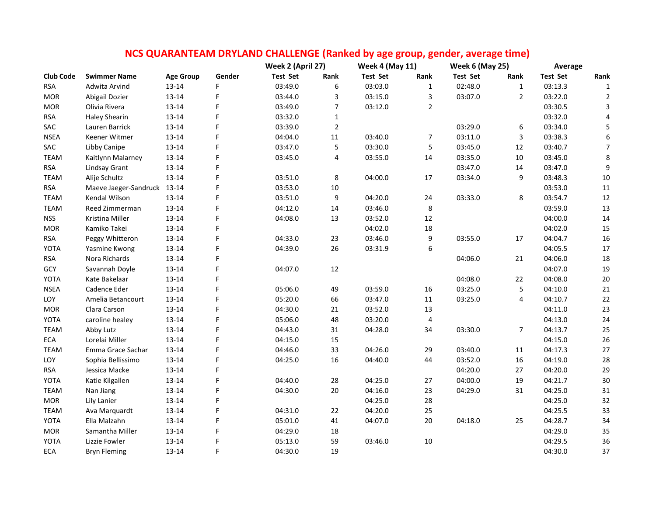|                  |                             |                  |        | NCS QUARANTEAM DRYLAND CHALLENGE (Ranked by age group, gender, average time) |                |                        |                |                        |                |                 |                  |
|------------------|-----------------------------|------------------|--------|------------------------------------------------------------------------------|----------------|------------------------|----------------|------------------------|----------------|-----------------|------------------|
|                  |                             |                  |        | Week 2 (April 27)                                                            |                | <b>Week 4 (May 11)</b> |                | <b>Week 6 (May 25)</b> |                | Average         |                  |
| <b>Club Code</b> | <b>Swimmer Name</b>         | <b>Age Group</b> | Gender | <b>Test Set</b>                                                              | Rank           | <b>Test Set</b>        | Rank           | <b>Test Set</b>        | Rank           | <b>Test Set</b> | Rank             |
| <b>RSA</b>       | Adwita Arvind               | 13-14            | F      | 03:49.0                                                                      | 6              | 03:03.0                | 1              | 02:48.0                | $\mathbf{1}$   | 03:13.3         | 1                |
| <b>MOR</b>       | Abigail Dozier              | $13 - 14$        | F      | 03:44.0                                                                      | 3              | 03:15.0                | 3              | 03:07.0                | $\overline{2}$ | 03:22.0         | $\overline{2}$   |
| <b>MOR</b>       | Olivia Rivera               | $13 - 14$        | F      | 03:49.0                                                                      | $\overline{7}$ | 03:12.0                | $\overline{2}$ |                        |                | 03:30.5         | 3                |
| <b>RSA</b>       | <b>Haley Shearin</b>        | 13-14            | F      | 03:32.0                                                                      | $\mathbf{1}$   |                        |                |                        |                | 03:32.0         | 4                |
| SAC              | Lauren Barrick              | $13 - 14$        | F      | 03:39.0                                                                      | $\overline{2}$ |                        |                | 03:29.0                | 6              | 03:34.0         | $\mathsf S$      |
| <b>NSEA</b>      | Keener Witmer               | 13-14            | F      | 04:04.0                                                                      | $11\,$         | 03:40.0                | $\overline{7}$ | 03:11.0                | 3              | 03:38.3         | $\boldsymbol{6}$ |
| SAC              | Libby Canipe                | $13 - 14$        | F      | 03:47.0                                                                      | 5              | 03:30.0                | 5              | 03:45.0                | 12             | 03:40.7         | $\overline{7}$   |
| <b>TEAM</b>      | Kaitlynn Malarney           | $13 - 14$        | F      | 03:45.0                                                                      | 4              | 03:55.0                | 14             | 03:35.0                | $10\,$         | 03:45.0         | $\,8\,$          |
| <b>RSA</b>       | <b>Lindsay Grant</b>        | 13-14            | F      |                                                                              |                |                        |                | 03:47.0                | 14             | 03:47.0         | $\boldsymbol{9}$ |
| <b>TEAM</b>      | Alije Schultz               | $13 - 14$        | F      | 03:51.0                                                                      | 8              | 04:00.0                | $17\,$         | 03:34.0                | 9              | 03:48.3         | $10\,$           |
| <b>RSA</b>       | Maeve Jaeger-Sandruck 13-14 |                  | F      | 03:53.0                                                                      | $10\,$         |                        |                |                        |                | 03:53.0         | 11               |
| <b>TEAM</b>      | Kendal Wilson               | $13 - 14$        | F      | 03:51.0                                                                      | 9              | 04:20.0                | 24             | 03:33.0                | 8              | 03:54.7         | $12\,$           |
| <b>TEAM</b>      | Reed Zimmerman              | 13-14            | F      | 04:12.0                                                                      | 14             | 03:46.0                | 8              |                        |                | 03:59.0         | 13               |
| <b>NSS</b>       | Kristina Miller             | 13-14            | F      | 04:08.0                                                                      | 13             | 03:52.0                | 12             |                        |                | 04:00.0         | $14\,$           |
| <b>MOR</b>       | Kamiko Takei                | $13 - 14$        |        |                                                                              |                | 04:02.0                | $18\,$         |                        |                | 04:02.0         | 15               |
| <b>RSA</b>       | Peggy Whitteron             | 13-14            | F      | 04:33.0                                                                      | 23             | 03:46.0                | 9              | 03:55.0                | 17             | 04:04.7         | 16               |
| YOTA             | Yasmine Kwong               | $13 - 14$        | F      | 04:39.0                                                                      | 26             | 03:31.9                | 6              |                        |                | 04:05.5         | $17\,$           |
| <b>RSA</b>       | Nora Richards               | 13-14            | F      |                                                                              |                |                        |                | 04:06.0                | 21             | 04:06.0         | $18\,$           |
| GCY              | Savannah Doyle              | 13-14            |        | 04:07.0                                                                      | 12             |                        |                |                        |                | 04:07.0         | 19               |
| YOTA             | Kate Bakelaar               | 13-14            | F      |                                                                              |                |                        |                | 04:08.0                | 22             | 04:08.0         | $20\,$           |
| <b>NSEA</b>      | Cadence Eder                | $13 - 14$        | F      | 05:06.0                                                                      | 49             | 03:59.0                | 16             | 03:25.0                | 5              | 04:10.0         | $21\,$           |
| LOY              | Amelia Betancourt           | $13 - 14$        | F      | 05:20.0                                                                      | 66             | 03:47.0                | 11             | 03:25.0                | 4              | 04:10.7         | $22\,$           |
| <b>MOR</b>       | Clara Carson                | 13-14            | F      | 04:30.0                                                                      | 21             | 03:52.0                | 13             |                        |                | 04:11.0         | 23               |
| YOTA             | caroline healey             | 13-14            | F      | 05:06.0                                                                      | 48             | 03:20.0                | $\overline{4}$ |                        |                | 04:13.0         | 24               |
| <b>TEAM</b>      | Abby Lutz                   | 13-14            | F      | 04:43.0                                                                      | 31             | 04:28.0                | 34             | 03:30.0                | $\overline{7}$ | 04:13.7         | $25\,$           |
| ECA              | Lorelai Miller              | $13 - 14$        | F      | 04:15.0                                                                      | 15             |                        |                |                        |                | 04:15.0         | 26               |
| <b>TEAM</b>      | Emma Grace Sachar           | $13 - 14$        |        | 04:46.0                                                                      | 33             | 04:26.0                | 29             | 03:40.0                | 11             | 04:17.3         | 27               |
| LOY              | Sophia Bellissimo           | 13-14            |        | 04:25.0                                                                      | 16             | 04:40.0                | 44             | 03:52.0                | 16             | 04:19.0         | 28               |
| <b>RSA</b>       | Jessica Macke               | $13 - 14$        |        |                                                                              |                |                        |                | 04:20.0                | 27             | 04:20.0         | 29               |
| YOTA             | Katie Kilgallen             | 13-14            | F      | 04:40.0                                                                      | 28             | 04:25.0                | 27             | 04:00.0                | 19             | 04:21.7         | 30               |
| <b>TEAM</b>      | Nan Jiang                   | 13-14            | F      | 04:30.0                                                                      | 20             | 04:16.0                | 23             | 04:29.0                | 31             | 04:25.0         | 31               |
| <b>MOR</b>       | Lily Lanier                 | $13 - 14$        | F      |                                                                              |                | 04:25.0                | 28             |                        |                | 04:25.0         | 32               |
| <b>TEAM</b>      | Ava Marquardt               | 13-14            | F      | 04:31.0                                                                      | 22             | 04:20.0                | 25             |                        |                | 04:25.5         | 33               |
| YOTA             | Ella Malzahn                | $13 - 14$        | F      | 05:01.0                                                                      | 41             | 04:07.0                | 20             | 04:18.0                | 25             | 04:28.7         | 34               |
| <b>MOR</b>       | Samantha Miller             | $13 - 14$        | F      | 04:29.0                                                                      | 18             |                        |                |                        |                | 04:29.0         | 35               |
| YOTA             | Lizzie Fowler               | 13-14            |        | 05:13.0                                                                      | 59             | 03:46.0                | 10             |                        |                | 04:29.5         | 36               |
| <b>ECA</b>       | <b>Bryn Fleming</b>         | $13 - 14$        | F      | 04:30.0                                                                      | 19             |                        |                |                        |                | 04:30.0         | 37               |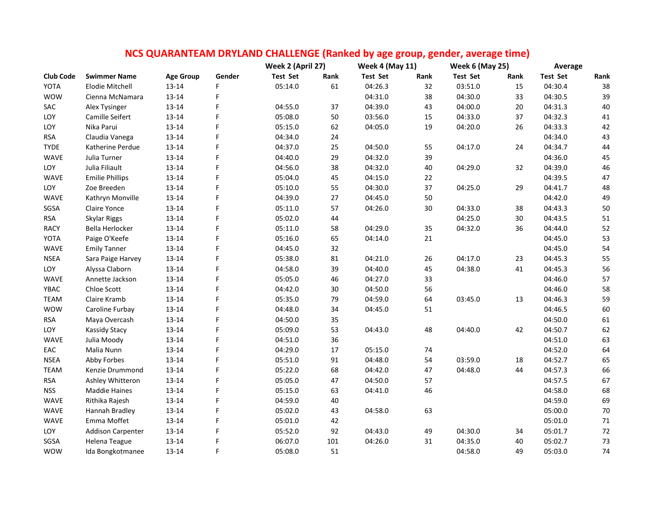| NCS QUARANTEAM DRYLAND CHALLENGE (Ranked by age group, gender, average time) |                          |                  |        |                   |      |                        |      |                        |      |                 |        |
|------------------------------------------------------------------------------|--------------------------|------------------|--------|-------------------|------|------------------------|------|------------------------|------|-----------------|--------|
|                                                                              |                          |                  |        | Week 2 (April 27) |      | <b>Week 4 (May 11)</b> |      | <b>Week 6 (May 25)</b> |      | Average         |        |
| <b>Club Code</b>                                                             | <b>Swimmer Name</b>      | <b>Age Group</b> | Gender | <b>Test Set</b>   | Rank | <b>Test Set</b>        | Rank | <b>Test Set</b>        | Rank | <b>Test Set</b> | Rank   |
| <b>YOTA</b>                                                                  | <b>Elodie Mitchell</b>   | $13 - 14$        | F      | 05:14.0           | 61   | 04:26.3                | 32   | 03:51.0                | 15   | 04:30.4         | 38     |
| <b>WOW</b>                                                                   | Cienna McNamara          | 13-14            | F      |                   |      | 04:31.0                | 38   | 04:30.0                | 33   | 04:30.5         | 39     |
| SAC                                                                          | Alex Tysinger            | $13 - 14$        | F      | 04:55.0           | 37   | 04:39.0                | 43   | 04:00.0                | 20   | 04:31.3         | 40     |
| LOY                                                                          | Camille Seifert          | 13-14            | F      | 05:08.0           | 50   | 03:56.0                | 15   | 04:33.0                | 37   | 04:32.3         | $41\,$ |
| LOY                                                                          | Nika Parui               | 13-14            | F      | 05:15.0           | 62   | 04:05.0                | 19   | 04:20.0                | 26   | 04:33.3         | 42     |
| <b>RSA</b>                                                                   | Claudia Vanega           | 13-14            | F      | 04:34.0           | 24   |                        |      |                        |      | 04:34.0         | 43     |
| <b>TYDE</b>                                                                  | Katherine Perdue         | 13-14            | F      | 04:37.0           | 25   | 04:50.0                | 55   | 04:17.0                | 24   | 04:34.7         | 44     |
| WAVE                                                                         | Julia Turner             | 13-14            | F      | 04:40.0           | 29   | 04:32.0                | 39   |                        |      | 04:36.0         | 45     |
| LOY                                                                          | Julia Filiault           | $13 - 14$        | F      | 04:56.0           | 38   | 04:32.0                | 40   | 04:29.0                | 32   | 04:39.0         | 46     |
| WAVE                                                                         | <b>Emilie Phillips</b>   | 13-14            | F      | 05:04.0           | 45   | 04:15.0                | 22   |                        |      | 04:39.5         | 47     |
| LOY                                                                          | Zoe Breeden              | 13-14            | F      | 05:10.0           | 55   | 04:30.0                | 37   | 04:25.0                | 29   | 04:41.7         | 48     |
| <b>WAVE</b>                                                                  | Kathryn Monville         | 13-14            | F      | 04:39.0           | 27   | 04:45.0                | 50   |                        |      | 04:42.0         | 49     |
| SGSA                                                                         | Claire Yonce             | 13-14            | F      | 05:11.0           | 57   | 04:26.0                | 30   | 04:33.0                | 38   | 04:43.3         | 50     |
| <b>RSA</b>                                                                   | Skylar Riggs             | $13 - 14$        | F      | 05:02.0           | 44   |                        |      | 04:25.0                | 30   | 04:43.5         | 51     |
| <b>RACY</b>                                                                  | Bella Herlocker          | $13 - 14$        | F      | 05:11.0           | 58   | 04:29.0                | 35   | 04:32.0                | 36   | 04:44.0         | 52     |
| YOTA                                                                         | Paige O'Keefe            | $13 - 14$        | F      | 05:16.0           | 65   | 04:14.0                | 21   |                        |      | 04:45.0         | 53     |
| WAVE                                                                         | <b>Emily Tanner</b>      | 13-14            | F      | 04:45.0           | 32   |                        |      |                        |      | 04:45.0         | 54     |
| <b>NSEA</b>                                                                  | Sara Paige Harvey        | 13-14            | F      | 05:38.0           | 81   | 04:21.0                | 26   | 04:17.0                | 23   | 04:45.3         | 55     |
| LOY                                                                          | Alyssa Claborn           | 13-14            | F      | 04:58.0           | 39   | 04:40.0                | 45   | 04:38.0                | 41   | 04:45.3         | 56     |
| WAVE                                                                         | Annette Jackson          | 13-14            | F      | 05:05.0           | 46   | 04:27.0                | 33   |                        |      | 04:46.0         | 57     |
| YBAC                                                                         | Chloe Scott              | 13-14            | F      | 04:42.0           | 30   | 04:50.0                | 56   |                        |      | 04:46.0         | 58     |
| <b>TEAM</b>                                                                  | Claire Kramb             | 13-14            | F      | 05:35.0           | 79   | 04:59.0                | 64   | 03:45.0                | 13   | 04:46.3         | 59     |
| <b>WOW</b>                                                                   | Caroline Furbay          | 13-14            | F      | 04:48.0           | 34   | 04:45.0                | 51   |                        |      | 04:46.5         | 60     |
| <b>RSA</b>                                                                   | Maya Overcash            | $13 - 14$        | F      | 04:50.0           | 35   |                        |      |                        |      | 04:50.0         | 61     |
| LOY                                                                          | <b>Kassidy Stacy</b>     | 13-14            | F      | 05:09.0           | 53   | 04:43.0                | 48   | 04:40.0                | 42   | 04:50.7         | 62     |
| WAVE                                                                         | Julia Moody              | $13 - 14$        | F      | 04:51.0           | 36   |                        |      |                        |      | 04:51.0         | 63     |
| EAC                                                                          | Malia Nunn               | 13-14            | F      | 04:29.0           | 17   | 05:15.0                | 74   |                        |      | 04:52.0         | 64     |
| <b>NSEA</b>                                                                  | Abby Forbes              | 13-14            | F      | 05:51.0           | 91   | 04:48.0                | 54   | 03:59.0                | 18   | 04:52.7         | 65     |
| <b>TEAM</b>                                                                  | Kenzie Drummond          | 13-14            | F      | 05:22.0           | 68   | 04:42.0                | 47   | 04:48.0                | 44   | 04:57.3         | 66     |
| <b>RSA</b>                                                                   | Ashley Whitteron         | 13-14            | F      | 05:05.0           | 47   | 04:50.0                | 57   |                        |      | 04:57.5         | 67     |
| <b>NSS</b>                                                                   | <b>Maddie Haines</b>     | 13-14            | F      | 05:15.0           | 63   | 04:41.0                | 46   |                        |      | 04:58.0         | 68     |
| WAVE                                                                         | Rithika Rajesh           | 13-14            | F      | 04:59.0           | 40   |                        |      |                        |      | 04:59.0         | 69     |
| WAVE                                                                         | Hannah Bradley           | 13-14            | F      | 05:02.0           | 43   | 04:58.0                | 63   |                        |      | 05:00.0         | 70     |
| WAVE                                                                         | Emma Moffet              | $13 - 14$        | F      | 05:01.0           | 42   |                        |      |                        |      | 05:01.0         | 71     |
| LOY                                                                          | <b>Addison Carpenter</b> | $13 - 14$        | F      | 05:52.0           | 92   | 04:43.0                | 49   | 04:30.0                | 34   | 05:01.7         | 72     |
| SGSA                                                                         | Helena Teague            | 13-14            | F      | 06:07.0           | 101  | 04:26.0                | 31   | 04:35.0                | 40   | 05:02.7         | 73     |

WOW Ida Bongkotmanee 13-14 F 05:08.0 51 04:58.0 49 05:03.0 74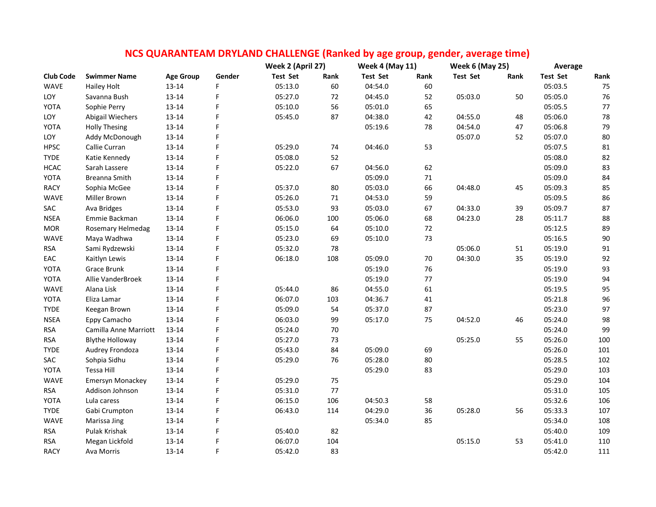| NCS QUARANTEAM DRYLAND CHALLENGE (Ranked by age group, gender, average time) |                         |                  |        |                   |      |                        |        |                        |      |                 |        |
|------------------------------------------------------------------------------|-------------------------|------------------|--------|-------------------|------|------------------------|--------|------------------------|------|-----------------|--------|
|                                                                              |                         |                  |        | Week 2 (April 27) |      | <b>Week 4 (May 11)</b> |        | <b>Week 6 (May 25)</b> |      | Average         |        |
| <b>Club Code</b>                                                             | <b>Swimmer Name</b>     | <b>Age Group</b> | Gender | <b>Test Set</b>   | Rank | <b>Test Set</b>        | Rank   | <b>Test Set</b>        | Rank | <b>Test Set</b> | Rank   |
| <b>WAVE</b>                                                                  | Hailey Holt             | 13-14            | F      | 05:13.0           | 60   | 04:54.0                | 60     |                        |      | 05:03.5         | 75     |
| LOY                                                                          | Savanna Bush            | $13 - 14$        | F      | 05:27.0           | 72   | 04:45.0                | 52     | 05:03.0                | 50   | 05:05.0         | 76     |
| YOTA                                                                         | Sophie Perry            | 13-14            | F      | 05:10.0           | 56   | 05:01.0                | 65     |                        |      | 05:05.5         | $77\,$ |
| LOY                                                                          | Abigail Wiechers        | $13 - 14$        | F      | 05:45.0           | 87   | 04:38.0                | 42     | 04:55.0                | 48   | 05:06.0         | 78     |
| YOTA                                                                         | <b>Holly Thesing</b>    | $13 - 14$        | F      |                   |      | 05:19.6                | 78     | 04:54.0                | 47   | 05:06.8         | 79     |
| LOY                                                                          | Addy McDonough          | $13 - 14$        | F      |                   |      |                        |        | 05:07.0                | 52   | 05:07.0         | 80     |
| <b>HPSC</b>                                                                  | Callie Curran           | 13-14            | F      | 05:29.0           | 74   | 04:46.0                | 53     |                        |      | 05:07.5         | 81     |
| <b>TYDE</b>                                                                  | Katie Kennedy           | 13-14            | F      | 05:08.0           | 52   |                        |        |                        |      | 05:08.0         | 82     |
| <b>HCAC</b>                                                                  | Sarah Lassere           | 13-14            | F      | 05:22.0           | 67   | 04:56.0                | 62     |                        |      | 05:09.0         | 83     |
| YOTA                                                                         | Breanna Smith           | $13 - 14$        | F      |                   |      | 05:09.0                | $71\,$ |                        |      | 05:09.0         | 84     |
| <b>RACY</b>                                                                  | Sophia McGee            | 13-14            | F      | 05:37.0           | 80   | 05:03.0                | 66     | 04:48.0                | 45   | 05:09.3         | 85     |
| <b>WAVE</b>                                                                  | Miller Brown            | 13-14            | F      | 05:26.0           | 71   | 04:53.0                | 59     |                        |      | 05:09.5         | 86     |
| SAC                                                                          | Ava Bridges             | $13 - 14$        | F      | 05:53.0           | 93   | 05:03.0                | 67     | 04:33.0                | 39   | 05:09.7         | 87     |
| <b>NSEA</b>                                                                  | Emmie Backman           | $13 - 14$        | F      | 06:06.0           | 100  | 05:06.0                | 68     | 04:23.0                | 28   | 05:11.7         | 88     |
| <b>MOR</b>                                                                   | Rosemary Helmedag       | 13-14            | F      | 05:15.0           | 64   | 05:10.0                | 72     |                        |      | 05:12.5         | 89     |
| <b>WAVE</b>                                                                  | Maya Wadhwa             | $13 - 14$        | F      | 05:23.0           | 69   | 05:10.0                | 73     |                        |      | 05:16.5         | 90     |
| <b>RSA</b>                                                                   | Sami Rydzewski          | 13-14            | F      | 05:32.0           | 78   |                        |        | 05:06.0                | 51   | 05:19.0         | $91\,$ |
| EAC                                                                          | Kaitlyn Lewis           | $13 - 14$        | F      | 06:18.0           | 108  | 05:09.0                | 70     | 04:30.0                | 35   | 05:19.0         | 92     |
| YOTA                                                                         | Grace Brunk             | $13 - 14$        | F      |                   |      | 05:19.0                | 76     |                        |      | 05:19.0         | 93     |
| YOTA                                                                         | Allie VanderBroek       | $13 - 14$        | F      |                   |      | 05:19.0                | 77     |                        |      | 05:19.0         | 94     |
| <b>WAVE</b>                                                                  | Alana Lisk              | $13 - 14$        | F      | 05:44.0           | 86   | 04:55.0                | 61     |                        |      | 05:19.5         | 95     |
| YOTA                                                                         | Eliza Lamar             | $13 - 14$        | F      | 06:07.0           | 103  | 04:36.7                | 41     |                        |      | 05:21.8         | 96     |
| <b>TYDE</b>                                                                  | Keegan Brown            | 13-14            | F      | 05:09.0           | 54   | 05:37.0                | 87     |                        |      | 05:23.0         | 97     |
| <b>NSEA</b>                                                                  | Eppy Camacho            | 13-14            | F      | 06:03.0           | 99   | 05:17.0                | 75     | 04:52.0                | 46   | 05:24.0         | 98     |
| <b>RSA</b>                                                                   | Camilla Anne Marriott   | 13-14            | F      | 05:24.0           | 70   |                        |        |                        |      | 05:24.0         | 99     |
| <b>RSA</b>                                                                   | <b>Blythe Holloway</b>  | $13 - 14$        | F      | 05:27.0           | 73   |                        |        | 05:25.0                | 55   | 05:26.0         | 100    |
| <b>TYDE</b>                                                                  | Audrey Frondoza         | $13 - 14$        | F      | 05:43.0           | 84   | 05:09.0                | 69     |                        |      | 05:26.0         | 101    |
| SAC                                                                          | Sohpia Sidhu            | $13 - 14$        | F      | 05:29.0           | 76   | 05:28.0                | 80     |                        |      | 05:28.5         | 102    |
| YOTA                                                                         | Tessa Hill              | 13-14            | F      |                   |      | 05:29.0                | 83     |                        |      | 05:29.0         | 103    |
| <b>WAVE</b>                                                                  | <b>Emersyn Monackey</b> | $13 - 14$        | F      | 05:29.0           | 75   |                        |        |                        |      | 05:29.0         | 104    |
| <b>RSA</b>                                                                   | Addison Johnson         | $13 - 14$        | F      | 05:31.0           | 77   |                        |        |                        |      | 05:31.0         | 105    |
| YOTA                                                                         | Lula caress             | $13 - 14$        | F      | 06:15.0           | 106  | 04:50.3                | 58     |                        |      | 05:32.6         | 106    |
| <b>TYDE</b>                                                                  | Gabi Crumpton           | 13-14            | F      | 06:43.0           | 114  | 04:29.0                | 36     | 05:28.0                | 56   | 05:33.3         | 107    |
| <b>WAVE</b>                                                                  | Marissa Jing            | $13 - 14$        | F.     |                   |      | 05:34.0                | 85     |                        |      | 05:34.0         | 108    |
| <b>RSA</b>                                                                   | Pulak Krishak           | 13-14            | F      | 05:40.0           | 82   |                        |        |                        |      | 05:40.0         | 109    |
| <b>RSA</b>                                                                   | Megan Lickfold          | $13 - 14$        | F      | 06:07.0           | 104  |                        |        | 05:15.0                | 53   | 05:41.0         | 110    |
| <b>RACY</b>                                                                  | Ava Morris              | $13 - 14$        | F      | 05:42.0           | 83   |                        |        |                        |      | 05:42.0         | 111    |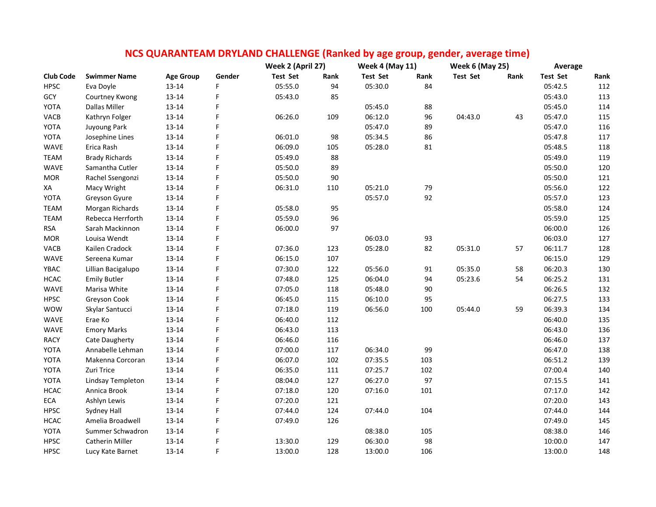|                  |                       |                  |        | Week 2 (April 27) |      | <b>Week 4 (May 11)</b> |      | <b>Week 6 (May 25)</b> |      | Average         |      |
|------------------|-----------------------|------------------|--------|-------------------|------|------------------------|------|------------------------|------|-----------------|------|
| <b>Club Code</b> | <b>Swimmer Name</b>   | <b>Age Group</b> | Gender | <b>Test Set</b>   | Rank | <b>Test Set</b>        | Rank | <b>Test Set</b>        | Rank | <b>Test Set</b> | Rank |
| <b>HPSC</b>      | Eva Doyle             | 13-14            | F      | 05:55.0           | 94   | 05:30.0                | 84   |                        |      | 05:42.5         | 112  |
| GCY              | Courtney Kwong        | $13 - 14$        | F      | 05:43.0           | 85   |                        |      |                        |      | 05:43.0         | 113  |
| YOTA             | Dallas Miller         | 13-14            | F      |                   |      | 05:45.0                | 88   |                        |      | 05:45.0         | 114  |
| VACB             | Kathryn Folger        | 13-14            | F      | 06:26.0           | 109  | 06:12.0                | 96   | 04:43.0                | 43   | 05:47.0         | 115  |
| YOTA             | Juyoung Park          | 13-14            | F      |                   |      | 05:47.0                | 89   |                        |      | 05:47.0         | 116  |
| YOTA             | Josephine Lines       | 13-14            | F      | 06:01.0           | 98   | 05:34.5                | 86   |                        |      | 05:47.8         | 117  |
| <b>WAVE</b>      | Erica Rash            | 13-14            | F      | 06:09.0           | 105  | 05:28.0                | 81   |                        |      | 05:48.5         | 118  |
| <b>TEAM</b>      | <b>Brady Richards</b> | 13-14            | F      | 05:49.0           | 88   |                        |      |                        |      | 05:49.0         | 119  |
| WAVE             | Samantha Cutler       | $13 - 14$        | F      | 05:50.0           | 89   |                        |      |                        |      | 05:50.0         | 120  |
| <b>MOR</b>       | Rachel Ssengonzi      | 13-14            | F      | 05:50.0           | 90   |                        |      |                        |      | 05:50.0         | 121  |
| XA               | Macy Wright           | 13-14            | F      | 06:31.0           | 110  | 05:21.0                | 79   |                        |      | 05:56.0         | 122  |
| YOTA             | Greyson Gyure         | 13-14            | F      |                   |      | 05:57.0                | 92   |                        |      | 05:57.0         | 123  |
| <b>TEAM</b>      | Morgan Richards       | $13 - 14$        | F      | 05:58.0           | 95   |                        |      |                        |      | 05:58.0         | 124  |
| <b>TEAM</b>      | Rebecca Herrforth     | 13-14            | F      | 05:59.0           | 96   |                        |      |                        |      | 05:59.0         | 125  |
| <b>RSA</b>       | Sarah Mackinnon       | 13-14            | F      | 06:00.0           | 97   |                        |      |                        |      | 06:00.0         | 126  |
| <b>MOR</b>       | Louisa Wendt          | 13-14            | F      |                   |      | 06:03.0                | 93   |                        |      | 06:03.0         | 127  |
| VACB             | Kailen Cradock        | 13-14            | F      | 07:36.0           | 123  | 05:28.0                | 82   | 05:31.0                | 57   | 06:11.7         | 128  |
| <b>WAVE</b>      | Sereena Kumar         | 13-14            | F      | 06:15.0           | 107  |                        |      |                        |      | 06:15.0         | 129  |
| YBAC             | Lillian Bacigalupo    | 13-14            | F      | 07:30.0           | 122  | 05:56.0                | 91   | 05:35.0                | 58   | 06:20.3         | 130  |
| HCAC             | <b>Emily Butler</b>   | 13-14            | F      | 07:48.0           | 125  | 06:04.0                | 94   | 05:23.6                | 54   | 06:25.2         | 131  |
| <b>WAVE</b>      | Marisa White          | 13-14            | F      | 07:05.0           | 118  | 05:48.0                | 90   |                        |      | 06:26.5         | 132  |
| <b>HPSC</b>      | Greyson Cook          | 13-14            | F      | 06:45.0           | 115  | 06:10.0                | 95   |                        |      | 06:27.5         | 133  |
| <b>WOW</b>       | Skylar Santucci       | 13-14            | F      | 07:18.0           | 119  | 06:56.0                | 100  | 05:44.0                | 59   | 06:39.3         | 134  |
| <b>WAVE</b>      | Erae Ko               | 13-14            | F      | 06:40.0           | 112  |                        |      |                        |      | 06:40.0         | 135  |
| WAVE             | <b>Emory Marks</b>    | $13 - 14$        | F      | 06:43.0           | 113  |                        |      |                        |      | 06:43.0         | 136  |
| <b>RACY</b>      | Cate Daugherty        | 13-14            | F      | 06:46.0           | 116  |                        |      |                        |      | 06:46.0         | 137  |
| YOTA             | Annabelle Lehman      | $13 - 14$        | F      | 07:00.0           | 117  | 06:34.0                | 99   |                        |      | 06:47.0         | 138  |
| YOTA             | Makenna Corcoran      | 13-14            | F      | 06:07.0           | 102  | 07:35.5                | 103  |                        |      | 06:51.2         | 139  |
| YOTA             | Zuri Trice            | 13-14            | F      | 06:35.0           | 111  | 07:25.7                | 102  |                        |      | 07:00.4         | 140  |
| YOTA             | Lindsay Templeton     | $13 - 14$        | F      | 08:04.0           | 127  | 06:27.0                | 97   |                        |      | 07:15.5         | 141  |
| <b>HCAC</b>      | Annica Brook          | $13 - 14$        | F      | 07:18.0           | 120  | 07:16.0                | 101  |                        |      | 07:17.0         | 142  |
| ECA              | Ashlyn Lewis          | 13-14            | F      | 07:20.0           | 121  |                        |      |                        |      | 07:20.0         | 143  |
| <b>HPSC</b>      | Sydney Hall           | 13-14            | F      | 07:44.0           | 124  | 07:44.0                | 104  |                        |      | 07:44.0         | 144  |
| <b>HCAC</b>      | Amelia Broadwell      | 13-14            | F      | 07:49.0           | 126  |                        |      |                        |      | 07:49.0         | 145  |
| YOTA             | Summer Schwadron      | 13-14            | F      |                   |      | 08:38.0                | 105  |                        |      | 08:38.0         | 146  |
| <b>HPSC</b>      | Catherin Miller       | 13-14            | F      | 13:30.0           | 129  | 06:30.0                | 98   |                        |      | 10:00.0         | 147  |
| <b>HPSC</b>      | Lucy Kate Barnet      | 13-14            | F      | 13:00.0           | 128  | 13:00.0                | 106  |                        |      | 13:00.0         | 148  |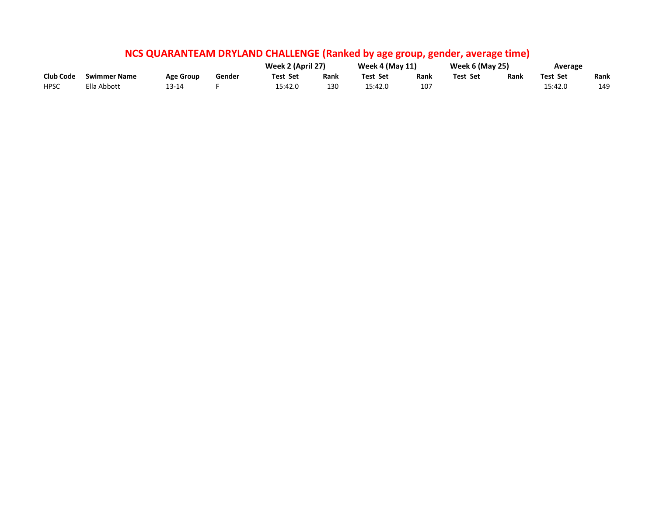|                  |                     |                  |        | Week 2 (April 27) |      | <b>Week 4 (May 11)</b> |      | <b>Week 6 (May 25)</b> |      | Average  |      |
|------------------|---------------------|------------------|--------|-------------------|------|------------------------|------|------------------------|------|----------|------|
| <b>Club Code</b> | <b>Swimmer Name</b> | <b>Age Group</b> | Gender | Test Set          | Rank | <b>Test Set</b>        | Rank | Test Set               | Rank | Test Set | Rank |
| <b>HPSC</b>      | Ella Abbott         | 13-14            |        | 15:42.0           | 130  | 15:42.0                | 107  |                        |      | 15:42.0  | 149  |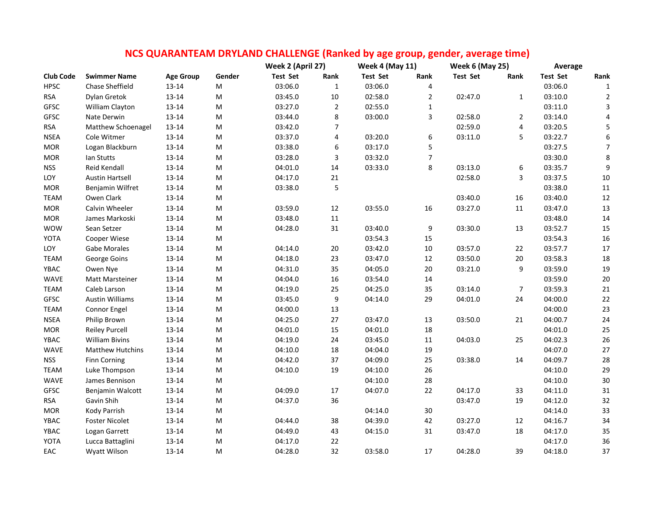| NCS QUARANTEAM DRYLAND CHALLENGE (Ranked by age group, gender, average time) |  |
|------------------------------------------------------------------------------|--|
|------------------------------------------------------------------------------|--|

|                  |                        |                  | Week 2 (April 27)                                                                                          |                 | <b>Week 4 (May 11)</b> |                 | <b>Week 6 (May 25)</b> |                 | Average        |                 |                  |
|------------------|------------------------|------------------|------------------------------------------------------------------------------------------------------------|-----------------|------------------------|-----------------|------------------------|-----------------|----------------|-----------------|------------------|
| <b>Club Code</b> | <b>Swimmer Name</b>    | <b>Age Group</b> | Gender                                                                                                     | <b>Test Set</b> | Rank                   | <b>Test Set</b> | Rank                   | <b>Test Set</b> | Rank           | <b>Test Set</b> | Rank             |
| <b>HPSC</b>      | Chase Sheffield        | 13-14            | M                                                                                                          | 03:06.0         | $\mathbf 1$            | 03:06.0         | 4                      |                 |                | 03:06.0         | $\mathbf{1}$     |
| <b>RSA</b>       | Dylan Gretok           | 13-14            | M                                                                                                          | 03:45.0         | $10\,$                 | 02:58.0         | $\overline{2}$         | 02:47.0         | $\mathbf{1}$   | 03:10.0         | $\overline{2}$   |
| <b>GFSC</b>      | William Clayton        | 13-14            | M                                                                                                          | 03:27.0         | $\overline{2}$         | 02:55.0         | $\mathbf 1$            |                 |                | 03:11.0         | $\mathbf{3}$     |
| <b>GFSC</b>      | Nate Derwin            | $13 - 14$        | M                                                                                                          | 03:44.0         | 8                      | 03:00.0         | 3                      | 02:58.0         | $\overline{2}$ | 03:14.0         | $\overline{4}$   |
| <b>RSA</b>       | Matthew Schoenagel     | $13 - 14$        | M                                                                                                          | 03:42.0         | 7                      |                 |                        | 02:59.0         | 4              | 03:20.5         | 5                |
| <b>NSEA</b>      | Cole Witmer            | 13-14            | M                                                                                                          | 03:37.0         | 4                      | 03:20.0         | 6                      | 03:11.0         | 5              | 03:22.7         | $\boldsymbol{6}$ |
| <b>MOR</b>       | Logan Blackburn        | 13-14            | M                                                                                                          | 03:38.0         | 6                      | 03:17.0         | 5                      |                 |                | 03:27.5         | $\overline{7}$   |
| <b>MOR</b>       | Ian Stutts             | $13 - 14$        | M                                                                                                          | 03:28.0         | 3                      | 03:32.0         | $\overline{7}$         |                 |                | 03:30.0         | $\,8\,$          |
| <b>NSS</b>       | Reid Kendall           | 13-14            | M                                                                                                          | 04:01.0         | 14                     | 03:33.0         | 8                      | 03:13.0         | 6              | 03:35.7         | $\boldsymbol{9}$ |
| LOY              | <b>Austin Hartsell</b> | $13 - 14$        | $\mathsf{M}% _{T}=\mathsf{M}_{T}\!\left( a,b\right) ,\ \mathsf{M}_{T}=\mathsf{M}_{T}\!\left( a,b\right) ,$ | 04:17.0         | $21\,$                 |                 |                        | 02:58.0         | 3              | 03:37.5         | $10\,$           |
| <b>MOR</b>       | Benjamin Wilfret       | $13 - 14$        | ${\sf M}$                                                                                                  | 03:38.0         | 5                      |                 |                        |                 |                | 03:38.0         | $11\,$           |
| <b>TEAM</b>      | Owen Clark             | 13-14            | ${\sf M}$                                                                                                  |                 |                        |                 |                        | 03:40.0         | 16             | 03:40.0         | $12\,$           |
| <b>MOR</b>       | Calvin Wheeler         | 13-14            | ${\sf M}$                                                                                                  | 03:59.0         | $12\,$                 | 03:55.0         | 16                     | 03:27.0         | $11\,$         | 03:47.0         | 13               |
| <b>MOR</b>       | James Markoski         | 13-14            | M                                                                                                          | 03:48.0         | 11                     |                 |                        |                 |                | 03:48.0         | 14               |
| <b>WOW</b>       | Sean Setzer            | 13-14            | M                                                                                                          | 04:28.0         | 31                     | 03:40.0         | 9                      | 03:30.0         | 13             | 03:52.7         | 15               |
| YOTA             | Cooper Wiese           | $13 - 14$        | M                                                                                                          |                 |                        | 03:54.3         | 15                     |                 |                | 03:54.3         | 16               |
| LOY              | Gabe Morales           | 13-14            | M                                                                                                          | 04:14.0         | 20                     | 03:42.0         | $10\,$                 | 03:57.0         | 22             | 03:57.7         | $17\,$           |
| <b>TEAM</b>      | George Goins           | 13-14            | M                                                                                                          | 04:18.0         | 23                     | 03:47.0         | 12                     | 03:50.0         | 20             | 03:58.3         | 18               |
| YBAC             | Owen Nye               | 13-14            | M                                                                                                          | 04:31.0         | 35                     | 04:05.0         | 20                     | 03:21.0         | 9              | 03:59.0         | 19               |
| <b>WAVE</b>      | Matt Marsteiner        | 13-14            | M                                                                                                          | 04:04.0         | 16                     | 03:54.0         | 14                     |                 |                | 03:59.0         | 20               |
| <b>TEAM</b>      | Caleb Larson           | 13-14            | M                                                                                                          | 04:19.0         | 25                     | 04:25.0         | 35                     | 03:14.0         | $\overline{7}$ | 03:59.3         | 21               |
| <b>GFSC</b>      | <b>Austin Williams</b> | 13-14            | M                                                                                                          | 03:45.0         | 9                      | 04:14.0         | 29                     | 04:01.0         | 24             | 04:00.0         | 22               |
| <b>TEAM</b>      | Connor Engel           | 13-14            | M                                                                                                          | 04:00.0         | 13                     |                 |                        |                 |                | 04:00.0         | 23               |
| <b>NSEA</b>      | Philip Brown           | 13-14            | M                                                                                                          | 04:25.0         | 27                     | 03:47.0         | 13                     | 03:50.0         | 21             | 04:00.7         | 24               |
| <b>MOR</b>       | <b>Reiley Purcell</b>  | 13-14            | M                                                                                                          | 04:01.0         | 15                     | 04:01.0         | 18                     |                 |                | 04:01.0         | 25               |
| YBAC             | <b>William Bivins</b>  | 13-14            | M                                                                                                          | 04:19.0         | 24                     | 03:45.0         | $11\,$                 | 04:03.0         | 25             | 04:02.3         | 26               |
| WAVE             | Matthew Hutchins       | 13-14            | M                                                                                                          | 04:10.0         | 18                     | 04:04.0         | 19                     |                 |                | 04:07.0         | 27               |
| <b>NSS</b>       | <b>Finn Corning</b>    | 13-14            | M                                                                                                          | 04:42.0         | 37                     | 04:09.0         | 25                     | 03:38.0         | 14             | 04:09.7         | 28               |
| <b>TEAM</b>      | Luke Thompson          | $13 - 14$        | ${\sf M}$                                                                                                  | 04:10.0         | 19                     | 04:10.0         | 26                     |                 |                | 04:10.0         | 29               |
| WAVE             | James Bennison         | 13-14            | ${\sf M}$                                                                                                  |                 |                        | 04:10.0         | 28                     |                 |                | 04:10.0         | $30\,$           |
| GFSC             | Benjamin Walcott       | 13-14            | M                                                                                                          | 04:09.0         | $17\,$                 | 04:07.0         | 22                     | 04:17.0         | 33             | 04:11.0         | 31               |
| <b>RSA</b>       | Gavin Shih             | $13 - 14$        | M                                                                                                          | 04:37.0         | 36                     |                 |                        | 03:47.0         | 19             | 04:12.0         | 32               |
| <b>MOR</b>       | Kody Parrish           | 13-14            | M                                                                                                          |                 |                        | 04:14.0         | 30                     |                 |                | 04:14.0         | 33               |
| YBAC             | <b>Foster Nicolet</b>  | 13-14            | M                                                                                                          | 04:44.0         | 38                     | 04:39.0         | 42                     | 03:27.0         | 12             | 04:16.7         | 34               |
| YBAC             | Logan Garrett          | $13 - 14$        | M                                                                                                          | 04:49.0         | 43                     | 04:15.0         | 31                     | 03:47.0         | 18             | 04:17.0         | 35               |
| YOTA             | Lucca Battaglini       | 13-14            | M                                                                                                          | 04:17.0         | 22                     |                 |                        |                 |                | 04:17.0         | 36               |
| EAC              | Wyatt Wilson           | $13 - 14$        | M                                                                                                          | 04:28.0         | 32                     | 03:58.0         | 17                     | 04:28.0         | 39             | 04:18.0         | 37               |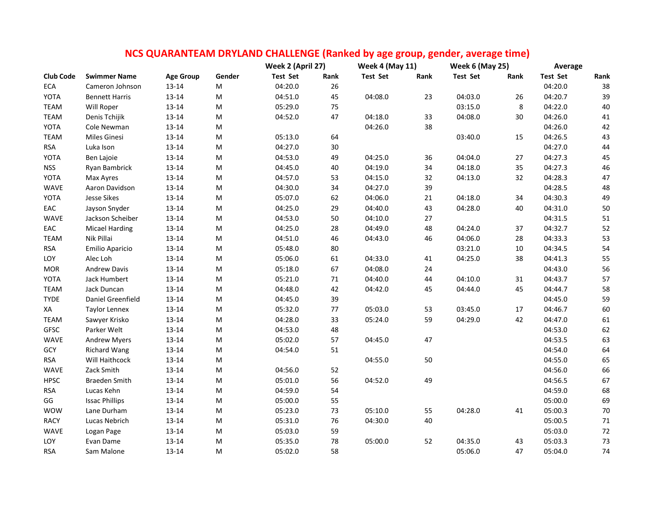|                  |                       |                  |           | Week 2 (April 27) |      | CS QOANAIVI LAIVI DNTLAIVD CHALLLIVOL (Nafined by age group, genuer, average time)<br><b>Week 4 (May 11)</b> |      | <b>Week 6 (May 25)</b> |        | Average         |        |
|------------------|-----------------------|------------------|-----------|-------------------|------|--------------------------------------------------------------------------------------------------------------|------|------------------------|--------|-----------------|--------|
| <b>Club Code</b> | <b>Swimmer Name</b>   | <b>Age Group</b> | Gender    | Test Set          | Rank | <b>Test Set</b>                                                                                              | Rank | <b>Test Set</b>        | Rank   | <b>Test Set</b> | Rank   |
| ECA              | Cameron Johnson       | $13 - 14$        | M         | 04:20.0           | 26   |                                                                                                              |      |                        |        | 04:20.0         | 38     |
| YOTA             | <b>Bennett Harris</b> | 13-14            | M         | 04:51.0           | 45   | 04:08.0                                                                                                      | 23   | 04:03.0                | 26     | 04:20.7         | 39     |
| <b>TEAM</b>      | Will Roper            | $13 - 14$        | M         | 05:29.0           | 75   |                                                                                                              |      | 03:15.0                | 8      | 04:22.0         | 40     |
| <b>TEAM</b>      | Denis Tchijik         | $13 - 14$        | ${\sf M}$ | 04:52.0           | 47   | 04:18.0                                                                                                      | 33   | 04:08.0                | 30     | 04:26.0         | $41\,$ |
| YOTA             | Cole Newman           | $13 - 14$        | M         |                   |      | 04:26.0                                                                                                      | 38   |                        |        | 04:26.0         | 42     |
| <b>TEAM</b>      | Miles Ginesi          | 13-14            | M         | 05:13.0           | 64   |                                                                                                              |      | 03:40.0                | 15     | 04:26.5         | 43     |
| <b>RSA</b>       | Luka Ison             | $13 - 14$        | M         | 04:27.0           | 30   |                                                                                                              |      |                        |        | 04:27.0         | 44     |
| YOTA             | Ben Lajoie            | $13 - 14$        | M         | 04:53.0           | 49   | 04:25.0                                                                                                      | 36   | 04:04.0                | 27     | 04:27.3         | 45     |
| <b>NSS</b>       | Ryan Bambrick         | $13 - 14$        | M         | 04:45.0           | 40   | 04:19.0                                                                                                      | 34   | 04:18.0                | 35     | 04:27.3         | 46     |
| YOTA             | Max Ayres             | $13 - 14$        | M         | 04:57.0           | 53   | 04:15.0                                                                                                      | 32   | 04:13.0                | 32     | 04:28.3         | 47     |
| <b>WAVE</b>      | Aaron Davidson        | 13-14            | M         | 04:30.0           | 34   | 04:27.0                                                                                                      | 39   |                        |        | 04:28.5         | 48     |
| YOTA             | <b>Jesse Sikes</b>    | $13 - 14$        | M         | 05:07.0           | 62   | 04:06.0                                                                                                      | 21   | 04:18.0                | 34     | 04:30.3         | 49     |
| EAC              | Jayson Snyder         | $13 - 14$        | M         | 04:25.0           | 29   | 04:40.0                                                                                                      | 43   | 04:28.0                | 40     | 04:31.0         | 50     |
| <b>WAVE</b>      | Jackson Scheiber      | 13-14            | M         | 04:53.0           | 50   | 04:10.0                                                                                                      | 27   |                        |        | 04:31.5         | 51     |
| EAC              | <b>Micael Harding</b> | $13 - 14$        | M         | 04:25.0           | 28   | 04:49.0                                                                                                      | 48   | 04:24.0                | 37     | 04:32.7         | 52     |
| TEAM             | Nik Pillai            | $13 - 14$        | M         | 04:51.0           | 46   | 04:43.0                                                                                                      | 46   | 04:06.0                | 28     | 04:33.3         | 53     |
| <b>RSA</b>       | Emilio Aparicio       | $13 - 14$        | ${\sf M}$ | 05:48.0           | 80   |                                                                                                              |      | 03:21.0                | $10\,$ | 04:34.5         | 54     |
| LOY              | Alec Loh              | $13 - 14$        | M         | 05:06.0           | 61   | 04:33.0                                                                                                      | 41   | 04:25.0                | 38     | 04:41.3         | 55     |
| <b>MOR</b>       | Andrew Davis          | $13 - 14$        | ${\sf M}$ | 05:18.0           | 67   | 04:08.0                                                                                                      | 24   |                        |        | 04:43.0         | 56     |
| YOTA             | Jack Humbert          | $13 - 14$        | M         | 05:21.0           | 71   | 04:40.0                                                                                                      | 44   | 04:10.0                | 31     | 04:43.7         | 57     |
| <b>TEAM</b>      | Jack Duncan           | 13-14            | M         | 04:48.0           | 42   | 04:42.0                                                                                                      | 45   | 04:44.0                | 45     | 04:44.7         | 58     |
| <b>TYDE</b>      | Daniel Greenfield     | $13 - 14$        | M         | 04:45.0           | 39   |                                                                                                              |      |                        |        | 04:45.0         | 59     |
| XA               | <b>Taylor Lennex</b>  | $13 - 14$        | M         | 05:32.0           | 77   | 05:03.0                                                                                                      | 53   | 03:45.0                | 17     | 04:46.7         | 60     |
| <b>TEAM</b>      | Sawyer Krisko         | $13 - 14$        | M         | 04:28.0           | 33   | 05:24.0                                                                                                      | 59   | 04:29.0                | 42     | 04:47.0         | 61     |
| <b>GFSC</b>      | Parker Welt           | $13 - 14$        | M         | 04:53.0           | 48   |                                                                                                              |      |                        |        | 04:53.0         | 62     |
| <b>WAVE</b>      | <b>Andrew Myers</b>   | $13 - 14$        | M         | 05:02.0           | 57   | 04:45.0                                                                                                      | 47   |                        |        | 04:53.5         | 63     |
| GCY              | <b>Richard Wang</b>   | $13 - 14$        | M         | 04:54.0           | 51   |                                                                                                              |      |                        |        | 04:54.0         | 64     |
| <b>RSA</b>       | Will Haithcock        | 13-14            | M         |                   |      | 04:55.0                                                                                                      | 50   |                        |        | 04:55.0         | 65     |
| <b>WAVE</b>      | Zack Smith            | $13 - 14$        | M         | 04:56.0           | 52   |                                                                                                              |      |                        |        | 04:56.0         | 66     |
| <b>HPSC</b>      | <b>Braeden Smith</b>  | $13 - 14$        | ${\sf M}$ | 05:01.0           | 56   | 04:52.0                                                                                                      | 49   |                        |        | 04:56.5         | 67     |
| <b>RSA</b>       | Lucas Kehn            | $13 - 14$        | M         | 04:59.0           | 54   |                                                                                                              |      |                        |        | 04:59.0         | 68     |
| GG               | <b>Issac Phillips</b> | $13 - 14$        | ${\sf M}$ | 05:00.0           | 55   |                                                                                                              |      |                        |        | 05:00.0         | 69     |
| <b>WOW</b>       | Lane Durham           | 13-14            | M         | 05:23.0           | 73   | 05:10.0                                                                                                      | 55   | 04:28.0                | 41     | 05:00.3         | 70     |
| <b>RACY</b>      | Lucas Nebrich         | 13-14            | M         | 05:31.0           | 76   | 04:30.0                                                                                                      | 40   |                        |        | 05:00.5         | 71     |
| <b>WAVE</b>      | Logan Page            | 13-14            | M         | 05:03.0           | 59   |                                                                                                              |      |                        |        | 05:03.0         | $72\,$ |
| LOY              | Evan Dame             | 13-14            | M         | 05:35.0           | 78   | 05:00.0                                                                                                      | 52   | 04:35.0                | 43     | 05:03.3         | 73     |
| <b>RSA</b>       | Sam Malone            | 13-14            | M         | 05:02.0           | 58   |                                                                                                              |      | 05:06.0                | 47     | 05:04.0         | 74     |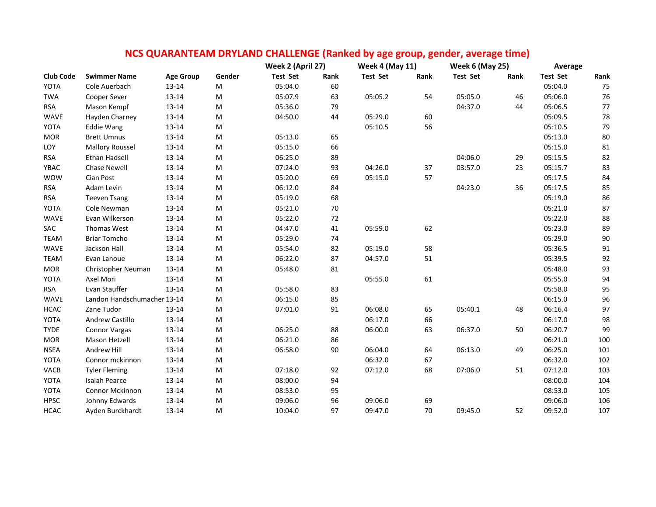| NCS QUARANTEAM DRYLAND CHALLENGE (Ranked by age group, gender, average time) |                             |                  |           |                   |      |                        |      |                        |      |                 |         |
|------------------------------------------------------------------------------|-----------------------------|------------------|-----------|-------------------|------|------------------------|------|------------------------|------|-----------------|---------|
|                                                                              |                             |                  |           | Week 2 (April 27) |      | <b>Week 4 (May 11)</b> |      | <b>Week 6 (May 25)</b> |      | Average         |         |
| <b>Club Code</b>                                                             | <b>Swimmer Name</b>         | <b>Age Group</b> | Gender    | <b>Test Set</b>   | Rank | <b>Test Set</b>        | Rank | <b>Test Set</b>        | Rank | <b>Test Set</b> | Rank    |
| YOTA                                                                         | Cole Auerbach               | 13-14            | M         | 05:04.0           | 60   |                        |      |                        |      | 05:04.0         | 75      |
| <b>TWA</b>                                                                   | Cooper Sever                | $13 - 14$        | M         | 05:07.9           | 63   | 05:05.2                | 54   | 05:05.0                | 46   | 05:06.0         | 76      |
| <b>RSA</b>                                                                   | Mason Kempf                 | 13-14            | M         | 05:36.0           | 79   |                        |      | 04:37.0                | 44   | 05:06.5         | $77 \,$ |
| WAVE                                                                         | Hayden Charney              | 13-14            | M         | 04:50.0           | 44   | 05:29.0                | 60   |                        |      | 05:09.5         | 78      |
| YOTA                                                                         | <b>Eddie Wang</b>           | 13-14            | M         |                   |      | 05:10.5                | 56   |                        |      | 05:10.5         | 79      |
| <b>MOR</b>                                                                   | <b>Brett Umnus</b>          | 13-14            | M         | 05:13.0           | 65   |                        |      |                        |      | 05:13.0         | $80\,$  |
| LOY                                                                          | <b>Mallory Roussel</b>      | 13-14            | M         | 05:15.0           | 66   |                        |      |                        |      | 05:15.0         | $81\,$  |
| <b>RSA</b>                                                                   | <b>Ethan Hadsell</b>        | 13-14            | M         | 06:25.0           | 89   |                        |      | 04:06.0                | 29   | 05:15.5         | 82      |
| YBAC                                                                         | <b>Chase Newell</b>         | 13-14            | M         | 07:24.0           | 93   | 04:26.0                | 37   | 03:57.0                | 23   | 05:15.7         | 83      |
| <b>WOW</b>                                                                   | Cian Post                   | 13-14            | M         | 05:20.0           | 69   | 05:15.0                | 57   |                        |      | 05:17.5         | 84      |
| <b>RSA</b>                                                                   | Adam Levin                  | 13-14            | M         | 06:12.0           | 84   |                        |      | 04:23.0                | 36   | 05:17.5         | 85      |
| <b>RSA</b>                                                                   | <b>Teeven Tsang</b>         | 13-14            | M         | 05:19.0           | 68   |                        |      |                        |      | 05:19.0         | 86      |
| YOTA                                                                         | Cole Newman                 | 13-14            | M         | 05:21.0           | 70   |                        |      |                        |      | 05:21.0         | 87      |
| WAVE                                                                         | Evan Wilkerson              | $13 - 14$        | M         | 05:22.0           | 72   |                        |      |                        |      | 05:22.0         | 88      |
| SAC                                                                          | Thomas West                 | $13 - 14$        | M         | 04:47.0           | 41   | 05:59.0                | 62   |                        |      | 05:23.0         | 89      |
| <b>TEAM</b>                                                                  | <b>Briar Tomcho</b>         | 13-14            | ${\sf M}$ | 05:29.0           | 74   |                        |      |                        |      | 05:29.0         | $90\,$  |
| <b>WAVE</b>                                                                  | Jackson Hall                | 13-14            | M         | 05:54.0           | 82   | 05:19.0                | 58   |                        |      | 05:36.5         | 91      |
| <b>TEAM</b>                                                                  | Evan Lanoue                 | 13-14            | M         | 06:22.0           | 87   | 04:57.0                | 51   |                        |      | 05:39.5         | 92      |
| <b>MOR</b>                                                                   | Christopher Neuman          | 13-14            | M         | 05:48.0           | 81   |                        |      |                        |      | 05:48.0         | 93      |
| YOTA                                                                         | Axel Mori                   | 13-14            | M         |                   |      | 05:55.0                | 61   |                        |      | 05:55.0         | 94      |
| <b>RSA</b>                                                                   | Evan Stauffer               | 13-14            | M         | 05:58.0           | 83   |                        |      |                        |      | 05:58.0         | 95      |
| WAVE                                                                         | Landon Handschumacher 13-14 |                  | M         | 06:15.0           | 85   |                        |      |                        |      | 06:15.0         | 96      |
| <b>HCAC</b>                                                                  | Zane Tudor                  | 13-14            | M         | 07:01.0           | 91   | 06:08.0                | 65   | 05:40.1                | 48   | 06:16.4         | 97      |
| YOTA                                                                         | Andrew Castillo             | 13-14            | ${\sf M}$ |                   |      | 06:17.0                | 66   |                        |      | 06:17.0         | 98      |
| <b>TYDE</b>                                                                  | Connor Vargas               | 13-14            | M         | 06:25.0           | 88   | 06:00.0                | 63   | 06:37.0                | 50   | 06:20.7         | 99      |
| <b>MOR</b>                                                                   | Mason Hetzell               | 13-14            | M         | 06:21.0           | 86   |                        |      |                        |      | 06:21.0         | 100     |
| <b>NSEA</b>                                                                  | Andrew Hill                 | 13-14            | M         | 06:58.0           | 90   | 06:04.0                | 64   | 06:13.0                | 49   | 06:25.0         | 101     |
| YOTA                                                                         | Connor mckinnon             | 13-14            | M         |                   |      | 06:32.0                | 67   |                        |      | 06:32.0         | 102     |
| VACB                                                                         | <b>Tyler Fleming</b>        | 13-14            | M         | 07:18.0           | 92   | 07:12.0                | 68   | 07:06.0                | 51   | 07:12.0         | 103     |
| YOTA                                                                         | <b>Isaiah Pearce</b>        | 13-14            | M         | 08:00.0           | 94   |                        |      |                        |      | 08:00.0         | 104     |
| YOTA                                                                         | Connor Mckinnon             | 13-14            | M         | 08:53.0           | 95   |                        |      |                        |      | 08:53.0         | 105     |
| <b>HPSC</b>                                                                  | Johnny Edwards              | 13-14            | M         | 09:06.0           | 96   | 09:06.0                | 69   |                        |      | 09:06.0         | 106     |
| <b>HCAC</b>                                                                  | Ayden Burckhardt            | 13-14            | M         | 10:04.0           | 97   | 09:47.0                | 70   | 09:45.0                | 52   | 09:52.0         | 107     |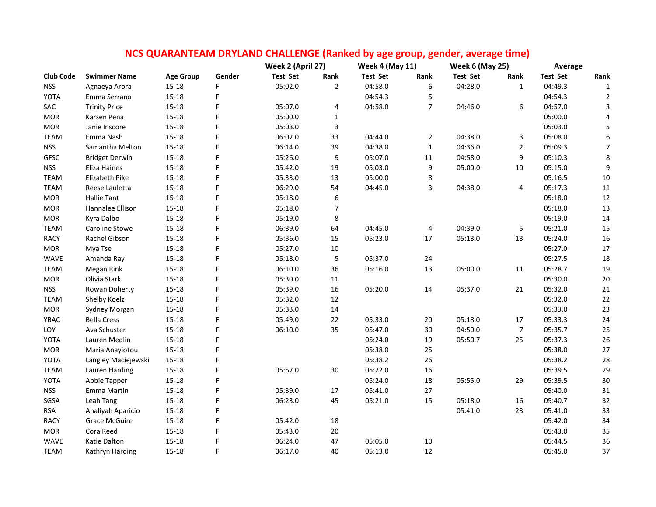|                  |                       |                  |        | Week 2 (April 27) |                | <u>NCS QUARANTEAM DRYLAND CHALLENGE (Ranked by age group, gender, average time)</u><br><b>Week 4 (May 11)</b> |                | <b>Week 6 (May 25)</b> |                | Average         |                  |
|------------------|-----------------------|------------------|--------|-------------------|----------------|---------------------------------------------------------------------------------------------------------------|----------------|------------------------|----------------|-----------------|------------------|
| <b>Club Code</b> | <b>Swimmer Name</b>   | <b>Age Group</b> | Gender | <b>Test Set</b>   | Rank           | <b>Test Set</b>                                                                                               | Rank           | <b>Test Set</b>        | Rank           | <b>Test Set</b> | Rank             |
| <b>NSS</b>       | Agnaeya Arora         | $15 - 18$        | F      | 05:02.0           | $\overline{2}$ | 04:58.0                                                                                                       | 6              | 04:28.0                | $\mathbf{1}$   | 04:49.3         | $\mathbf{1}$     |
| <b>YOTA</b>      | Emma Serrano          | $15 - 18$        | F      |                   |                | 04:54.3                                                                                                       | 5              |                        |                | 04:54.3         | $\overline{2}$   |
| SAC              | <b>Trinity Price</b>  | $15 - 18$        | F      | 05:07.0           | 4              | 04:58.0                                                                                                       | $\overline{7}$ | 04:46.0                | 6              | 04:57.0         | $\mathbf{3}$     |
| <b>MOR</b>       | Karsen Pena           | $15 - 18$        | F      | 05:00.0           | $\mathbf{1}$   |                                                                                                               |                |                        |                | 05:00.0         | $\overline{a}$   |
| <b>MOR</b>       | Janie Inscore         | $15 - 18$        | F      | 05:03.0           | 3              |                                                                                                               |                |                        |                | 05:03.0         | 5                |
| <b>TEAM</b>      | Emma Nash             | $15 - 18$        | F      | 06:02.0           | 33             | 04:44.0                                                                                                       | $\overline{2}$ | 04:38.0                | 3              | 05:08.0         | $\boldsymbol{6}$ |
| <b>NSS</b>       | Samantha Melton       | $15 - 18$        | F      | 06:14.0           | 39             | 04:38.0                                                                                                       | $\mathbf 1$    | 04:36.0                | $\overline{2}$ | 05:09.3         | $\overline{7}$   |
| <b>GFSC</b>      | <b>Bridget Derwin</b> | $15 - 18$        | F      | 05:26.0           | 9              | 05:07.0                                                                                                       | $11\,$         | 04:58.0                | 9              | 05:10.3         | $\,8\,$          |
| <b>NSS</b>       | Eliza Haines          | $15 - 18$        | F      | 05:42.0           | 19             | 05:03.0                                                                                                       | 9              | 05:00.0                | 10             | 05:15.0         | 9                |
| <b>TEAM</b>      | Elizabeth Pike        | $15 - 18$        |        | 05:33.0           | 13             | 05:00.0                                                                                                       | 8              |                        |                | 05:16.5         | $10\,$           |
| <b>TEAM</b>      | Reese Lauletta        | $15 - 18$        | F      | 06:29.0           | 54             | 04:45.0                                                                                                       | 3              | 04:38.0                | 4              | 05:17.3         | 11               |
| <b>MOR</b>       | <b>Hallie Tant</b>    | $15 - 18$        | F      | 05:18.0           | 6              |                                                                                                               |                |                        |                | 05:18.0         | 12               |
| <b>MOR</b>       | Hannalee Ellison      | $15 - 18$        | F      | 05:18.0           | $\overline{7}$ |                                                                                                               |                |                        |                | 05:18.0         | 13               |
| <b>MOR</b>       | Kyra Dalbo            | $15 - 18$        | F      | 05:19.0           | 8              |                                                                                                               |                |                        |                | 05:19.0         | 14               |
| <b>TEAM</b>      | Caroline Stowe        | $15 - 18$        | F      | 06:39.0           | 64             | 04:45.0                                                                                                       | 4              | 04:39.0                | 5              | 05:21.0         | 15               |
| RACY             | Rachel Gibson         | $15 - 18$        | F      | 05:36.0           | 15             | 05:23.0                                                                                                       | 17             | 05:13.0                | 13             | 05:24.0         | 16               |
| <b>MOR</b>       |                       | $15 - 18$        | F      | 05:27.0           | $10\,$         |                                                                                                               |                |                        |                | 05:27.0         | 17               |
| WAVE             | Mya Tse<br>Amanda Ray | $15 - 18$        | F      | 05:18.0           | 5              | 05:37.0                                                                                                       | 24             |                        |                | 05:27.5         | 18               |
|                  |                       | $15 - 18$        | F      | 06:10.0           | 36             | 05:16.0                                                                                                       |                | 05:00.0                |                | 05:28.7         | 19               |
| <b>TEAM</b>      | Megan Rink            |                  | F      |                   |                |                                                                                                               | 13             |                        | 11             |                 |                  |
| <b>MOR</b>       | Olivia Stark          | $15 - 18$        | F      | 05:30.0           | $11\,$         |                                                                                                               |                |                        |                | 05:30.0         | $20\,$           |
| <b>NSS</b>       | Rowan Doherty         | $15 - 18$        | F      | 05:39.0           | 16             | 05:20.0                                                                                                       | 14             | 05:37.0                | 21             | 05:32.0         | 21               |
| <b>TEAM</b>      | Shelby Koelz          | $15 - 18$        |        | 05:32.0           | 12             |                                                                                                               |                |                        |                | 05:32.0         | $22\,$           |
| <b>MOR</b>       | Sydney Morgan         | 15-18            | F      | 05:33.0           | 14             |                                                                                                               |                |                        |                | 05:33.0         | 23               |
| YBAC             | <b>Bella Cress</b>    | $15 - 18$        | F      | 05:49.0           | 22             | 05:33.0                                                                                                       | 20             | 05:18.0                | 17             | 05:33.3         | 24               |
| LOY              | Ava Schuster          | $15 - 18$        | F      | 06:10.0           | 35             | 05:47.0                                                                                                       | 30             | 04:50.0                | $\overline{7}$ | 05:35.7         | 25               |
| YOTA             | Lauren Medlin         | $15 - 18$        | F      |                   |                | 05:24.0                                                                                                       | 19             | 05:50.7                | 25             | 05:37.3         | 26               |
| <b>MOR</b>       | Maria Anayiotou       | $15 - 18$        | F      |                   |                | 05:38.0                                                                                                       | 25             |                        |                | 05:38.0         | 27               |
| YOTA             | Langley Maciejewski   | $15 - 18$        |        |                   |                | 05:38.2                                                                                                       | 26             |                        |                | 05:38.2         | 28               |
| <b>TEAM</b>      | Lauren Harding        | 15-18            | F      | 05:57.0           | 30             | 05:22.0                                                                                                       | 16             |                        |                | 05:39.5         | 29               |
| YOTA             | Abbie Tapper          | $15 - 18$        | F      |                   |                | 05:24.0                                                                                                       | 18             | 05:55.0                | 29             | 05:39.5         | $30\,$           |
| <b>NSS</b>       | Emma Martin           | 15-18            | F      | 05:39.0           | 17             | 05:41.0                                                                                                       | 27             |                        |                | 05:40.0         | 31               |
| SGSA             | Leah Tang             | $15 - 18$        | F      | 06:23.0           | 45             | 05:21.0                                                                                                       | 15             | 05:18.0                | 16             | 05:40.7         | 32               |
| <b>RSA</b>       | Analiyah Aparicio     | $15 - 18$        | F      |                   |                |                                                                                                               |                | 05:41.0                | 23             | 05:41.0         | 33               |
| <b>RACY</b>      | <b>Grace McGuire</b>  | $15 - 18$        | F      | 05:42.0           | $18\,$         |                                                                                                               |                |                        |                | 05:42.0         | 34               |
| <b>MOR</b>       | Cora Reed             | $15 - 18$        | F      | 05:43.0           | 20             |                                                                                                               |                |                        |                | 05:43.0         | 35               |
| WAVE             | Katie Dalton          | $15 - 18$        |        | 06:24.0           | 47             | 05:05.0                                                                                                       | 10             |                        |                | 05:44.5         | 36               |
| <b>TEAM</b>      | Kathryn Harding       | $15 - 18$        | F      | 06:17.0           | 40             | 05:13.0                                                                                                       | 12             |                        |                | 05:45.0         | 37               |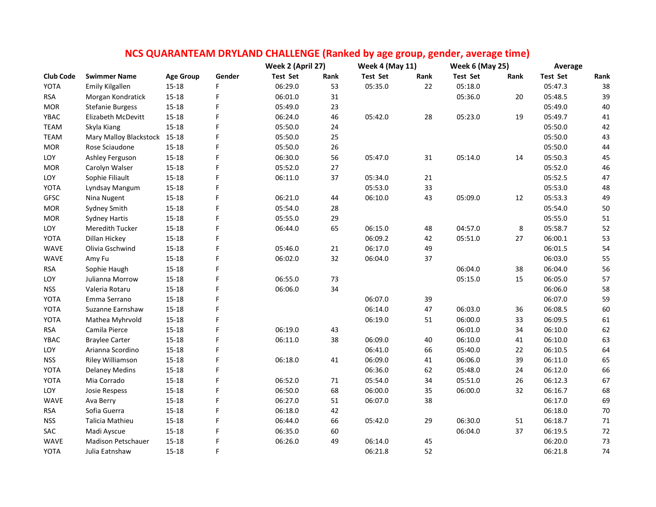| NCS QUARANTEAM DRYLAND CHALLENGE (Ranked by age group, gender, average time) |                              |                  |        |                   |      |                        |        |                        |      |                 |        |
|------------------------------------------------------------------------------|------------------------------|------------------|--------|-------------------|------|------------------------|--------|------------------------|------|-----------------|--------|
|                                                                              |                              |                  |        | Week 2 (April 27) |      | <b>Week 4 (May 11)</b> |        | <b>Week 6 (May 25)</b> |      | Average         |        |
| <b>Club Code</b>                                                             | <b>Swimmer Name</b>          | <b>Age Group</b> | Gender | <b>Test Set</b>   | Rank | <b>Test Set</b>        | Rank   | <b>Test Set</b>        | Rank | <b>Test Set</b> | Rank   |
| YOTA                                                                         | <b>Emily Kilgallen</b>       | $15 - 18$        | F      | 06:29.0           | 53   | 05:35.0                | 22     | 05:18.0                |      | 05:47.3         | 38     |
| <b>RSA</b>                                                                   | Morgan Kondratick            | $15 - 18$        | F      | 06:01.0           | 31   |                        |        | 05:36.0                | 20   | 05:48.5         | 39     |
| <b>MOR</b>                                                                   | <b>Stefanie Burgess</b>      | $15 - 18$        | F      | 05:49.0           | 23   |                        |        |                        |      | 05:49.0         | 40     |
| YBAC                                                                         | Elizabeth McDevitt           | $15 - 18$        | F      | 06:24.0           | 46   | 05:42.0                | 28     | 05:23.0                | 19   | 05:49.7         | $41\,$ |
| <b>TEAM</b>                                                                  | Skyla Kiang                  | $15 - 18$        | F      | 05:50.0           | 24   |                        |        |                        |      | 05:50.0         | 42     |
| <b>TEAM</b>                                                                  | Mary Malloy Blackstock 15-18 |                  | F      | 05:50.0           | 25   |                        |        |                        |      | 05:50.0         | 43     |
| <b>MOR</b>                                                                   | Rose Sciaudone               | $15 - 18$        | F      | 05:50.0           | 26   |                        |        |                        |      | 05:50.0         | 44     |
| LOY                                                                          | Ashley Ferguson              | $15 - 18$        | F      | 06:30.0           | 56   | 05:47.0                | 31     | 05:14.0                | 14   | 05:50.3         | 45     |
| <b>MOR</b>                                                                   | Carolyn Walser               | $15 - 18$        | F      | 05:52.0           | 27   |                        |        |                        |      | 05:52.0         | 46     |
| LOY                                                                          | Sophie Filiault              | $15 - 18$        | F      | 06:11.0           | 37   | 05:34.0                | $21\,$ |                        |      | 05:52.5         | 47     |
| YOTA                                                                         | Lyndsay Mangum               | $15 - 18$        | F      |                   |      | 05:53.0                | 33     |                        |      | 05:53.0         | 48     |
| <b>GFSC</b>                                                                  | Nina Nugent                  | $15 - 18$        | F      | 06:21.0           | 44   | 06:10.0                | 43     | 05:09.0                | 12   | 05:53.3         | 49     |
| <b>MOR</b>                                                                   | Sydney Smith                 | $15 - 18$        | F      | 05:54.0           | 28   |                        |        |                        |      | 05:54.0         | 50     |
| <b>MOR</b>                                                                   | <b>Sydney Hartis</b>         | $15 - 18$        | Ë      | 05:55.0           | 29   |                        |        |                        |      | 05:55.0         | 51     |
| LOY                                                                          | Meredith Tucker              | $15 - 18$        | F      | 06:44.0           | 65   | 06:15.0                | 48     | 04:57.0                | 8    | 05:58.7         | 52     |
| YOTA                                                                         | Dillan Hickey                | $15 - 18$        | F      |                   |      | 06:09.2                | 42     | 05:51.0                | 27   | 06:00.1         | 53     |
| <b>WAVE</b>                                                                  | Olivia Gschwind              | $15 - 18$        | F      | 05:46.0           | 21   | 06:17.0                | 49     |                        |      | 06:01.5         | 54     |
| <b>WAVE</b>                                                                  | Amy Fu                       | $15 - 18$        | F      | 06:02.0           | 32   | 06:04.0                | 37     |                        |      | 06:03.0         | 55     |
| <b>RSA</b>                                                                   | Sophie Haugh                 | $15 - 18$        | F      |                   |      |                        |        | 06:04.0                | 38   | 06:04.0         | 56     |
| LOY                                                                          | Julianna Morrow              | $15 - 18$        | F      | 06:55.0           | 73   |                        |        | 05:15.0                | 15   | 06:05.0         | 57     |
| <b>NSS</b>                                                                   | Valeria Rotaru               | $15 - 18$        | F      | 06:06.0           | 34   |                        |        |                        |      | 06:06.0         | 58     |
| YOTA                                                                         | Emma Serrano                 | $15 - 18$        | F      |                   |      | 06:07.0                | 39     |                        |      | 06:07.0         | 59     |
| YOTA                                                                         | Suzanne Earnshaw             | $15 - 18$        | F      |                   |      | 06:14.0                | 47     | 06:03.0                | 36   | 06:08.5         | 60     |
| YOTA                                                                         | Mathea Myhrvold              | $15 - 18$        | Ë      |                   |      | 06:19.0                | 51     | 06:00.0                | 33   | 06:09.5         | 61     |
| <b>RSA</b>                                                                   | Camila Pierce                | $15 - 18$        | F      | 06:19.0           | 43   |                        |        | 06:01.0                | 34   | 06:10.0         | 62     |
| YBAC                                                                         | <b>Braylee Carter</b>        | $15 - 18$        | F      | 06:11.0           | 38   | 06:09.0                | 40     | 06:10.0                | 41   | 06:10.0         | 63     |
| LOY                                                                          | Arianna Scordino             | $15 - 18$        | F      |                   |      | 06:41.0                | 66     | 05:40.0                | 22   | 06:10.5         | 64     |
| <b>NSS</b>                                                                   | Riley Williamson             | $15 - 18$        | F      | 06:18.0           | 41   | 06:09.0                | 41     | 06:06.0                | 39   | 06:11.0         | 65     |
| YOTA                                                                         | <b>Delaney Medins</b>        | $15 - 18$        | F      |                   |      | 06:36.0                | 62     | 05:48.0                | 24   | 06:12.0         | 66     |
| YOTA                                                                         | Mia Corrado                  | $15 - 18$        | F      | 06:52.0           | 71   | 05:54.0                | 34     | 05:51.0                | 26   | 06:12.3         | 67     |
| LOY                                                                          | Josie Respess                | 15-18            | F      | 06:50.0           | 68   | 06:00.0                | 35     | 06:00.0                | 32   | 06:16.7         | 68     |
| WAVE                                                                         | Ava Berry                    | $15 - 18$        | F      | 06:27.0           | 51   | 06:07.0                | 38     |                        |      | 06:17.0         | 69     |
| <b>RSA</b>                                                                   | Sofia Guerra                 | $15 - 18$        | F      | 06:18.0           | 42   |                        |        |                        |      | 06:18.0         | $70\,$ |
| <b>NSS</b>                                                                   | Talicia Mathieu              | $15 - 18$        | Ë      | 06:44.0           | 66   | 05:42.0                | 29     | 06:30.0                | 51   | 06:18.7         | $71\,$ |
| SAC                                                                          | Madi Ayscue                  | $15 - 18$        | Ë      | 06:35.0           | 60   |                        |        | 06:04.0                | 37   | 06:19.5         | 72     |
| WAVE                                                                         | <b>Madison Petschauer</b>    | $15 - 18$        | F      | 06:26.0           | 49   | 06:14.0                | 45     |                        |      | 06:20.0         | 73     |
| YOTA                                                                         | Julia Eatnshaw               | $15 - 18$        | F      |                   |      | 06:21.8                | 52     |                        |      | 06:21.8         | 74     |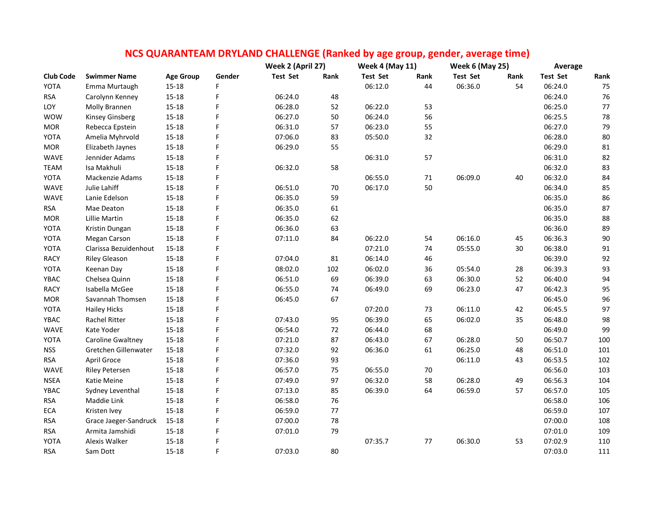|                  |                       |                  |             | Week 2 (April 27) |      | <b>Week 4 (May 11)</b> |      | NCS QUANAINTEAINI DNTLAIND CHALLEINGE (Nafiked by age group, genuer, average time)<br><b>Week 6 (May 25)</b> |      | Average         |        |
|------------------|-----------------------|------------------|-------------|-------------------|------|------------------------|------|--------------------------------------------------------------------------------------------------------------|------|-----------------|--------|
| <b>Club Code</b> | <b>Swimmer Name</b>   | <b>Age Group</b> | Gender      | <b>Test Set</b>   | Rank | Test Set               | Rank | <b>Test Set</b>                                                                                              | Rank | <b>Test Set</b> | Rank   |
| YOTA             | Emma Murtaugh         | $15 - 18$        | F           |                   |      | 06:12.0                | 44   | 06:36.0                                                                                                      | 54   | 06:24.0         | 75     |
| <b>RSA</b>       | Carolynn Kenney       | $15 - 18$        | F           | 06:24.0           | 48   |                        |      |                                                                                                              |      | 06:24.0         | 76     |
| LOY              | Molly Brannen         | $15 - 18$        | F           | 06:28.0           | 52   | 06:22.0                | 53   |                                                                                                              |      | 06:25.0         | $77\,$ |
| <b>WOW</b>       | Kinsey Ginsberg       | $15 - 18$        | F           | 06:27.0           | 50   | 06:24.0                | 56   |                                                                                                              |      | 06:25.5         | 78     |
| <b>MOR</b>       | Rebecca Epstein       | $15 - 18$        | F           | 06:31.0           | 57   | 06:23.0                | 55   |                                                                                                              |      | 06:27.0         | 79     |
| YOTA             | Amelia Myhrvold       | $15 - 18$        | F           | 07:06.0           | 83   | 05:50.0                | 32   |                                                                                                              |      | 06:28.0         | 80     |
| <b>MOR</b>       | Elizabeth Jaynes      | $15 - 18$        | F           | 06:29.0           | 55   |                        |      |                                                                                                              |      | 06:29.0         | 81     |
| <b>WAVE</b>      | Jennider Adams        | $15 - 18$        | F           |                   |      | 06:31.0                | 57   |                                                                                                              |      | 06:31.0         | 82     |
| <b>TEAM</b>      | Isa Makhuli           | $15 - 18$        | F           | 06:32.0           | 58   |                        |      |                                                                                                              |      | 06:32.0         | 83     |
| YOTA             | Mackenzie Adams       | $15 - 18$        | F           |                   |      | 06:55.0                | 71   | 06:09.0                                                                                                      | 40   | 06:32.0         | 84     |
| WAVE             | Julie Lahiff          | $15 - 18$        | F           | 06:51.0           | 70   | 06:17.0                | 50   |                                                                                                              |      | 06:34.0         | 85     |
| WAVE             | Lanie Edelson         | $15 - 18$        | F           | 06:35.0           | 59   |                        |      |                                                                                                              |      | 06:35.0         | 86     |
| <b>RSA</b>       | Mae Deaton            | $15 - 18$        | F           | 06:35.0           | 61   |                        |      |                                                                                                              |      | 06:35.0         | 87     |
| <b>MOR</b>       | Lillie Martin         | $15 - 18$        | F           | 06:35.0           | 62   |                        |      |                                                                                                              |      | 06:35.0         | 88     |
| YOTA             | Kristin Dungan        | $15 - 18$        | F           | 06:36.0           | 63   |                        |      |                                                                                                              |      | 06:36.0         | 89     |
| YOTA             | Megan Carson          | $15 - 18$        | F           | 07:11.0           | 84   | 06:22.0                | 54   | 06:16.0                                                                                                      | 45   | 06:36.3         | $90\,$ |
| YOTA             | Clarissa Bezuidenhout | $15 - 18$        | F           |                   |      | 07:21.0                | 74   | 05:55.0                                                                                                      | 30   | 06:38.0         | 91     |
| <b>RACY</b>      | <b>Riley Gleason</b>  | $15 - 18$        | $\mathsf F$ | 07:04.0           | 81   | 06:14.0                | 46   |                                                                                                              |      | 06:39.0         | 92     |
| YOTA             | Keenan Day            | $15 - 18$        | F           | 08:02.0           | 102  | 06:02.0                | 36   | 05:54.0                                                                                                      | 28   | 06:39.3         | 93     |
| YBAC             | Chelsea Quinn         | $15 - 18$        | F           | 06:51.0           | 69   | 06:39.0                | 63   | 06:30.0                                                                                                      | 52   | 06:40.0         | 94     |
| <b>RACY</b>      | Isabella McGee        | $15 - 18$        | F           | 06:55.0           | 74   | 06:49.0                | 69   | 06:23.0                                                                                                      | 47   | 06:42.3         | 95     |
| <b>MOR</b>       | Savannah Thomsen      | $15 - 18$        | F           | 06:45.0           | 67   |                        |      |                                                                                                              |      | 06:45.0         | 96     |
| YOTA             | <b>Hailey Hicks</b>   | $15 - 18$        | F           |                   |      | 07:20.0                | 73   | 06:11.0                                                                                                      | 42   | 06:45.5         | 97     |
| YBAC             | <b>Rachel Ritter</b>  | $15 - 18$        | F           | 07:43.0           | 95   | 06:39.0                | 65   | 06:02.0                                                                                                      | 35   | 06:48.0         | 98     |
| WAVE             | Kate Yoder            | $15 - 18$        | F           | 06:54.0           | 72   | 06:44.0                | 68   |                                                                                                              |      | 06:49.0         | 99     |
| YOTA             | Caroline Gwaltney     | $15 - 18$        | F           | 07:21.0           | 87   | 06:43.0                | 67   | 06:28.0                                                                                                      | 50   | 06:50.7         | 100    |
| <b>NSS</b>       | Gretchen Gillenwater  | $15 - 18$        | F           | 07:32.0           | 92   | 06:36.0                | 61   | 06:25.0                                                                                                      | 48   | 06:51.0         | 101    |
| <b>RSA</b>       | April Groce           | $15 - 18$        | F           | 07:36.0           | 93   |                        |      | 06:11.0                                                                                                      | 43   | 06:53.5         | 102    |
| WAVE             | <b>Riley Petersen</b> | 15-18            | F           | 06:57.0           | 75   | 06:55.0                | 70   |                                                                                                              |      | 06:56.0         | 103    |
| <b>NSEA</b>      | Katie Meine           | $15 - 18$        | F           | 07:49.0           | 97   | 06:32.0                | 58   | 06:28.0                                                                                                      | 49   | 06:56.3         | 104    |
| YBAC             | Sydney Leventhal      | $15 - 18$        | F           | 07:13.0           | 85   | 06:39.0                | 64   | 06:59.0                                                                                                      | 57   | 06:57.0         | 105    |
| <b>RSA</b>       | Maddie Link           | $15 - 18$        | F           | 06:58.0           | 76   |                        |      |                                                                                                              |      | 06:58.0         | 106    |
| ECA              | Kristen Ivey          | $15 - 18$        | F           | 06:59.0           | $77$ |                        |      |                                                                                                              |      | 06:59.0         | 107    |
| <b>RSA</b>       | Grace Jaeger-Sandruck | 15-18            | F           | 07:00.0           | 78   |                        |      |                                                                                                              |      | 07:00.0         | 108    |
| <b>RSA</b>       | Armita Jamshidi       | $15 - 18$        | F           | 07:01.0           | 79   |                        |      |                                                                                                              |      | 07:01.0         | 109    |
| YOTA             | Alexis Walker         | 15-18            | F           |                   |      | 07:35.7                | 77   | 06:30.0                                                                                                      | 53   | 07:02.9         | 110    |
| <b>RSA</b>       | Sam Dott              | 15-18            | F           | 07:03.0           | 80   |                        |      |                                                                                                              |      | 07:03.0         | 111    |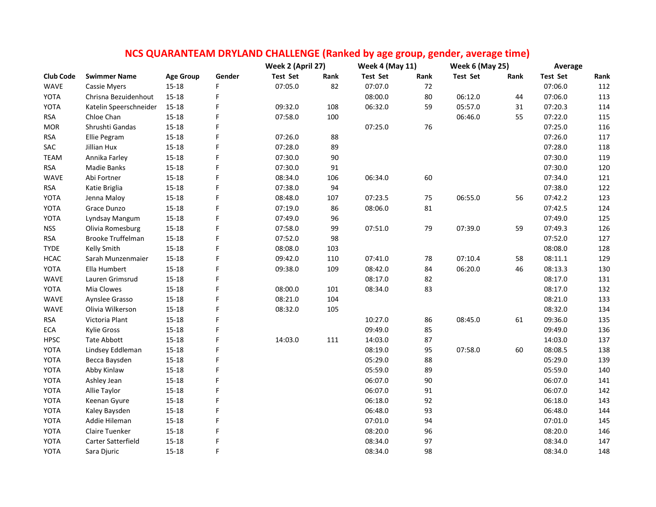|                  |                        |                  |        | NCS QUARANTEAM DRYLAND CHALLENGE (Ranked by age group, gender, average time) |                   |                 |                        |                        |      |                 |      |
|------------------|------------------------|------------------|--------|------------------------------------------------------------------------------|-------------------|-----------------|------------------------|------------------------|------|-----------------|------|
|                  |                        |                  |        |                                                                              | Week 2 (April 27) |                 | <b>Week 4 (May 11)</b> | <b>Week 6 (May 25)</b> |      | Average         |      |
| <b>Club Code</b> | <b>Swimmer Name</b>    | <b>Age Group</b> | Gender | <b>Test Set</b>                                                              | Rank              | <b>Test Set</b> | Rank                   | <b>Test Set</b>        | Rank | <b>Test Set</b> | Rank |
| <b>WAVE</b>      | <b>Cassie Myers</b>    | $15 - 18$        | F      | 07:05.0                                                                      | 82                | 07:07.0         | 72                     |                        |      | 07:06.0         | 112  |
| YOTA             | Chrisna Bezuidenhout   | $15 - 18$        | F      |                                                                              |                   | 08:00.0         | 80                     | 06:12.0                | 44   | 07:06.0         | 113  |
| YOTA             | Katelin Speerschneider | $15 - 18$        | F      | 09:32.0                                                                      | 108               | 06:32.0         | 59                     | 05:57.0                | 31   | 07:20.3         | 114  |
| <b>RSA</b>       | Chloe Chan             | $15 - 18$        | F      | 07:58.0                                                                      | 100               |                 |                        | 06:46.0                | 55   | 07:22.0         | 115  |
| <b>MOR</b>       | Shrushti Gandas        | $15 - 18$        | F      |                                                                              |                   | 07:25.0         | 76                     |                        |      | 07:25.0         | 116  |
| <b>RSA</b>       | Ellie Pegram           | $15 - 18$        | F      | 07:26.0                                                                      | 88                |                 |                        |                        |      | 07:26.0         | 117  |
| SAC              | Jillian Hux            | $15 - 18$        | F      | 07:28.0                                                                      | 89                |                 |                        |                        |      | 07:28.0         | 118  |
| <b>TEAM</b>      | Annika Farley          | $15 - 18$        | F      | 07:30.0                                                                      | 90                |                 |                        |                        |      | 07:30.0         | 119  |
| <b>RSA</b>       | Madie Banks            | $15 - 18$        | F      | 07:30.0                                                                      | 91                |                 |                        |                        |      | 07:30.0         | 120  |
| WAVE             | Abi Fortner            | $15 - 18$        | F      | 08:34.0                                                                      | 106               | 06:34.0         | 60                     |                        |      | 07:34.0         | 121  |
| <b>RSA</b>       | Katie Briglia          | $15 - 18$        | F      | 07:38.0                                                                      | 94                |                 |                        |                        |      | 07:38.0         | 122  |
| YOTA             | Jenna Maloy            | $15 - 18$        | F      | 08:48.0                                                                      | 107               | 07:23.5         | 75                     | 06:55.0                | 56   | 07:42.2         | 123  |
| YOTA             | Grace Dunzo            | $15 - 18$        | F      | 07:19.0                                                                      | 86                | 08:06.0         | 81                     |                        |      | 07:42.5         | 124  |
| YOTA             | Lyndsay Mangum         | $15 - 18$        | F      | 07:49.0                                                                      | 96                |                 |                        |                        |      | 07:49.0         | 125  |
| <b>NSS</b>       | Olivia Romesburg       | $15 - 18$        | F      | 07:58.0                                                                      | 99                | 07:51.0         | 79                     | 07:39.0                | 59   | 07:49.3         | 126  |
| <b>RSA</b>       | Brooke Truffelman      | $15 - 18$        | F      | 07:52.0                                                                      | 98                |                 |                        |                        |      | 07:52.0         | 127  |
| <b>TYDE</b>      | Kelly Smith            | $15 - 18$        | F      | 08:08.0                                                                      | 103               |                 |                        |                        |      | 08:08.0         | 128  |
| <b>HCAC</b>      | Sarah Munzenmaier      | $15 - 18$        | F      | 09:42.0                                                                      | 110               | 07:41.0         | 78                     | 07:10.4                | 58   | 08:11.1         | 129  |
| YOTA             | Ella Humbert           | $15 - 18$        | F      | 09:38.0                                                                      | 109               | 08:42.0         | 84                     | 06:20.0                | 46   | 08:13.3         | 130  |
| WAVE             | Lauren Grimsrud        | $15 - 18$        | F      |                                                                              |                   | 08:17.0         | 82                     |                        |      | 08:17.0         | 131  |
| YOTA             | Mia Clowes             | 15-18            | F      | 08:00.0                                                                      | 101               | 08:34.0         | 83                     |                        |      | 08:17.0         | 132  |
| WAVE             | Aynslee Grasso         | $15 - 18$        | F      | 08:21.0                                                                      | 104               |                 |                        |                        |      | 08:21.0         | 133  |
| WAVE             | Olivia Wilkerson       | $15 - 18$        | F      | 08:32.0                                                                      | 105               |                 |                        |                        |      | 08:32.0         | 134  |
| <b>RSA</b>       | Victoria Plant         | $15 - 18$        | F      |                                                                              |                   | 10:27.0         | 86                     | 08:45.0                | 61   | 09:36.0         | 135  |
| ECA              | Kylie Gross            | $15 - 18$        | F      |                                                                              |                   | 09:49.0         | 85                     |                        |      | 09:49.0         | 136  |
| <b>HPSC</b>      | <b>Tate Abbott</b>     | 15-18            | F      | 14:03.0                                                                      | 111               | 14:03.0         | 87                     |                        |      | 14:03.0         | 137  |
| YOTA             | Lindsey Eddleman       | $15 - 18$        | F      |                                                                              |                   | 08:19.0         | 95                     | 07:58.0                | 60   | 08:08.5         | 138  |
| YOTA             | Becca Baysden          | $15 - 18$        | F      |                                                                              |                   | 05:29.0         | 88                     |                        |      | 05:29.0         | 139  |
| YOTA             | Abby Kinlaw            | $15 - 18$        | F      |                                                                              |                   | 05:59.0         | 89                     |                        |      | 05:59.0         | 140  |
| YOTA             | Ashley Jean            | $15 - 18$        | F      |                                                                              |                   | 06:07.0         | 90                     |                        |      | 06:07.0         | 141  |
| YOTA             | Allie Taylor           | $15 - 18$        | F      |                                                                              |                   | 06:07.0         | 91                     |                        |      | 06:07.0         | 142  |
| YOTA             | Keenan Gyure           | $15 - 18$        | F      |                                                                              |                   | 06:18.0         | 92                     |                        |      | 06:18.0         | 143  |
| YOTA             | Kaley Baysden          | $15 - 18$        | F      |                                                                              |                   | 06:48.0         | 93                     |                        |      | 06:48.0         | 144  |
| YOTA             | Addie Hileman          | $15 - 18$        | F      |                                                                              |                   | 07:01.0         | 94                     |                        |      | 07:01.0         | 145  |
| YOTA             | Claire Tuenker         | $15 - 18$        | F      |                                                                              |                   | 08:20.0         | 96                     |                        |      | 08:20.0         | 146  |
| YOTA             | Carter Satterfield     | $15 - 18$        | F      |                                                                              |                   | 08:34.0         | 97                     |                        |      | 08:34.0         | 147  |
| YOTA             | Sara Djuric            | $15 - 18$        | F      |                                                                              |                   | 08:34.0         | 98                     |                        |      | 08:34.0         | 148  |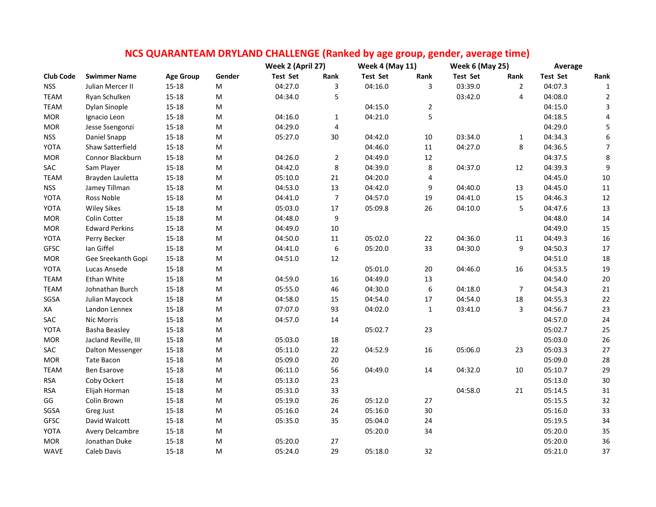|                  |                       |                  |                                                                                                            | NCS QUARANTEAM DRYLAND CHALLENGE (Ranked by age group, gender, average time) |                  |                        |              |                        |                |                 |                  |
|------------------|-----------------------|------------------|------------------------------------------------------------------------------------------------------------|------------------------------------------------------------------------------|------------------|------------------------|--------------|------------------------|----------------|-----------------|------------------|
|                  |                       |                  |                                                                                                            | Week 2 (April 27)                                                            |                  | <b>Week 4 (May 11)</b> |              | <b>Week 6 (May 25)</b> |                | Average         |                  |
| <b>Club Code</b> | <b>Swimmer Name</b>   | <b>Age Group</b> | Gender                                                                                                     | <b>Test Set</b>                                                              | Rank             | <b>Test Set</b>        | Rank         | <b>Test Set</b>        | Rank           | <b>Test Set</b> | Rank             |
| <b>NSS</b>       | Julian Mercer II      | $15 - 18$        | М                                                                                                          | 04:27.0                                                                      | 3                | 04:16.0                | 3            | 03:39.0                | $\overline{2}$ | 04:07.3         | 1                |
| <b>TEAM</b>      | Ryan Schulken         | $15 - 18$        | ${\sf M}$                                                                                                  | 04:34.0                                                                      | 5                |                        |              | 03:42.0                | 4              | 04:08.0         | $\overline{2}$   |
| <b>TEAM</b>      | Dylan Sinople         | $15 - 18$        | M                                                                                                          |                                                                              |                  | 04:15.0                | $\mathbf 2$  |                        |                | 04:15.0         | $\mathbf{3}$     |
| <b>MOR</b>       | Ignacio Leon          | $15 - 18$        | M                                                                                                          | 04:16.0                                                                      | $\mathbf{1}$     | 04:21.0                | 5            |                        |                | 04:18.5         | 4                |
| <b>MOR</b>       | Jesse Ssengonzi       | $15 - 18$        | ${\sf M}$                                                                                                  | 04:29.0                                                                      | 4                |                        |              |                        |                | 04:29.0         | $\mathsf S$      |
| <b>NSS</b>       | Daniel Snapp          | $15 - 18$        | ${\sf M}$                                                                                                  | 05:27.0                                                                      | $30\,$           | 04:42.0                | $10\,$       | 03:34.0                | $\mathbf{1}$   | 04:34.3         | $\boldsymbol{6}$ |
| YOTA             | Shaw Satterfield      | $15 - 18$        | M                                                                                                          |                                                                              |                  | 04:46.0                | 11           | 04:27.0                | 8              | 04:36.5         | $\overline{7}$   |
| <b>MOR</b>       | Connor Blackburn      | $15 - 18$        | M                                                                                                          | 04:26.0                                                                      | $\overline{2}$   | 04:49.0                | $12\,$       |                        |                | 04:37.5         | $\bf 8$          |
| SAC              | Sam Player            | $15 - 18$        | $\mathsf{M}% _{T}=\mathsf{M}_{T}\!\left( a,b\right) ,\ \mathsf{M}_{T}=\mathsf{M}_{T}\!\left( a,b\right) ,$ | 04:42.0                                                                      | 8                | 04:39.0                | 8            | 04:37.0                | 12             | 04:39.3         | $\boldsymbol{9}$ |
| <b>TEAM</b>      | Brayden Lauletta      | $15 - 18$        | М                                                                                                          | 05:10.0                                                                      | 21               | 04:20.0                | 4            |                        |                | 04:45.0         | $10\,$           |
| <b>NSS</b>       | Jamey Tillman         | $15 - 18$        | M                                                                                                          | 04:53.0                                                                      | 13               | 04:42.0                | 9            | 04:40.0                | 13             | 04:45.0         | $11\,$           |
| YOTA             | Ross Noble            | $15 - 18$        | ${\sf M}$                                                                                                  | 04:41.0                                                                      | $\overline{7}$   | 04:57.0                | 19           | 04:41.0                | 15             | 04:46.3         | $12\,$           |
| YOTA             | <b>Wiley Sikes</b>    | $15 - 18$        | M                                                                                                          | 05:03.0                                                                      | 17               | 05:09.8                | 26           | 04:10.0                | 5              | 04:47.6         | 13               |
| <b>MOR</b>       | Colin Cotter          | $15 - 18$        | M                                                                                                          | 04:48.0                                                                      | 9                |                        |              |                        |                | 04:48.0         | $14\,$           |
| <b>MOR</b>       | <b>Edward Perkins</b> | $15 - 18$        | M                                                                                                          | 04:49.0                                                                      | $10\,$           |                        |              |                        |                | 04:49.0         | 15               |
| YOTA             | Perry Becker          | $15 - 18$        | ${\sf M}$                                                                                                  | 04:50.0                                                                      | $11\,$           | 05:02.0                | 22           | 04:36.0                | $11\,$         | 04:49.3         | 16               |
| GFSC             | Ian Giffel            | $15 - 18$        | ${\sf M}$                                                                                                  | 04:41.0                                                                      | $\boldsymbol{6}$ | 05:20.0                | 33           | 04:30.0                | 9              | 04:50.3         | 17               |
| $\sf{MOR}$       | Gee Sreekanth Gopi    | $15 - 18$        | M                                                                                                          | 04:51.0                                                                      | 12               |                        |              |                        |                | 04:51.0         | 18               |
| YOTA             | Lucas Ansede          | $15 - 18$        | M                                                                                                          |                                                                              |                  | 05:01.0                | 20           | 04:46.0                | 16             | 04:53.5         | 19               |
| <b>TEAM</b>      | <b>Ethan White</b>    | $15 - 18$        | М                                                                                                          | 04:59.0                                                                      | $16\,$           | 04:49.0                | 13           |                        |                | 04:54.0         | $20\,$           |
| <b>TEAM</b>      | Johnathan Burch       | $15 - 18$        | M                                                                                                          | 05:55.0                                                                      | 46               | 04:30.0                | 6            | 04:18.0                | $\overline{7}$ | 04:54.3         | 21               |
| SGSA             | Julian Maycock        | $15 - 18$        | $\mathsf{M}% _{T}=\mathsf{M}_{T}\!\left( a,b\right) ,\ \mathsf{M}_{T}=\mathsf{M}_{T}\!\left( a,b\right) ,$ | 04:58.0                                                                      | 15               | 04:54.0                | 17           | 04:54.0                | $18\,$         | 04:55.3         | $22\,$           |
| XA               | Landon Lennex         | $15 - 18$        | $\mathsf{M}% _{T}=\mathsf{M}_{T}\!\left( a,b\right) ,\ \mathsf{M}_{T}=\mathsf{M}_{T}\!\left( a,b\right) ,$ | 07:07.0                                                                      | 93               | 04:02.0                | $\mathbf{1}$ | 03:41.0                | 3              | 04:56.7         | 23               |
| SAC              | Nic Morris            | $15 - 18$        | M                                                                                                          | 04:57.0                                                                      | $14\,$           |                        |              |                        |                | 04:57.0         | 24               |
| YOTA             | <b>Basha Beasley</b>  | $15 - 18$        | M                                                                                                          |                                                                              |                  | 05:02.7                | 23           |                        |                | 05:02.7         | 25               |
| <b>MOR</b>       | Jacland Reville, III  | $15 - 18$        | ${\sf M}$                                                                                                  | 05:03.0                                                                      | 18               |                        |              |                        |                | 05:03.0         | 26               |
| SAC              | Dalton Messenger      | $15 - 18$        | M                                                                                                          | 05:11.0                                                                      | 22               | 04:52.9                | 16           | 05:06.0                | 23             | 05:03.3         | 27               |
| <b>MOR</b>       | <b>Tate Bacon</b>     | $15 - 18$        | M                                                                                                          | 05:09.0                                                                      | $20\,$           |                        |              |                        |                | 05:09.0         | 28               |
| <b>TEAM</b>      | Ben Esarove           | $15 - 18$        | M                                                                                                          | 06:11.0                                                                      | 56               | 04:49.0                | 14           | 04:32.0                | 10             | 05:10.7         | 29               |
| <b>RSA</b>       | Coby Ockert           | $15 - 18$        | ${\sf M}$                                                                                                  | 05:13.0                                                                      | 23               |                        |              |                        |                | 05:13.0         | 30               |
| <b>RSA</b>       | Elijah Horman         | $15 - 18$        | M                                                                                                          | 05:31.0                                                                      | 33               |                        |              | 04:58.0                | 21             | 05:14.5         | $31\,$           |
| GG               | Colin Brown           | $15 - 18$        | ${\sf M}$                                                                                                  | 05:19.0                                                                      | 26               | 05:12.0                | 27           |                        |                | 05:15.5         | 32               |
| SGSA             | Greg Just             | $15 - 18$        | ${\sf M}$                                                                                                  | 05:16.0                                                                      | 24               | 05:16.0                | 30           |                        |                | 05:16.0         | 33               |
| <b>GFSC</b>      | David Walcott         | $15 - 18$        | $\mathsf{M}% _{T}=\mathsf{M}_{T}\!\left( a,b\right) ,\ \mathsf{M}_{T}=\mathsf{M}_{T}\!\left( a,b\right) ,$ | 05:35.0                                                                      | 35               | 05:04.0                | 24           |                        |                | 05:19.5         | 34               |
| YOTA             | Avery Delcambre       | $15 - 18$        | М                                                                                                          |                                                                              |                  | 05:20.0                | 34           |                        |                | 05:20.0         | 35               |
| <b>MOR</b>       | Jonathan Duke         | $15 - 18$        | M                                                                                                          | 05:20.0                                                                      | 27               |                        |              |                        |                | 05:20.0         | 36               |
| <b>WAVE</b>      | Caleb Davis           | $15 - 18$        | M                                                                                                          | 05:24.0                                                                      | 29               | 05:18.0                | 32           |                        |                | 05:21.0         | 37               |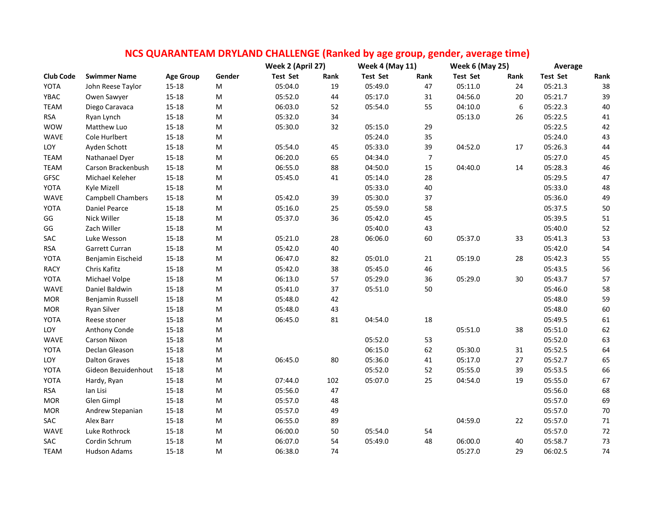|                  |                      |                  |                                                                                                            | Week 2 (April 27) |      | <b>Week 4 (May 11)</b> |                | <b>Week 6 (May 25)</b> |        | Average         |        |
|------------------|----------------------|------------------|------------------------------------------------------------------------------------------------------------|-------------------|------|------------------------|----------------|------------------------|--------|-----------------|--------|
| <b>Club Code</b> | <b>Swimmer Name</b>  | <b>Age Group</b> | Gender                                                                                                     | Test Set          | Rank | <b>Test Set</b>        | Rank           | <b>Test Set</b>        | Rank   | <b>Test Set</b> | Rank   |
| YOTA             | John Reese Taylor    | $15 - 18$        | ${\sf M}$                                                                                                  | 05:04.0           | 19   | 05:49.0                | 47             | 05:11.0                | 24     | 05:21.3         | 38     |
| YBAC             | Owen Sawyer          | $15 - 18$        | M                                                                                                          | 05:52.0           | 44   | 05:17.0                | 31             | 04:56.0                | 20     | 05:21.7         | 39     |
| TEAM             | Diego Caravaca       | $15 - 18$        | ${\sf M}$                                                                                                  | 06:03.0           | 52   | 05:54.0                | 55             | 04:10.0                | 6      | 05:22.3         | 40     |
| <b>RSA</b>       | Ryan Lynch           | $15 - 18$        | M                                                                                                          | 05:32.0           | 34   |                        |                | 05:13.0                | 26     | 05:22.5         | 41     |
| <b>WOW</b>       | Matthew Luo          | $15 - 18$        | M                                                                                                          | 05:30.0           | 32   | 05:15.0                | 29             |                        |        | 05:22.5         | 42     |
| <b>WAVE</b>      | Cole Hurlbert        | $15 - 18$        | M                                                                                                          |                   |      | 05:24.0                | 35             |                        |        | 05:24.0         | 43     |
| LOY              | Ayden Schott         | $15 - 18$        | M                                                                                                          | 05:54.0           | 45   | 05:33.0                | 39             | 04:52.0                | $17\,$ | 05:26.3         | 44     |
| <b>TEAM</b>      | Nathanael Dyer       | $15 - 18$        | M                                                                                                          | 06:20.0           | 65   | 04:34.0                | $\overline{7}$ |                        |        | 05:27.0         | 45     |
| <b>TEAM</b>      | Carson Brackenbush   | $15 - 18$        | M                                                                                                          | 06:55.0           | 88   | 04:50.0                | 15             | 04:40.0                | 14     | 05:28.3         | 46     |
| <b>GFSC</b>      | Michael Keleher      | $15 - 18$        | M                                                                                                          | 05:45.0           | 41   | 05:14.0                | 28             |                        |        | 05:29.5         | 47     |
| YOTA             | Kyle Mizell          | $15 - 18$        | ${\sf M}$                                                                                                  |                   |      | 05:33.0                | 40             |                        |        | 05:33.0         | 48     |
| <b>WAVE</b>      | Campbell Chambers    | $15 - 18$        | M                                                                                                          | 05:42.0           | 39   | 05:30.0                | 37             |                        |        | 05:36.0         | 49     |
| YOTA             | <b>Daniel Pearce</b> | $15 - 18$        | M                                                                                                          | 05:16.0           | 25   | 05:59.0                | 58             |                        |        | 05:37.5         | 50     |
| GG               | Nick Willer          | $15 - 18$        | M                                                                                                          | 05:37.0           | 36   | 05:42.0                | 45             |                        |        | 05:39.5         | 51     |
| GG               | Zach Willer          | $15 - 18$        | ${\sf M}$                                                                                                  |                   |      | 05:40.0                | 43             |                        |        | 05:40.0         | 52     |
| SAC              | Luke Wesson          | 15-18            | M                                                                                                          | 05:21.0           | 28   | 06:06.0                | 60             | 05:37.0                | 33     | 05:41.3         | 53     |
| <b>RSA</b>       | Garrett Curran       | $15 - 18$        | $\mathsf{M}% _{T}=\mathsf{M}_{T}\!\left( a,b\right) ,\ \mathsf{M}_{T}=\mathsf{M}_{T}\!\left( a,b\right) ,$ | 05:42.0           | 40   |                        |                |                        |        | 05:42.0         | 54     |
| YOTA             | Benjamin Eischeid    | $15 - 18$        | M                                                                                                          | 06:47.0           | 82   | 05:01.0                | 21             | 05:19.0                | 28     | 05:42.3         | 55     |
| <b>RACY</b>      | Chris Kafitz         | $15 - 18$        | $\mathsf{M}% _{T}=\mathsf{M}_{T}\!\left( a,b\right) ,\ \mathsf{M}_{T}=\mathsf{M}_{T}\!\left( a,b\right) ,$ | 05:42.0           | 38   | 05:45.0                | 46             |                        |        | 05:43.5         | 56     |
| YOTA             | Michael Volpe        | $15 - 18$        | M                                                                                                          | 06:13.0           | 57   | 05:29.0                | 36             | 05:29.0                | 30     | 05:43.7         | 57     |
| WAVE             | Daniel Baldwin       | $15 - 18$        | M                                                                                                          | 05:41.0           | 37   | 05:51.0                | 50             |                        |        | 05:46.0         | 58     |
| <b>MOR</b>       | Benjamin Russell     | 15-18            | M                                                                                                          | 05:48.0           | 42   |                        |                |                        |        | 05:48.0         | 59     |
| <b>MOR</b>       | Ryan Silver          | $15 - 18$        | M                                                                                                          | 05:48.0           | 43   |                        |                |                        |        | 05:48.0         | 60     |
| YOTA             | Reese stoner         | 15-18            | M                                                                                                          | 06:45.0           | 81   | 04:54.0                | 18             |                        |        | 05:49.5         | 61     |
| LOY              | Anthony Conde        | $15 - 18$        | ${\sf M}$                                                                                                  |                   |      |                        |                | 05:51.0                | 38     | 05:51.0         | 62     |
| WAVE             | <b>Carson Nixon</b>  | $15 - 18$        | M                                                                                                          |                   |      | 05:52.0                | 53             |                        |        | 05:52.0         | 63     |
| YOTA             | Declan Gleason       | $15 - 18$        | ${\sf M}$                                                                                                  |                   |      | 06:15.0                | 62             | 05:30.0                | 31     | 05:52.5         | 64     |
| LOY              | <b>Dalton Graves</b> | $15 - 18$        | M                                                                                                          | 06:45.0           | 80   | 05:36.0                | 41             | 05:17.0                | 27     | 05:52.7         | 65     |
| YOTA             | Gideon Bezuidenhout  | $15 - 18$        | M                                                                                                          |                   |      | 05:52.0                | 52             | 05:55.0                | 39     | 05:53.5         | 66     |
| YOTA             | Hardy, Ryan          | $15 - 18$        | ${\sf M}$                                                                                                  | 07:44.0           | 102  | 05:07.0                | 25             | 04:54.0                | 19     | 05:55.0         | 67     |
| <b>RSA</b>       | Ian Lisi             | $15 - 18$        | M                                                                                                          | 05:56.0           | 47   |                        |                |                        |        | 05:56.0         | 68     |
| <b>MOR</b>       | Glen Gimpl           | $15 - 18$        | M                                                                                                          | 05:57.0           | 48   |                        |                |                        |        | 05:57.0         | 69     |
| <b>MOR</b>       | Andrew Stepanian     | 15-18            | M                                                                                                          | 05:57.0           | 49   |                        |                |                        |        | 05:57.0         | 70     |
| SAC              | Alex Barr            | $15 - 18$        | M                                                                                                          | 06:55.0           | 89   |                        |                | 04:59.0                | 22     | 05:57.0         | $71\,$ |
| WAVE             | Luke Rothrock        | 15-18            | M                                                                                                          | 06:00.0           | 50   | 05:54.0                | 54             |                        |        | 05:57.0         | $72\,$ |
| SAC              | Cordin Schrum        | $15 - 18$        | M                                                                                                          | 06:07.0           | 54   | 05:49.0                | 48             | 06:00.0                | 40     | 05:58.7         | 73     |
| <b>TEAM</b>      | Hudson Adams         | $15 - 18$        | M                                                                                                          | 06:38.0           | 74   |                        |                | 05:27.0                | 29     | 06:02.5         | 74     |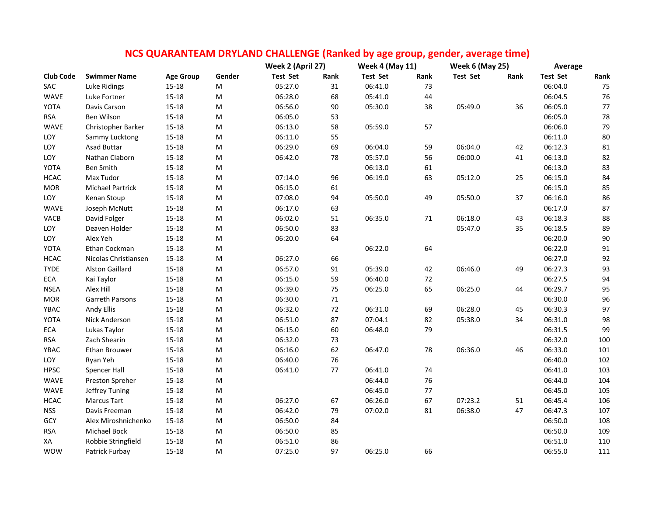|                  |                         |                  |           | Week 2 (April 27) |        | <b>Week 4 (May 11)</b> |      | <b>Week 6 (May 25)</b> |      | Average         |        |
|------------------|-------------------------|------------------|-----------|-------------------|--------|------------------------|------|------------------------|------|-----------------|--------|
| <b>Club Code</b> | <b>Swimmer Name</b>     | <b>Age Group</b> | Gender    | Test Set          | Rank   | <b>Test Set</b>        | Rank | <b>Test Set</b>        | Rank | <b>Test Set</b> | Rank   |
| SAC              | Luke Ridings            | $15 - 18$        | M         | 05:27.0           | 31     | 06:41.0                | 73   |                        |      | 06:04.0         | 75     |
| WAVE             | Luke Fortner            | $15 - 18$        | M         | 06:28.0           | 68     | 05:41.0                | 44   |                        |      | 06:04.5         | 76     |
| YOTA             | Davis Carson            | $15 - 18$        | M         | 06:56.0           | 90     | 05:30.0                | 38   | 05:49.0                | 36   | 06:05.0         | 77     |
| <b>RSA</b>       | Ben Wilson              | $15 - 18$        | M         | 06:05.0           | 53     |                        |      |                        |      | 06:05.0         | 78     |
| WAVE             | Christopher Barker      | $15 - 18$        | M         | 06:13.0           | 58     | 05:59.0                | 57   |                        |      | 06:06.0         | 79     |
| LOY              | Sammy Lucktong          | $15 - 18$        | M         | 06:11.0           | 55     |                        |      |                        |      | 06:11.0         | 80     |
| LOY              | Asad Buttar             | $15 - 18$        | ${\sf M}$ | 06:29.0           | 69     | 06:04.0                | 59   | 06:04.0                | 42   | 06:12.3         | 81     |
| LOY              | Nathan Claborn          | 15-18            | M         | 06:42.0           | 78     | 05:57.0                | 56   | 06:00.0                | 41   | 06:13.0         | 82     |
| YOTA             | Ben Smith               | $15 - 18$        | M         |                   |        | 06:13.0                | 61   |                        |      | 06:13.0         | 83     |
| <b>HCAC</b>      | Max Tudor               | 15-18            | M         | 07:14.0           | 96     | 06:19.0                | 63   | 05:12.0                | 25   | 06:15.0         | 84     |
| <b>MOR</b>       | <b>Michael Partrick</b> | $15 - 18$        | M         | 06:15.0           | 61     |                        |      |                        |      | 06:15.0         | 85     |
| LOY              | Kenan Stoup             | $15 - 18$        | M         | 07:08.0           | 94     | 05:50.0                | 49   | 05:50.0                | 37   | 06:16.0         | 86     |
| WAVE             | Joseph McNutt           | $15 - 18$        | M         | 06:17.0           | 63     |                        |      |                        |      | 06:17.0         | 87     |
| VACB             | David Folger            | $15 - 18$        | ${\sf M}$ | 06:02.0           | 51     | 06:35.0                | 71   | 06:18.0                | 43   | 06:18.3         | 88     |
| LOY              | Deaven Holder           | $15 - 18$        | M         | 06:50.0           | 83     |                        |      | 05:47.0                | 35   | 06:18.5         | 89     |
| LOY              | Alex Yeh                | $15 - 18$        | M         | 06:20.0           | 64     |                        |      |                        |      | 06:20.0         | $90\,$ |
| YOTA             | Ethan Cockman           | $15 - 18$        | M         |                   |        | 06:22.0                | 64   |                        |      | 06:22.0         | 91     |
| <b>HCAC</b>      | Nicolas Christiansen    | $15 - 18$        | M         | 06:27.0           | 66     |                        |      |                        |      | 06:27.0         | 92     |
| <b>TYDE</b>      | <b>Alston Gaillard</b>  | $15 - 18$        | ${\sf M}$ | 06:57.0           | 91     | 05:39.0                | 42   | 06:46.0                | 49   | 06:27.3         | 93     |
| ECA              | Kai Taylor              | $15 - 18$        | ${\sf M}$ | 06:15.0           | 59     | 06:40.0                | 72   |                        |      | 06:27.5         | 94     |
| <b>NSEA</b>      | Alex Hill               | $15 - 18$        | M         | 06:39.0           | 75     | 06:25.0                | 65   | 06:25.0                | 44   | 06:29.7         | 95     |
| <b>MOR</b>       | Garreth Parsons         | $15 - 18$        | M         | 06:30.0           | 71     |                        |      |                        |      | 06:30.0         | 96     |
| YBAC             | Andy Ellis              | $15 - 18$        | ${\sf M}$ | 06:32.0           | $72\,$ | 06:31.0                | 69   | 06:28.0                | 45   | 06:30.3         | 97     |
| YOTA             | Nick Anderson           | $15 - 18$        | ${\sf M}$ | 06:51.0           | 87     | 07:04.1                | 82   | 05:38.0                | 34   | 06:31.0         | 98     |
| ECA              | Lukas Taylor            | $15 - 18$        | М         | 06:15.0           | 60     | 06:48.0                | 79   |                        |      | 06:31.5         | 99     |
| <b>RSA</b>       | Zach Shearin            | $15 - 18$        | M         | 06:32.0           | 73     |                        |      |                        |      | 06:32.0         | 100    |
| YBAC             | <b>Ethan Brouwer</b>    | 15-18            | M         | 06:16.0           | 62     | 06:47.0                | 78   | 06:36.0                | 46   | 06:33.0         | 101    |
| LOY              | Ryan Yeh                | $15 - 18$        | M         | 06:40.0           | 76     |                        |      |                        |      | 06:40.0         | 102    |
| <b>HPSC</b>      | Spencer Hall            | $15 - 18$        | M         | 06:41.0           | 77     | 06:41.0                | 74   |                        |      | 06:41.0         | 103    |
| WAVE             | Preston Spreher         | $15 - 18$        | M         |                   |        | 06:44.0                | 76   |                        |      | 06:44.0         | 104    |
| WAVE             | Jeffrey Tuning          | $15 - 18$        | M         |                   |        | 06:45.0                | 77   |                        |      | 06:45.0         | 105    |
| <b>HCAC</b>      | <b>Marcus Tart</b>      | $15 - 18$        | M         | 06:27.0           | 67     | 06:26.0                | 67   | 07:23.2                | 51   | 06:45.4         | 106    |
| <b>NSS</b>       | Davis Freeman           | $15 - 18$        | ${\sf M}$ | 06:42.0           | 79     | 07:02.0                | 81   | 06:38.0                | 47   | 06:47.3         | 107    |
| GCY              | Alex Miroshnichenko     | $15 - 18$        | M         | 06:50.0           | 84     |                        |      |                        |      | 06:50.0         | 108    |
| <b>RSA</b>       | Michael Bock            | $15 - 18$        | M         | 06:50.0           | 85     |                        |      |                        |      | 06:50.0         | 109    |
| XA               | Robbie Stringfield      | $15 - 18$        | M         | 06:51.0           | 86     |                        |      |                        |      | 06:51.0         | 110    |
| <b>WOW</b>       | Patrick Furbay          | $15 - 18$        | м         | 07:25.0           | 97     | 06:25.0                | 66   |                        |      | 06:55.0         | 111    |